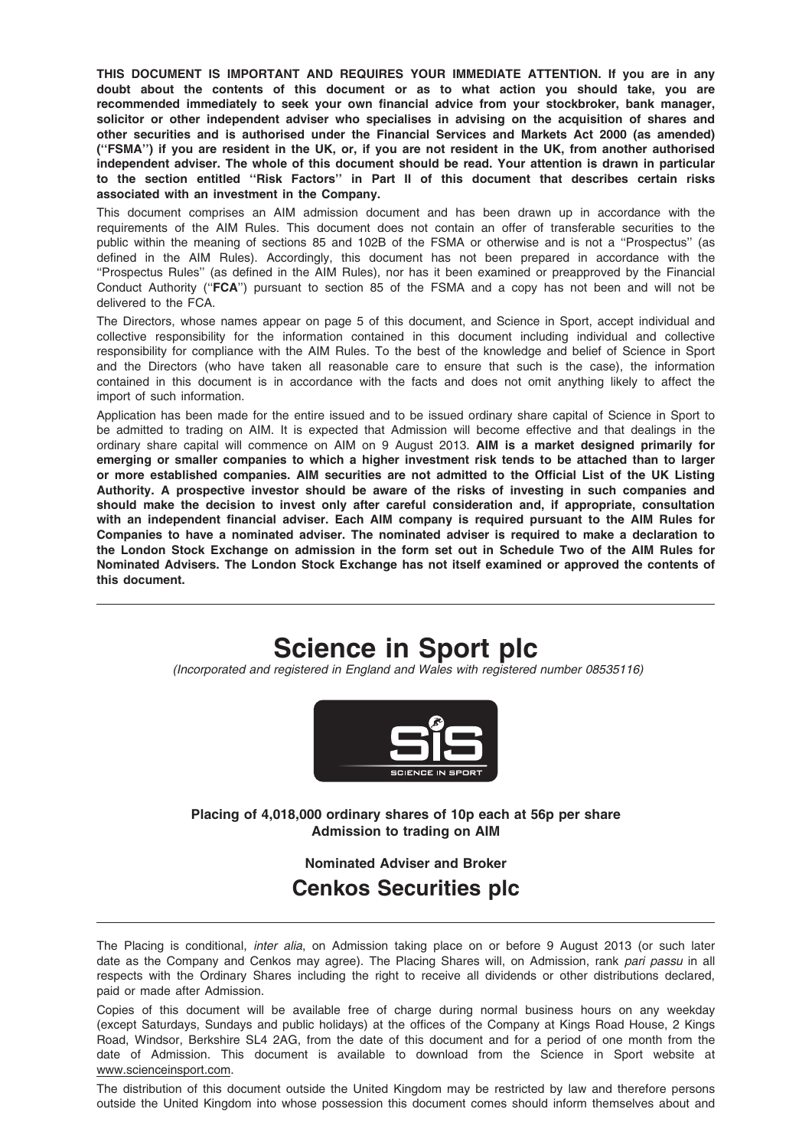THIS DOCUMENT IS IMPORTANT AND REQUIRES YOUR IMMEDIATE ATTENTION. If you are in any doubt about the contents of this document or as to what action you should take, you are recommended immediately to seek your own financial advice from your stockbroker, bank manager, solicitor or other independent adviser who specialises in advising on the acquisition of shares and other securities and is authorised under the Financial Services and Markets Act 2000 (as amended) (''FSMA'') if you are resident in the UK, or, if you are not resident in the UK, from another authorised independent adviser. The whole of this document should be read. Your attention is drawn in particular to the section entitled ''Risk Factors'' in Part II of this document that describes certain risks associated with an investment in the Company.

This document comprises an AIM admission document and has been drawn up in accordance with the requirements of the AIM Rules. This document does not contain an offer of transferable securities to the public within the meaning of sections 85 and 102B of the FSMA or otherwise and is not a "Prospectus" (as defined in the AIM Rules). Accordingly, this document has not been prepared in accordance with the ''Prospectus Rules'' (as defined in the AIM Rules), nor has it been examined or preapproved by the Financial Conduct Authority (''FCA'') pursuant to section 85 of the FSMA and a copy has not been and will not be delivered to the FCA.

The Directors, whose names appear on page 5 of this document, and Science in Sport, accept individual and collective responsibility for the information contained in this document including individual and collective responsibility for compliance with the AIM Rules. To the best of the knowledge and belief of Science in Sport and the Directors (who have taken all reasonable care to ensure that such is the case), the information contained in this document is in accordance with the facts and does not omit anything likely to affect the import of such information.

Application has been made for the entire issued and to be issued ordinary share capital of Science in Sport to be admitted to trading on AIM. It is expected that Admission will become effective and that dealings in the ordinary share capital will commence on AIM on 9 August 2013. AIM is a market designed primarily for emerging or smaller companies to which a higher investment risk tends to be attached than to larger or more established companies. AIM securities are not admitted to the Official List of the UK Listing Authority. A prospective investor should be aware of the risks of investing in such companies and should make the decision to invest only after careful consideration and, if appropriate, consultation with an independent financial adviser. Each AIM company is required pursuant to the AIM Rules for Companies to have a nominated adviser. The nominated adviser is required to make a declaration to the London Stock Exchange on admission in the form set out in Schedule Two of the AIM Rules for Nominated Advisers. The London Stock Exchange has not itself examined or approved the contents of this document.

# Science in Sport plc

(Incorporated and registered in England and Wales with registered number 08535116)



Placing of 4,018,000 ordinary shares of 10p each at 56p per share Admission to trading on AIM

# Nominated Adviser and Broker Cenkos Securities plc

The Placing is conditional, inter alia, on Admission taking place on or before 9 August 2013 (or such later date as the Company and Cenkos may agree). The Placing Shares will, on Admission, rank pari passu in all respects with the Ordinary Shares including the right to receive all dividends or other distributions declared, paid or made after Admission.

Copies of this document will be available free of charge during normal business hours on any weekday (except Saturdays, Sundays and public holidays) at the offices of the Company at Kings Road House, 2 Kings Road, Windsor, Berkshire SL4 2AG, from the date of this document and for a period of one month from the date of Admission. This document is available to download from the Science in Sport website at www.scienceinsport.com.

The distribution of this document outside the United Kingdom may be restricted by law and therefore persons outside the United Kingdom into whose possession this document comes should inform themselves about and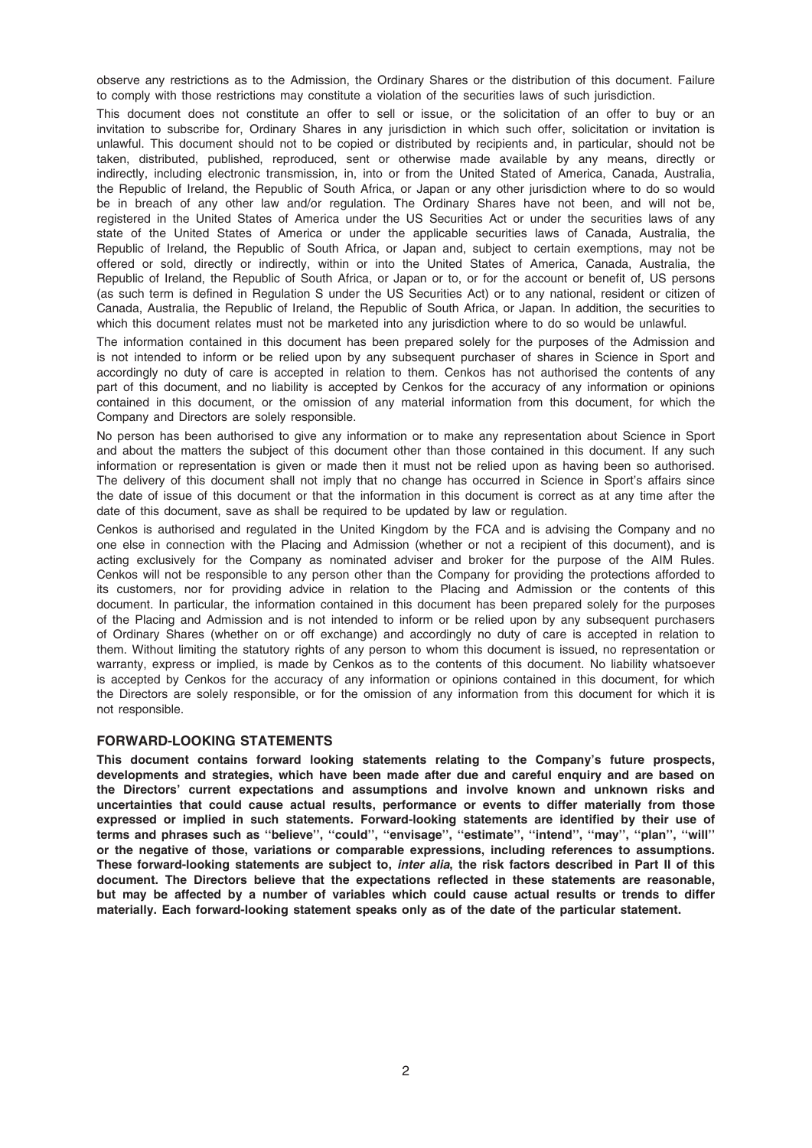observe any restrictions as to the Admission, the Ordinary Shares or the distribution of this document. Failure to comply with those restrictions may constitute a violation of the securities laws of such jurisdiction.

This document does not constitute an offer to sell or issue, or the solicitation of an offer to buy or an invitation to subscribe for, Ordinary Shares in any jurisdiction in which such offer, solicitation or invitation is unlawful. This document should not to be copied or distributed by recipients and, in particular, should not be taken, distributed, published, reproduced, sent or otherwise made available by any means, directly or indirectly, including electronic transmission, in, into or from the United Stated of America, Canada, Australia, the Republic of Ireland, the Republic of South Africa, or Japan or any other jurisdiction where to do so would be in breach of any other law and/or regulation. The Ordinary Shares have not been, and will not be, registered in the United States of America under the US Securities Act or under the securities laws of any state of the United States of America or under the applicable securities laws of Canada, Australia, the Republic of Ireland, the Republic of South Africa, or Japan and, subject to certain exemptions, may not be offered or sold, directly or indirectly, within or into the United States of America, Canada, Australia, the Republic of Ireland, the Republic of South Africa, or Japan or to, or for the account or benefit of, US persons (as such term is defined in Regulation S under the US Securities Act) or to any national, resident or citizen of Canada, Australia, the Republic of Ireland, the Republic of South Africa, or Japan. In addition, the securities to which this document relates must not be marketed into any jurisdiction where to do so would be unlawful.

The information contained in this document has been prepared solely for the purposes of the Admission and is not intended to inform or be relied upon by any subsequent purchaser of shares in Science in Sport and accordingly no duty of care is accepted in relation to them. Cenkos has not authorised the contents of any part of this document, and no liability is accepted by Cenkos for the accuracy of any information or opinions contained in this document, or the omission of any material information from this document, for which the Company and Directors are solely responsible.

No person has been authorised to give any information or to make any representation about Science in Sport and about the matters the subject of this document other than those contained in this document. If any such information or representation is given or made then it must not be relied upon as having been so authorised. The delivery of this document shall not imply that no change has occurred in Science in Sport's affairs since the date of issue of this document or that the information in this document is correct as at any time after the date of this document, save as shall be required to be updated by law or regulation.

Cenkos is authorised and regulated in the United Kingdom by the FCA and is advising the Company and no one else in connection with the Placing and Admission (whether or not a recipient of this document), and is acting exclusively for the Company as nominated adviser and broker for the purpose of the AIM Rules. Cenkos will not be responsible to any person other than the Company for providing the protections afforded to its customers, nor for providing advice in relation to the Placing and Admission or the contents of this document. In particular, the information contained in this document has been prepared solely for the purposes of the Placing and Admission and is not intended to inform or be relied upon by any subsequent purchasers of Ordinary Shares (whether on or off exchange) and accordingly no duty of care is accepted in relation to them. Without limiting the statutory rights of any person to whom this document is issued, no representation or warranty, express or implied, is made by Cenkos as to the contents of this document. No liability whatsoever is accepted by Cenkos for the accuracy of any information or opinions contained in this document, for which the Directors are solely responsible, or for the omission of any information from this document for which it is not responsible.

### FORWARD-LOOKING STATEMENTS

This document contains forward looking statements relating to the Company's future prospects, developments and strategies, which have been made after due and careful enquiry and are based on the Directors' current expectations and assumptions and involve known and unknown risks and uncertainties that could cause actual results, performance or events to differ materially from those expressed or implied in such statements. Forward-looking statements are identified by their use of terms and phrases such as ''believe'', ''could'', ''envisage'', ''estimate'', ''intend'', ''may'', ''plan'', ''will'' or the negative of those, variations or comparable expressions, including references to assumptions. These forward-looking statements are subject to, inter alia, the risk factors described in Part II of this document. The Directors believe that the expectations reflected in these statements are reasonable, but may be affected by a number of variables which could cause actual results or trends to differ materially. Each forward-looking statement speaks only as of the date of the particular statement.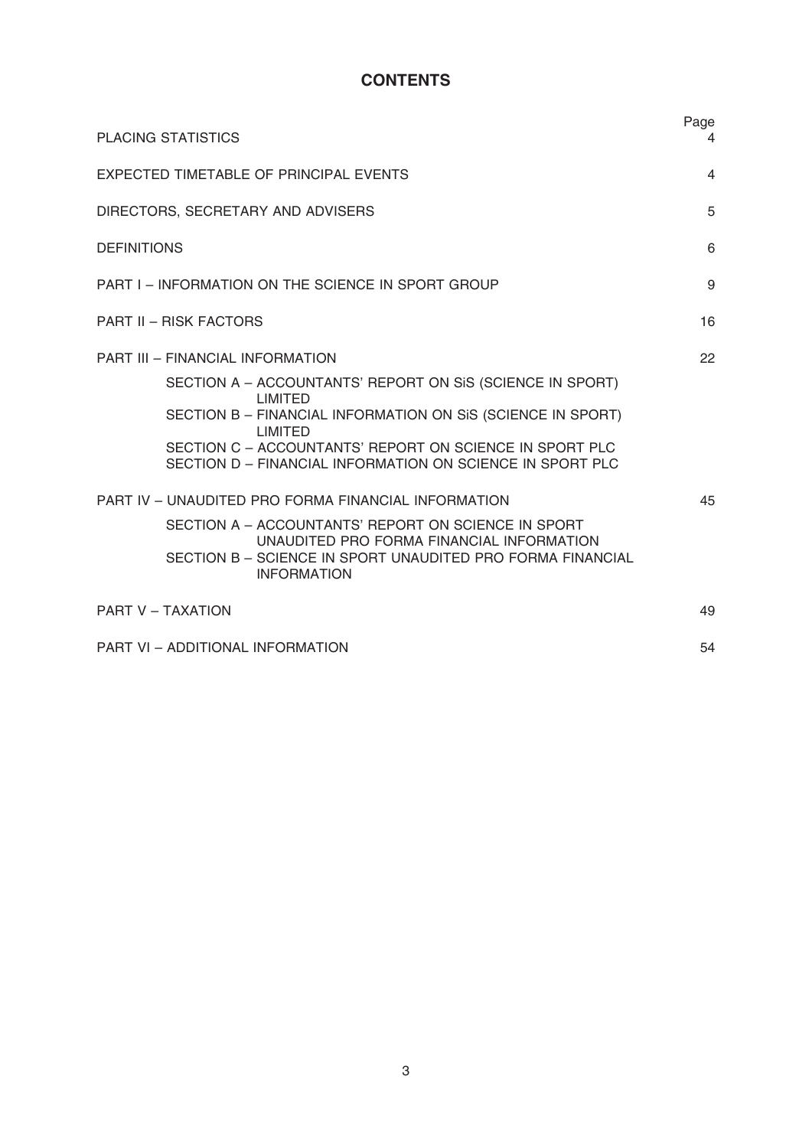# **CONTENTS**

| <b>PLACING STATISTICS</b>                                                                                                                                                                                                                                                            | Page<br>4      |
|--------------------------------------------------------------------------------------------------------------------------------------------------------------------------------------------------------------------------------------------------------------------------------------|----------------|
| EXPECTED TIMETABLE OF PRINCIPAL EVENTS                                                                                                                                                                                                                                               | $\overline{4}$ |
| DIRECTORS, SECRETARY AND ADVISERS                                                                                                                                                                                                                                                    | 5              |
| <b>DEFINITIONS</b>                                                                                                                                                                                                                                                                   | 6              |
| PART I – INFORMATION ON THE SCIENCE IN SPORT GROUP                                                                                                                                                                                                                                   | 9              |
| <b>PART II - RISK FACTORS</b>                                                                                                                                                                                                                                                        | 16             |
| PART III - FINANCIAL INFORMATION                                                                                                                                                                                                                                                     | 22             |
| SECTION A – ACCOUNTANTS' REPORT ON SIS (SCIENCE IN SPORT)<br><b>LIMITED</b><br>SECTION B - FINANCIAL INFORMATION ON SIS (SCIENCE IN SPORT)<br><b>LIMITED</b><br>SECTION C - ACCOUNTANTS' REPORT ON SCIENCE IN SPORT PLC<br>SECTION D - FINANCIAL INFORMATION ON SCIENCE IN SPORT PLC |                |
| PART IV - UNAUDITED PRO FORMA FINANCIAL INFORMATION                                                                                                                                                                                                                                  | 45             |
| SECTION A - ACCOUNTANTS' REPORT ON SCIENCE IN SPORT<br>UNAUDITED PRO FORMA FINANCIAL INFORMATION<br>SECTION B - SCIENCE IN SPORT UNAUDITED PRO FORMA FINANCIAL<br><b>INFORMATION</b>                                                                                                 |                |
| <b>PART V - TAXATION</b>                                                                                                                                                                                                                                                             | 49             |
| PART VI - ADDITIONAL INFORMATION                                                                                                                                                                                                                                                     | 54             |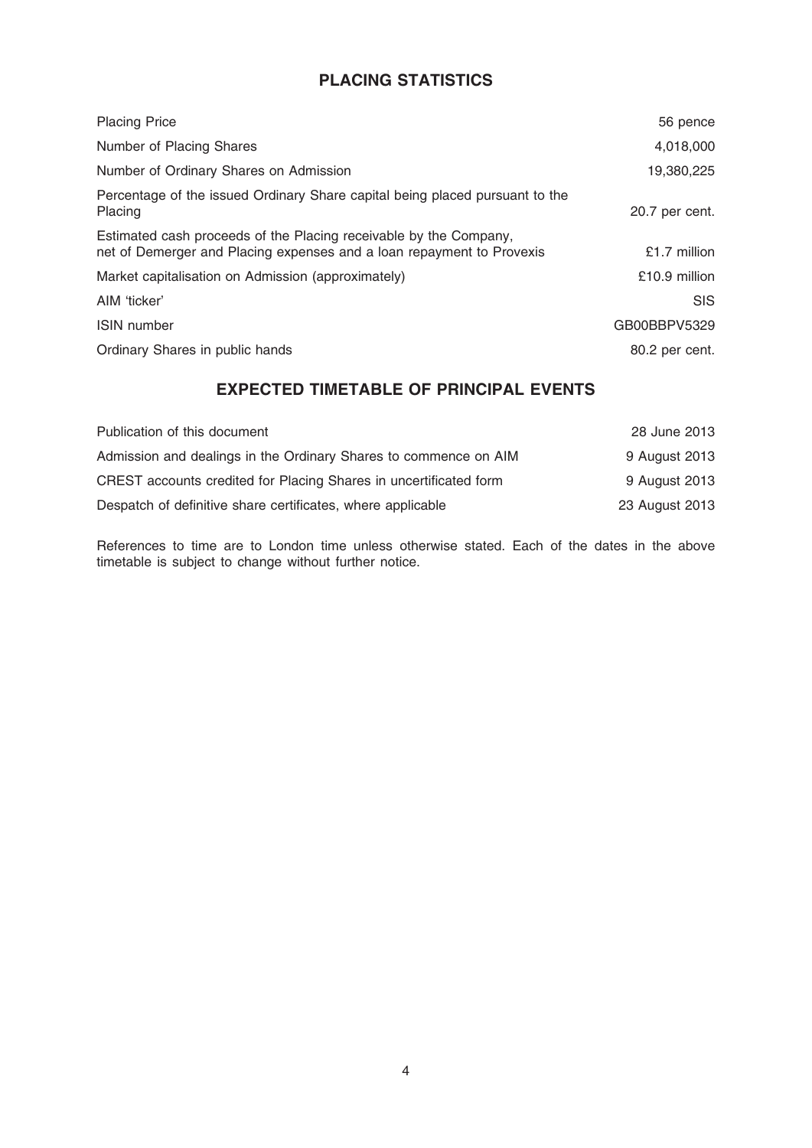# PLACING STATISTICS

| <b>Placing Price</b>                                                                                                                       | 56 pence       |
|--------------------------------------------------------------------------------------------------------------------------------------------|----------------|
| Number of Placing Shares                                                                                                                   | 4,018,000      |
| Number of Ordinary Shares on Admission                                                                                                     | 19,380,225     |
| Percentage of the issued Ordinary Share capital being placed pursuant to the<br>Placing                                                    | 20.7 per cent. |
| Estimated cash proceeds of the Placing receivable by the Company,<br>net of Demerger and Placing expenses and a loan repayment to Provexis | £1.7 million   |
| Market capitalisation on Admission (approximately)                                                                                         | £10.9 million  |
| AIM 'ticker'                                                                                                                               | <b>SIS</b>     |
| <b>ISIN</b> number                                                                                                                         | GB00BBPV5329   |
| Ordinary Shares in public hands                                                                                                            | 80.2 per cent. |

# EXPECTED TIMETABLE OF PRINCIPAL EVENTS

| Publication of this document                                      | 28 June 2013   |
|-------------------------------------------------------------------|----------------|
| Admission and dealings in the Ordinary Shares to commence on AIM  | 9 August 2013  |
| CREST accounts credited for Placing Shares in uncertificated form | 9 August 2013  |
| Despatch of definitive share certificates, where applicable       | 23 August 2013 |

References to time are to London time unless otherwise stated. Each of the dates in the above timetable is subject to change without further notice.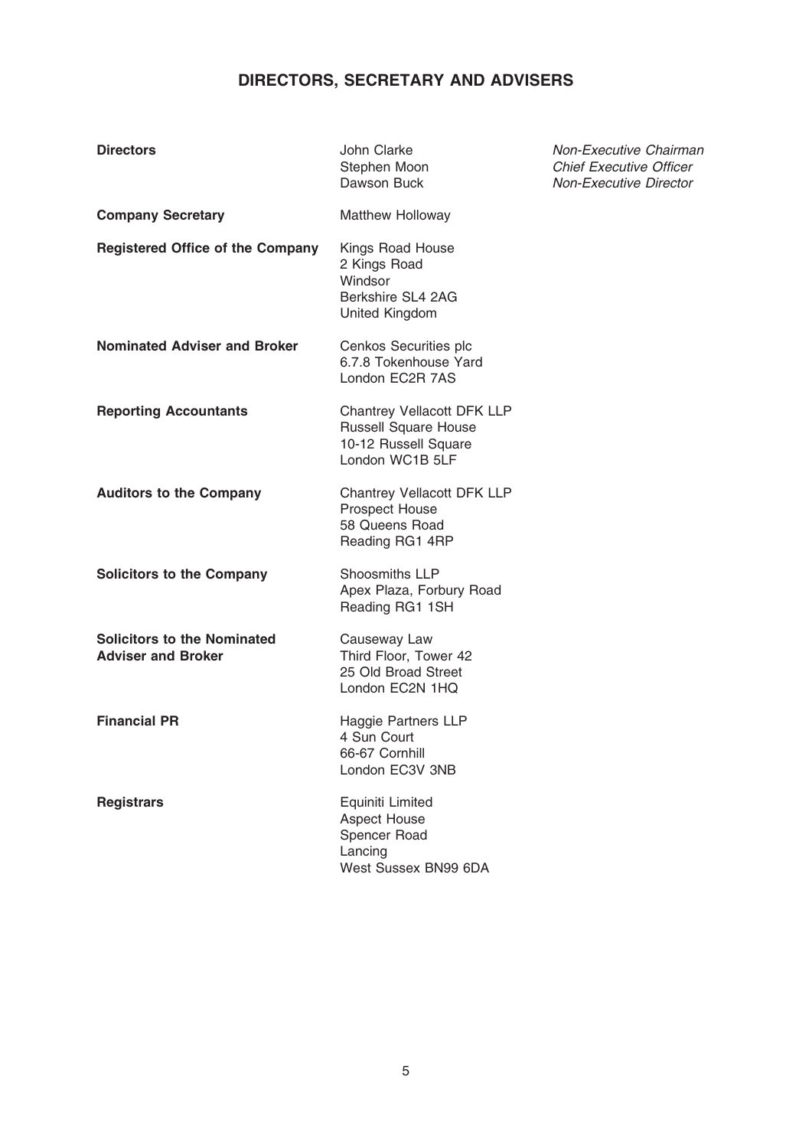# DIRECTORS, SECRETARY AND ADVISERS

| <b>Directors</b>                                                | John Clarke<br>Stephen Moon<br>Dawson Buck                                                           | Non-Executive Chairman<br><b>Chief Executive Officer</b><br><b>Non-Executive Director</b> |
|-----------------------------------------------------------------|------------------------------------------------------------------------------------------------------|-------------------------------------------------------------------------------------------|
| <b>Company Secretary</b>                                        | <b>Matthew Holloway</b>                                                                              |                                                                                           |
| <b>Registered Office of the Company</b>                         | Kings Road House<br>2 Kings Road<br>Windsor<br>Berkshire SL4 2AG<br>United Kingdom                   |                                                                                           |
| <b>Nominated Adviser and Broker</b>                             | Cenkos Securities plc<br>6.7.8 Tokenhouse Yard<br>London EC2R 7AS                                    |                                                                                           |
| <b>Reporting Accountants</b>                                    | Chantrey Vellacott DFK LLP<br><b>Russell Square House</b><br>10-12 Russell Square<br>London WC1B 5LF |                                                                                           |
| <b>Auditors to the Company</b>                                  | Chantrey Vellacott DFK LLP<br><b>Prospect House</b><br>58 Queens Road<br>Reading RG1 4RP             |                                                                                           |
| <b>Solicitors to the Company</b>                                | Shoosmiths LLP<br>Apex Plaza, Forbury Road<br>Reading RG1 1SH                                        |                                                                                           |
| <b>Solicitors to the Nominated</b><br><b>Adviser and Broker</b> | Causeway Law<br>Third Floor, Tower 42<br>25 Old Broad Street<br>London EC2N 1HQ                      |                                                                                           |
| <b>Financial PR</b>                                             | <b>Haggie Partners LLP</b><br>4 Sun Court<br>66-67 Cornhill<br>London EC3V 3NB                       |                                                                                           |
| <b>Registrars</b>                                               | Equiniti Limited<br><b>Aspect House</b><br>Spencer Road<br>Lancing<br>West Sussex BN99 6DA           |                                                                                           |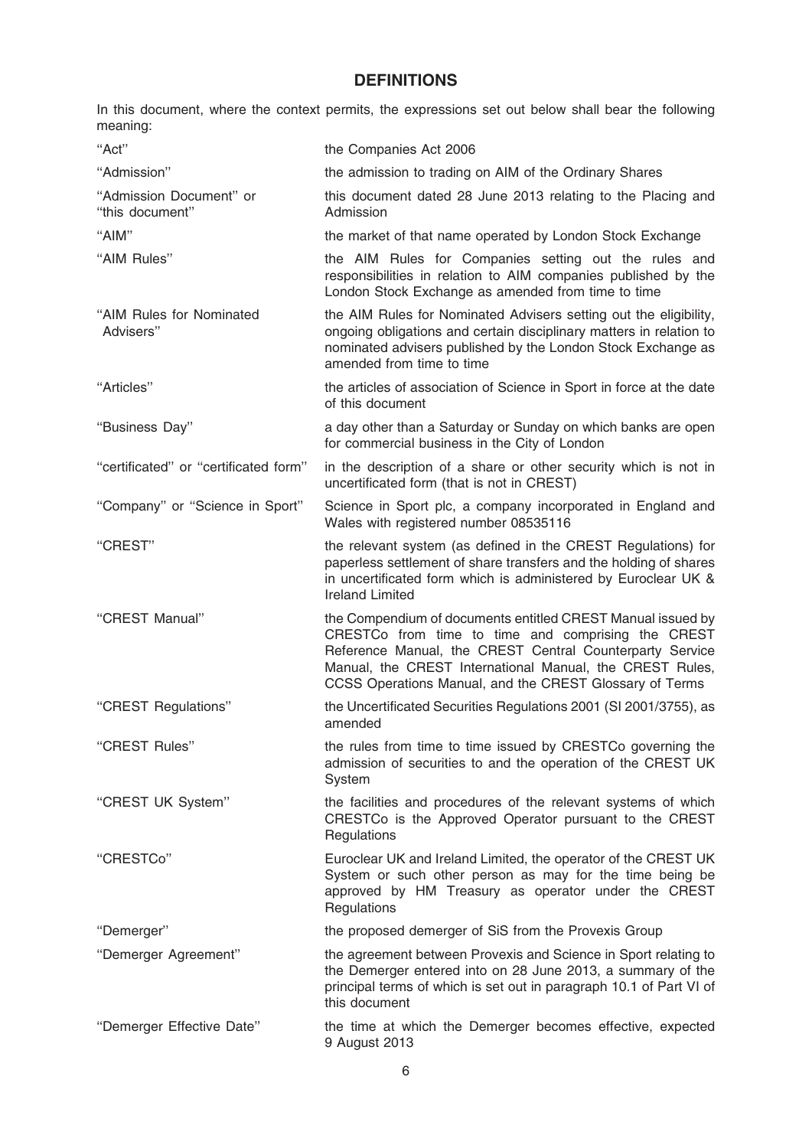# **DEFINITIONS**

In this document, where the context permits, the expressions set out below shall bear the following meaning:

| "Act"                                      | the Companies Act 2006                                                                                                                                                                                                                                                                               |
|--------------------------------------------|------------------------------------------------------------------------------------------------------------------------------------------------------------------------------------------------------------------------------------------------------------------------------------------------------|
| "Admission"                                | the admission to trading on AIM of the Ordinary Shares                                                                                                                                                                                                                                               |
| "Admission Document" or<br>"this document" | this document dated 28 June 2013 relating to the Placing and<br>Admission                                                                                                                                                                                                                            |
| "AIM"                                      | the market of that name operated by London Stock Exchange                                                                                                                                                                                                                                            |
| "AIM Rules"                                | the AIM Rules for Companies setting out the rules and<br>responsibilities in relation to AIM companies published by the<br>London Stock Exchange as amended from time to time                                                                                                                        |
| "AIM Rules for Nominated<br>Advisers"      | the AIM Rules for Nominated Advisers setting out the eligibility,<br>ongoing obligations and certain disciplinary matters in relation to<br>nominated advisers published by the London Stock Exchange as<br>amended from time to time                                                                |
| "Articles"                                 | the articles of association of Science in Sport in force at the date<br>of this document                                                                                                                                                                                                             |
| "Business Day"                             | a day other than a Saturday or Sunday on which banks are open<br>for commercial business in the City of London                                                                                                                                                                                       |
| "certificated" or "certificated form"      | in the description of a share or other security which is not in<br>uncertificated form (that is not in CREST)                                                                                                                                                                                        |
| "Company" or "Science in Sport"            | Science in Sport plc, a company incorporated in England and<br>Wales with registered number 08535116                                                                                                                                                                                                 |
| "CREST"                                    | the relevant system (as defined in the CREST Regulations) for<br>paperless settlement of share transfers and the holding of shares<br>in uncertificated form which is administered by Euroclear UK &<br><b>Ireland Limited</b>                                                                       |
| "CREST Manual"                             | the Compendium of documents entitled CREST Manual issued by<br>CRESTCo from time to time and comprising the CREST<br>Reference Manual, the CREST Central Counterparty Service<br>Manual, the CREST International Manual, the CREST Rules,<br>CCSS Operations Manual, and the CREST Glossary of Terms |
| "CREST Regulations"                        | the Uncertificated Securities Regulations 2001 (SI 2001/3755), as<br>amended                                                                                                                                                                                                                         |
| "CREST Rules"                              | the rules from time to time issued by CRESTCo governing the<br>admission of securities to and the operation of the CREST UK<br>System                                                                                                                                                                |
| "CREST UK System"                          | the facilities and procedures of the relevant systems of which<br>CRESTCo is the Approved Operator pursuant to the CREST<br>Regulations                                                                                                                                                              |
| "CRESTCo"                                  | Euroclear UK and Ireland Limited, the operator of the CREST UK<br>System or such other person as may for the time being be<br>approved by HM Treasury as operator under the CREST<br>Regulations                                                                                                     |
| "Demerger"                                 | the proposed demerger of SiS from the Provexis Group                                                                                                                                                                                                                                                 |
| "Demerger Agreement"                       | the agreement between Provexis and Science in Sport relating to<br>the Demerger entered into on 28 June 2013, a summary of the<br>principal terms of which is set out in paragraph 10.1 of Part VI of<br>this document                                                                               |
| "Demerger Effective Date"                  | the time at which the Demerger becomes effective, expected<br>9 August 2013                                                                                                                                                                                                                          |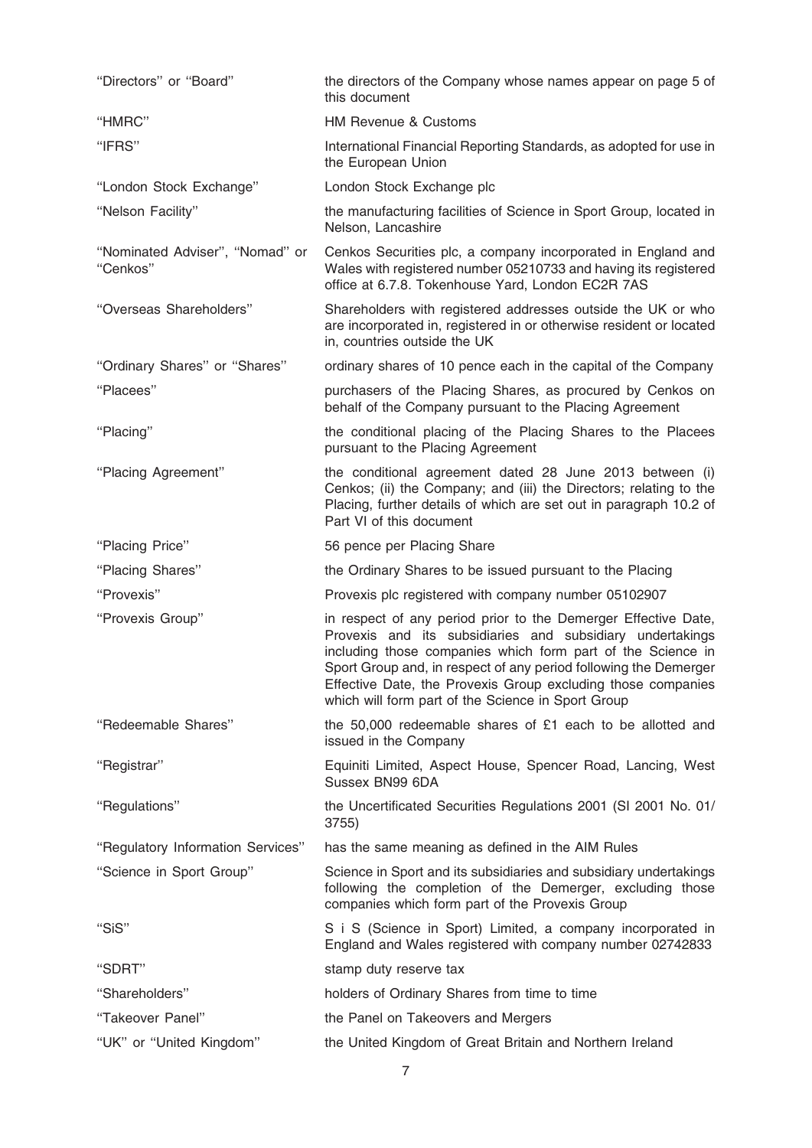| "Directors" or "Board"                      | the directors of the Company whose names appear on page 5 of<br>this document                                                                                                                                                                                                                                                                                                        |
|---------------------------------------------|--------------------------------------------------------------------------------------------------------------------------------------------------------------------------------------------------------------------------------------------------------------------------------------------------------------------------------------------------------------------------------------|
| "HMRC"                                      | HM Revenue & Customs                                                                                                                                                                                                                                                                                                                                                                 |
| "IFRS"                                      | International Financial Reporting Standards, as adopted for use in<br>the European Union                                                                                                                                                                                                                                                                                             |
| "London Stock Exchange"                     | London Stock Exchange plc                                                                                                                                                                                                                                                                                                                                                            |
| "Nelson Facility"                           | the manufacturing facilities of Science in Sport Group, located in<br>Nelson, Lancashire                                                                                                                                                                                                                                                                                             |
| "Nominated Adviser", "Nomad" or<br>"Cenkos" | Cenkos Securities plc, a company incorporated in England and<br>Wales with registered number 05210733 and having its registered<br>office at 6.7.8. Tokenhouse Yard, London EC2R 7AS                                                                                                                                                                                                 |
| "Overseas Shareholders"                     | Shareholders with registered addresses outside the UK or who<br>are incorporated in, registered in or otherwise resident or located<br>in, countries outside the UK                                                                                                                                                                                                                  |
| "Ordinary Shares" or "Shares"               | ordinary shares of 10 pence each in the capital of the Company                                                                                                                                                                                                                                                                                                                       |
| "Placees"                                   | purchasers of the Placing Shares, as procured by Cenkos on<br>behalf of the Company pursuant to the Placing Agreement                                                                                                                                                                                                                                                                |
| "Placing"                                   | the conditional placing of the Placing Shares to the Placees<br>pursuant to the Placing Agreement                                                                                                                                                                                                                                                                                    |
| "Placing Agreement"                         | the conditional agreement dated 28 June 2013 between (i)<br>Cenkos; (ii) the Company; and (iii) the Directors; relating to the<br>Placing, further details of which are set out in paragraph 10.2 of<br>Part VI of this document                                                                                                                                                     |
| "Placing Price"                             | 56 pence per Placing Share                                                                                                                                                                                                                                                                                                                                                           |
| "Placing Shares"                            | the Ordinary Shares to be issued pursuant to the Placing                                                                                                                                                                                                                                                                                                                             |
| "Provexis"                                  | Provexis plc registered with company number 05102907                                                                                                                                                                                                                                                                                                                                 |
| "Provexis Group"                            | in respect of any period prior to the Demerger Effective Date,<br>Provexis and its subsidiaries and subsidiary undertakings<br>including those companies which form part of the Science in<br>Sport Group and, in respect of any period following the Demerger<br>Effective Date, the Provexis Group excluding those companies<br>which will form part of the Science in Sport Group |
| "Redeemable Shares"                         | the 50,000 redeemable shares of £1 each to be allotted and<br>issued in the Company                                                                                                                                                                                                                                                                                                  |
| "Registrar"                                 | Equiniti Limited, Aspect House, Spencer Road, Lancing, West<br>Sussex BN99 6DA                                                                                                                                                                                                                                                                                                       |
| "Regulations"                               | the Uncertificated Securities Regulations 2001 (SI 2001 No. 01/<br>3755)                                                                                                                                                                                                                                                                                                             |
| "Regulatory Information Services"           | has the same meaning as defined in the AIM Rules                                                                                                                                                                                                                                                                                                                                     |
| "Science in Sport Group"                    | Science in Sport and its subsidiaries and subsidiary undertakings<br>following the completion of the Demerger, excluding those<br>companies which form part of the Provexis Group                                                                                                                                                                                                    |
| "SiS"                                       | S i S (Science in Sport) Limited, a company incorporated in<br>England and Wales registered with company number 02742833                                                                                                                                                                                                                                                             |
| "SDRT"                                      | stamp duty reserve tax                                                                                                                                                                                                                                                                                                                                                               |
| "Shareholders"                              | holders of Ordinary Shares from time to time                                                                                                                                                                                                                                                                                                                                         |
|                                             |                                                                                                                                                                                                                                                                                                                                                                                      |
| "Takeover Panel"                            | the Panel on Takeovers and Mergers                                                                                                                                                                                                                                                                                                                                                   |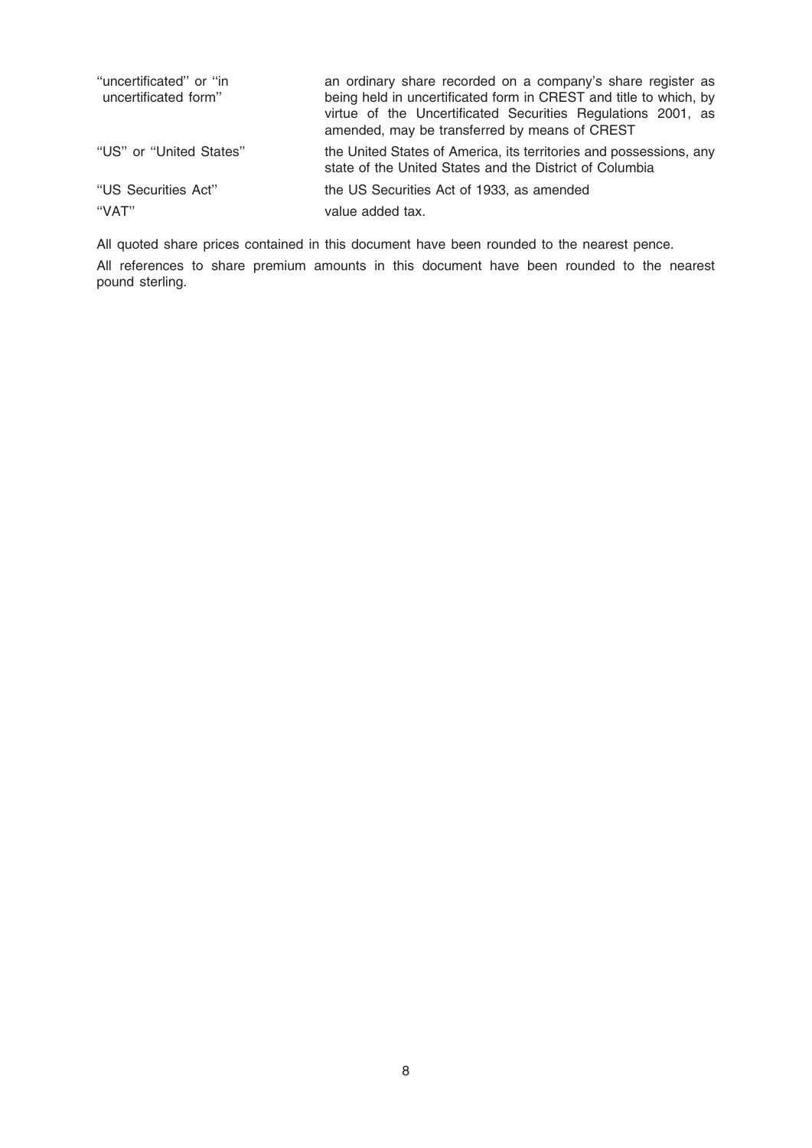| "uncertificated" or "in"<br>uncertificated form" | an ordinary share recorded on a company's share register as<br>being held in uncertificated form in CREST and title to which, by<br>virtue of the Uncertificated Securities Regulations 2001, as<br>amended, may be transferred by means of CREST |
|--------------------------------------------------|---------------------------------------------------------------------------------------------------------------------------------------------------------------------------------------------------------------------------------------------------|
| "US" or "United States"                          | the United States of America, its territories and possessions, any<br>state of the United States and the District of Columbia                                                                                                                     |
| "US Securities Act"                              | the US Securities Act of 1933, as amended                                                                                                                                                                                                         |
| "VAT"                                            | value added tax.                                                                                                                                                                                                                                  |

All quoted share prices contained in this document have been rounded to the nearest pence.

All references to share premium amounts in this document have been rounded to the nearest pound sterling.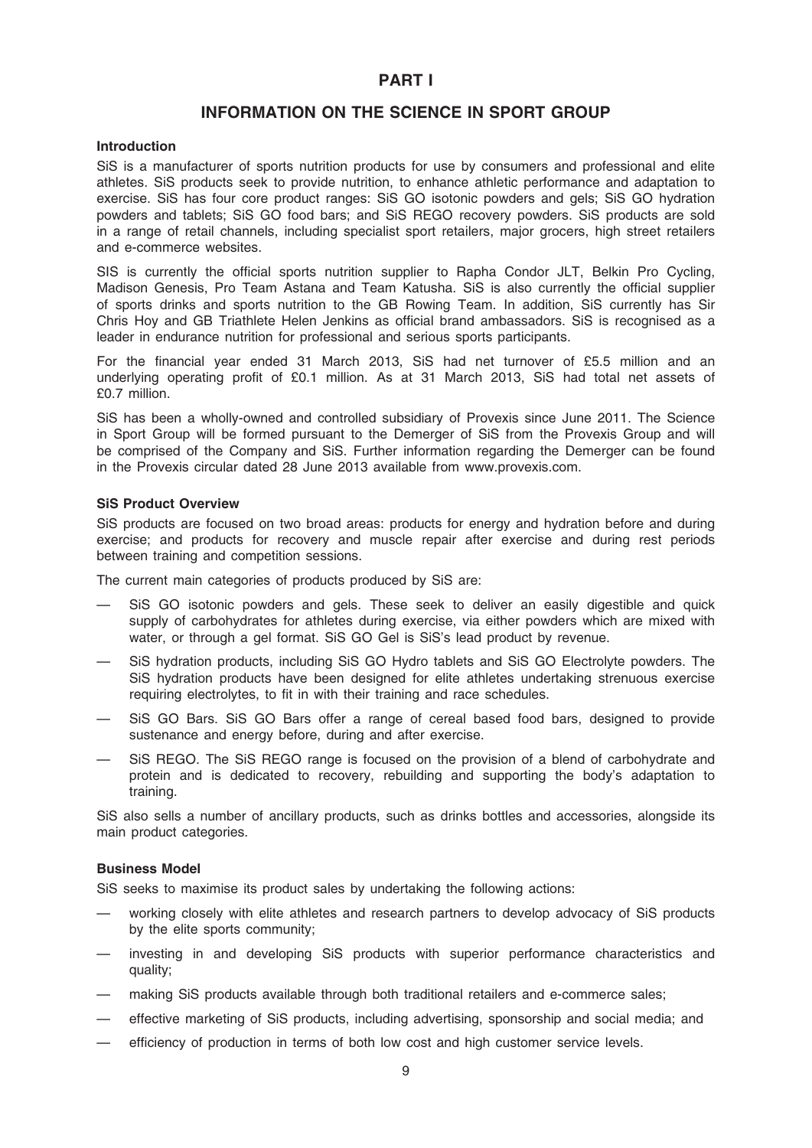# PART I

# INFORMATION ON THE SCIENCE IN SPORT GROUP

#### Introduction

SiS is a manufacturer of sports nutrition products for use by consumers and professional and elite athletes. SiS products seek to provide nutrition, to enhance athletic performance and adaptation to exercise. SiS has four core product ranges: SiS GO isotonic powders and gels; SiS GO hydration powders and tablets; SiS GO food bars; and SiS REGO recovery powders. SiS products are sold in a range of retail channels, including specialist sport retailers, major grocers, high street retailers and e-commerce websites.

SIS is currently the official sports nutrition supplier to Rapha Condor JLT, Belkin Pro Cycling, Madison Genesis, Pro Team Astana and Team Katusha. SiS is also currently the official supplier of sports drinks and sports nutrition to the GB Rowing Team. In addition, SiS currently has Sir Chris Hoy and GB Triathlete Helen Jenkins as official brand ambassadors. SiS is recognised as a leader in endurance nutrition for professional and serious sports participants.

For the financial year ended 31 March 2013, SiS had net turnover of £5.5 million and an underlying operating profit of £0.1 million. As at 31 March 2013, SiS had total net assets of £0.7 million.

SiS has been a wholly-owned and controlled subsidiary of Provexis since June 2011. The Science in Sport Group will be formed pursuant to the Demerger of SiS from the Provexis Group and will be comprised of the Company and SiS. Further information regarding the Demerger can be found in the Provexis circular dated 28 June 2013 available from www.provexis.com.

#### SiS Product Overview

SiS products are focused on two broad areas: products for energy and hydration before and during exercise; and products for recovery and muscle repair after exercise and during rest periods between training and competition sessions.

The current main categories of products produced by SiS are:

- SiS GO isotonic powders and gels. These seek to deliver an easily digestible and quick supply of carbohydrates for athletes during exercise, via either powders which are mixed with water, or through a gel format. SiS GO Gel is SiS's lead product by revenue.
- SiS hydration products, including SiS GO Hydro tablets and SiS GO Electrolyte powders. The SiS hydration products have been designed for elite athletes undertaking strenuous exercise requiring electrolytes, to fit in with their training and race schedules.
- SiS GO Bars. SiS GO Bars offer a range of cereal based food bars, designed to provide sustenance and energy before, during and after exercise.
- SiS REGO. The SiS REGO range is focused on the provision of a blend of carbohydrate and protein and is dedicated to recovery, rebuilding and supporting the body's adaptation to training.

SiS also sells a number of ancillary products, such as drinks bottles and accessories, alongside its main product categories.

#### Business Model

SiS seeks to maximise its product sales by undertaking the following actions:

- working closely with elite athletes and research partners to develop advocacy of SiS products by the elite sports community;
- investing in and developing SiS products with superior performance characteristics and quality;
- making SiS products available through both traditional retailers and e-commerce sales;
- effective marketing of SiS products, including advertising, sponsorship and social media; and
- efficiency of production in terms of both low cost and high customer service levels.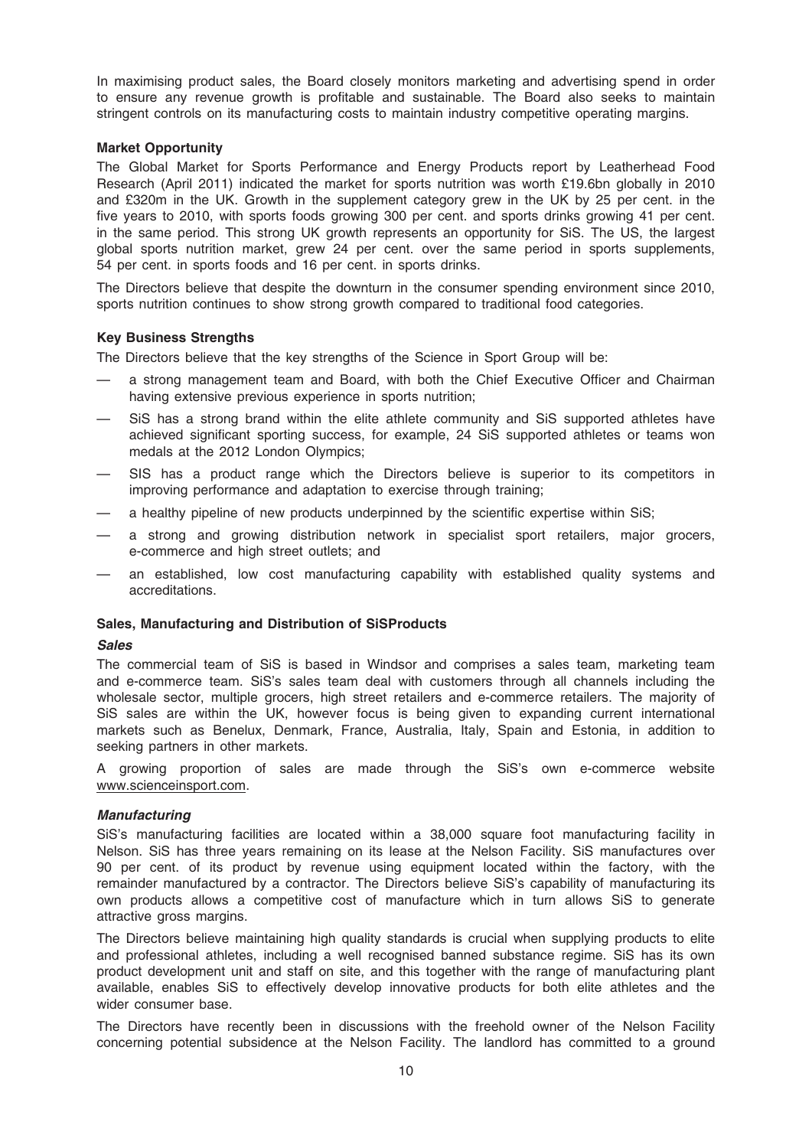In maximising product sales, the Board closely monitors marketing and advertising spend in order to ensure any revenue growth is profitable and sustainable. The Board also seeks to maintain stringent controls on its manufacturing costs to maintain industry competitive operating margins.

#### Market Opportunity

The Global Market for Sports Performance and Energy Products report by Leatherhead Food Research (April 2011) indicated the market for sports nutrition was worth £19.6bn globally in 2010 and £320m in the UK. Growth in the supplement category grew in the UK by 25 per cent. in the five years to 2010, with sports foods growing 300 per cent. and sports drinks growing 41 per cent. in the same period. This strong UK growth represents an opportunity for SiS. The US, the largest global sports nutrition market, grew 24 per cent. over the same period in sports supplements, 54 per cent. in sports foods and 16 per cent. in sports drinks.

The Directors believe that despite the downturn in the consumer spending environment since 2010, sports nutrition continues to show strong growth compared to traditional food categories.

#### Key Business Strengths

The Directors believe that the key strengths of the Science in Sport Group will be:

- a strong management team and Board, with both the Chief Executive Officer and Chairman having extensive previous experience in sports nutrition;
- SiS has a strong brand within the elite athlete community and SiS supported athletes have achieved significant sporting success, for example, 24 SiS supported athletes or teams won medals at the 2012 London Olympics;
- SIS has a product range which the Directors believe is superior to its competitors in improving performance and adaptation to exercise through training;
- a healthy pipeline of new products underpinned by the scientific expertise within SiS;
- a strong and growing distribution network in specialist sport retailers, major grocers, e-commerce and high street outlets; and
- an established, low cost manufacturing capability with established quality systems and accreditations.

#### Sales, Manufacturing and Distribution of SiSProducts

#### Sales

The commercial team of SiS is based in Windsor and comprises a sales team, marketing team and e-commerce team. SiS's sales team deal with customers through all channels including the wholesale sector, multiple grocers, high street retailers and e-commerce retailers. The majority of SiS sales are within the UK, however focus is being given to expanding current international markets such as Benelux, Denmark, France, Australia, Italy, Spain and Estonia, in addition to seeking partners in other markets.

A growing proportion of sales are made through the SiS's own e-commerce website www.scienceinsport.com.

#### Manufacturing

SiS's manufacturing facilities are located within a 38,000 square foot manufacturing facility in Nelson. SiS has three years remaining on its lease at the Nelson Facility. SiS manufactures over 90 per cent. of its product by revenue using equipment located within the factory, with the remainder manufactured by a contractor. The Directors believe SiS's capability of manufacturing its own products allows a competitive cost of manufacture which in turn allows SiS to generate attractive gross margins.

The Directors believe maintaining high quality standards is crucial when supplying products to elite and professional athletes, including a well recognised banned substance regime. SiS has its own product development unit and staff on site, and this together with the range of manufacturing plant available, enables SiS to effectively develop innovative products for both elite athletes and the wider consumer base.

The Directors have recently been in discussions with the freehold owner of the Nelson Facility concerning potential subsidence at the Nelson Facility. The landlord has committed to a ground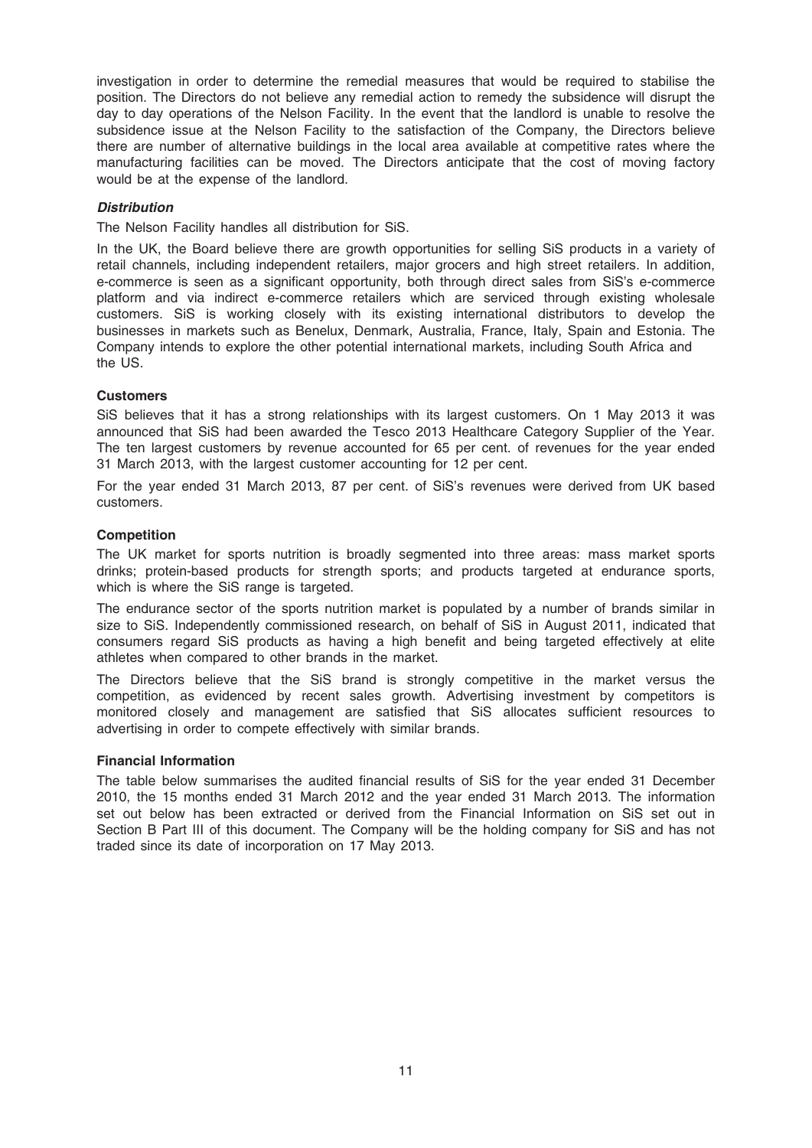investigation in order to determine the remedial measures that would be required to stabilise the position. The Directors do not believe any remedial action to remedy the subsidence will disrupt the day to day operations of the Nelson Facility. In the event that the landlord is unable to resolve the subsidence issue at the Nelson Facility to the satisfaction of the Company, the Directors believe there are number of alternative buildings in the local area available at competitive rates where the manufacturing facilities can be moved. The Directors anticipate that the cost of moving factory would be at the expense of the landlord.

# **Distribution**

The Nelson Facility handles all distribution for SiS.

In the UK, the Board believe there are growth opportunities for selling SiS products in a variety of retail channels, including independent retailers, major grocers and high street retailers. In addition, e-commerce is seen as a significant opportunity, both through direct sales from SiS's e-commerce platform and via indirect e-commerce retailers which are serviced through existing wholesale customers. SiS is working closely with its existing international distributors to develop the businesses in markets such as Benelux, Denmark, Australia, France, Italy, Spain and Estonia. The Company intends to explore the other potential international markets, including South Africa and the US.

#### **Customers**

SiS believes that it has a strong relationships with its largest customers. On 1 May 2013 it was announced that SiS had been awarded the Tesco 2013 Healthcare Category Supplier of the Year. The ten largest customers by revenue accounted for 65 per cent. of revenues for the year ended 31 March 2013, with the largest customer accounting for 12 per cent.

For the year ended 31 March 2013, 87 per cent. of SiS's revenues were derived from UK based customers.

#### **Competition**

The UK market for sports nutrition is broadly segmented into three areas: mass market sports drinks; protein-based products for strength sports; and products targeted at endurance sports, which is where the SiS range is targeted.

The endurance sector of the sports nutrition market is populated by a number of brands similar in size to SiS. Independently commissioned research, on behalf of SiS in August 2011, indicated that consumers regard SiS products as having a high benefit and being targeted effectively at elite athletes when compared to other brands in the market.

The Directors believe that the SiS brand is strongly competitive in the market versus the competition, as evidenced by recent sales growth. Advertising investment by competitors is monitored closely and management are satisfied that SiS allocates sufficient resources to advertising in order to compete effectively with similar brands.

#### Financial Information

The table below summarises the audited financial results of SiS for the year ended 31 December 2010, the 15 months ended 31 March 2012 and the year ended 31 March 2013. The information set out below has been extracted or derived from the Financial Information on SiS set out in Section B Part III of this document. The Company will be the holding company for SiS and has not traded since its date of incorporation on 17 May 2013.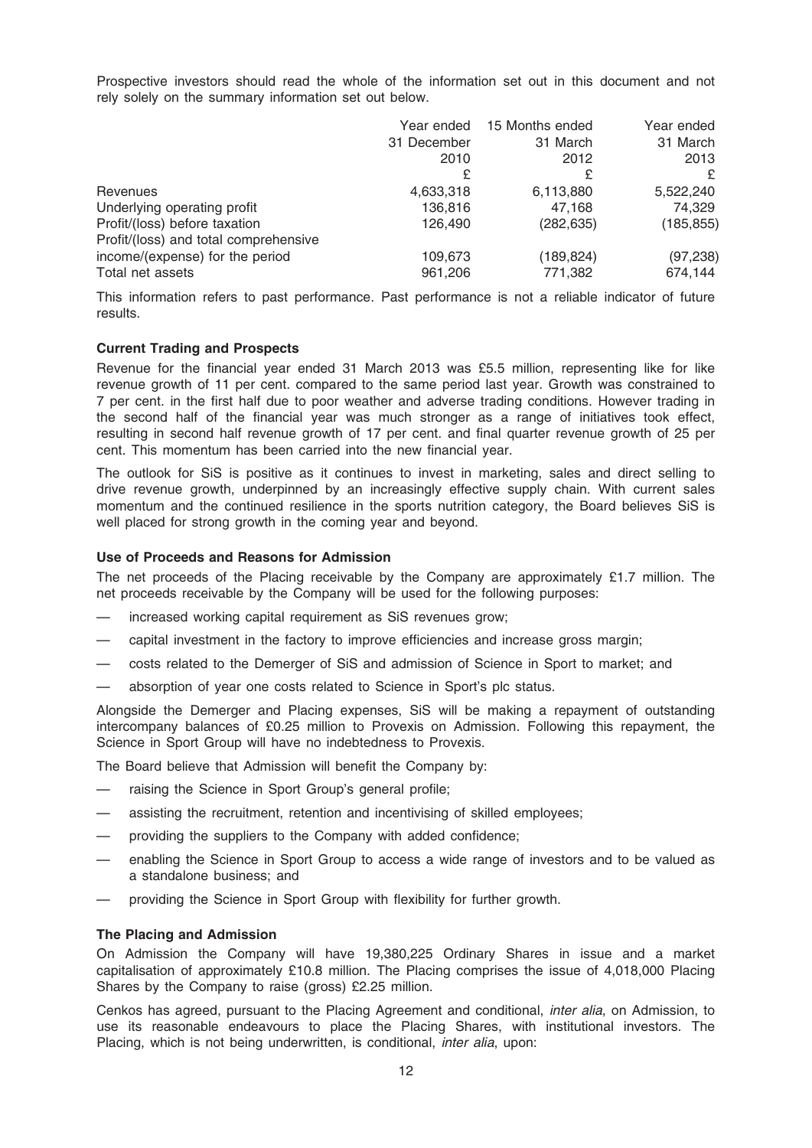Prospective investors should read the whole of the information set out in this document and not rely solely on the summary information set out below.

|                                                                        |             | Year ended 15 Months ended | Year ended |
|------------------------------------------------------------------------|-------------|----------------------------|------------|
|                                                                        | 31 December | 31 March                   | 31 March   |
|                                                                        | 2010        | 2012                       | 2013       |
|                                                                        | £           | £                          |            |
| Revenues                                                               | 4,633,318   | 6,113,880                  | 5,522,240  |
| Underlying operating profit                                            | 136,816     | 47,168                     | 74,329     |
| Profit/(loss) before taxation<br>Profit/(loss) and total comprehensive | 126.490     | (282, 635)                 | (185, 855) |
| income/(expense) for the period                                        | 109,673     | (189, 824)                 | (97, 238)  |
| Total net assets                                                       | 961,206     | 771,382                    | 674,144    |

This information refers to past performance. Past performance is not a reliable indicator of future results.

# Current Trading and Prospects

Revenue for the financial year ended 31 March 2013 was £5.5 million, representing like for like revenue growth of 11 per cent. compared to the same period last year. Growth was constrained to 7 per cent. in the first half due to poor weather and adverse trading conditions. However trading in the second half of the financial year was much stronger as a range of initiatives took effect, resulting in second half revenue growth of 17 per cent. and final quarter revenue growth of 25 per cent. This momentum has been carried into the new financial year.

The outlook for SiS is positive as it continues to invest in marketing, sales and direct selling to drive revenue growth, underpinned by an increasingly effective supply chain. With current sales momentum and the continued resilience in the sports nutrition category, the Board believes SiS is well placed for strong growth in the coming year and beyond.

#### Use of Proceeds and Reasons for Admission

The net proceeds of the Placing receivable by the Company are approximately £1.7 million. The net proceeds receivable by the Company will be used for the following purposes:

- increased working capital requirement as SiS revenues grow;
- capital investment in the factory to improve efficiencies and increase gross margin;
- costs related to the Demerger of SiS and admission of Science in Sport to market; and
- absorption of year one costs related to Science in Sport's plc status.

Alongside the Demerger and Placing expenses, SiS will be making a repayment of outstanding intercompany balances of £0.25 million to Provexis on Admission. Following this repayment, the Science in Sport Group will have no indebtedness to Provexis.

The Board believe that Admission will benefit the Company by:

- raising the Science in Sport Group's general profile;
- assisting the recruitment, retention and incentivising of skilled employees;
- providing the suppliers to the Company with added confidence;
- enabling the Science in Sport Group to access a wide range of investors and to be valued as a standalone business; and
- providing the Science in Sport Group with flexibility for further growth.

#### The Placing and Admission

On Admission the Company will have 19,380,225 Ordinary Shares in issue and a market capitalisation of approximately £10.8 million. The Placing comprises the issue of 4,018,000 Placing Shares by the Company to raise (gross) £2.25 million.

Cenkos has agreed, pursuant to the Placing Agreement and conditional, inter alia, on Admission, to use its reasonable endeavours to place the Placing Shares, with institutional investors. The Placing, which is not being underwritten, is conditional, *inter alia*, upon: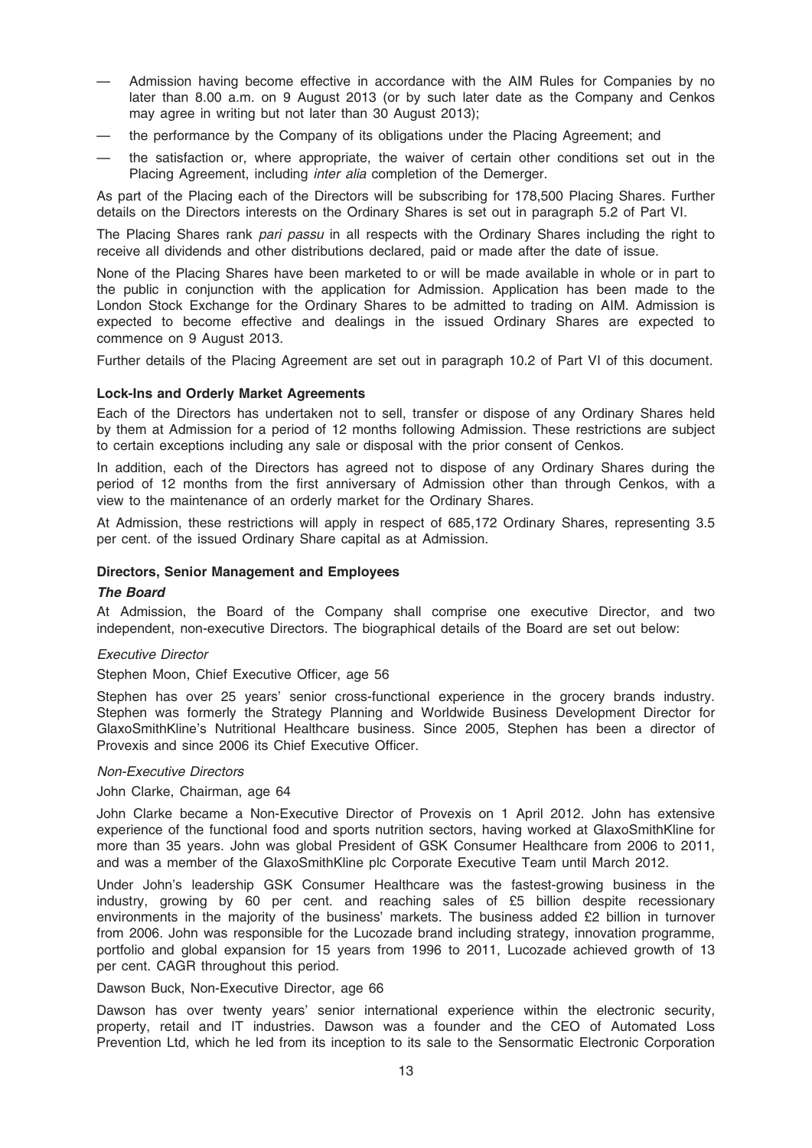- Admission having become effective in accordance with the AIM Rules for Companies by no later than 8.00 a.m. on 9 August 2013 (or by such later date as the Company and Cenkos may agree in writing but not later than 30 August 2013);
- the performance by the Company of its obligations under the Placing Agreement; and
- the satisfaction or, where appropriate, the waiver of certain other conditions set out in the Placing Agreement, including inter alia completion of the Demerger.

As part of the Placing each of the Directors will be subscribing for 178,500 Placing Shares. Further details on the Directors interests on the Ordinary Shares is set out in paragraph 5.2 of Part VI.

The Placing Shares rank pari passu in all respects with the Ordinary Shares including the right to receive all dividends and other distributions declared, paid or made after the date of issue.

None of the Placing Shares have been marketed to or will be made available in whole or in part to the public in conjunction with the application for Admission. Application has been made to the London Stock Exchange for the Ordinary Shares to be admitted to trading on AIM. Admission is expected to become effective and dealings in the issued Ordinary Shares are expected to commence on 9 August 2013.

Further details of the Placing Agreement are set out in paragraph 10.2 of Part VI of this document.

#### Lock-Ins and Orderly Market Agreements

Each of the Directors has undertaken not to sell, transfer or dispose of any Ordinary Shares held by them at Admission for a period of 12 months following Admission. These restrictions are subject to certain exceptions including any sale or disposal with the prior consent of Cenkos.

In addition, each of the Directors has agreed not to dispose of any Ordinary Shares during the period of 12 months from the first anniversary of Admission other than through Cenkos, with a view to the maintenance of an orderly market for the Ordinary Shares.

At Admission, these restrictions will apply in respect of 685,172 Ordinary Shares, representing 3.5 per cent. of the issued Ordinary Share capital as at Admission.

#### Directors, Senior Management and Employees

#### The Board

At Admission, the Board of the Company shall comprise one executive Director, and two independent, non-executive Directors. The biographical details of the Board are set out below:

#### Executive Director

Stephen Moon, Chief Executive Officer, age 56

Stephen has over 25 years' senior cross-functional experience in the grocery brands industry. Stephen was formerly the Strategy Planning and Worldwide Business Development Director for GlaxoSmithKline's Nutritional Healthcare business. Since 2005, Stephen has been a director of Provexis and since 2006 its Chief Executive Officer.

#### Non-Executive Directors

John Clarke, Chairman, age 64

John Clarke became a Non-Executive Director of Provexis on 1 April 2012. John has extensive experience of the functional food and sports nutrition sectors, having worked at GlaxoSmithKline for more than 35 years. John was global President of GSK Consumer Healthcare from 2006 to 2011, and was a member of the GlaxoSmithKline plc Corporate Executive Team until March 2012.

Under John's leadership GSK Consumer Healthcare was the fastest-growing business in the industry, growing by 60 per cent. and reaching sales of £5 billion despite recessionary environments in the majority of the business' markets. The business added £2 billion in turnover from 2006. John was responsible for the Lucozade brand including strategy, innovation programme, portfolio and global expansion for 15 years from 1996 to 2011, Lucozade achieved growth of 13 per cent. CAGR throughout this period.

Dawson Buck, Non-Executive Director, age 66

Dawson has over twenty years' senior international experience within the electronic security, property, retail and IT industries. Dawson was a founder and the CEO of Automated Loss Prevention Ltd, which he led from its inception to its sale to the Sensormatic Electronic Corporation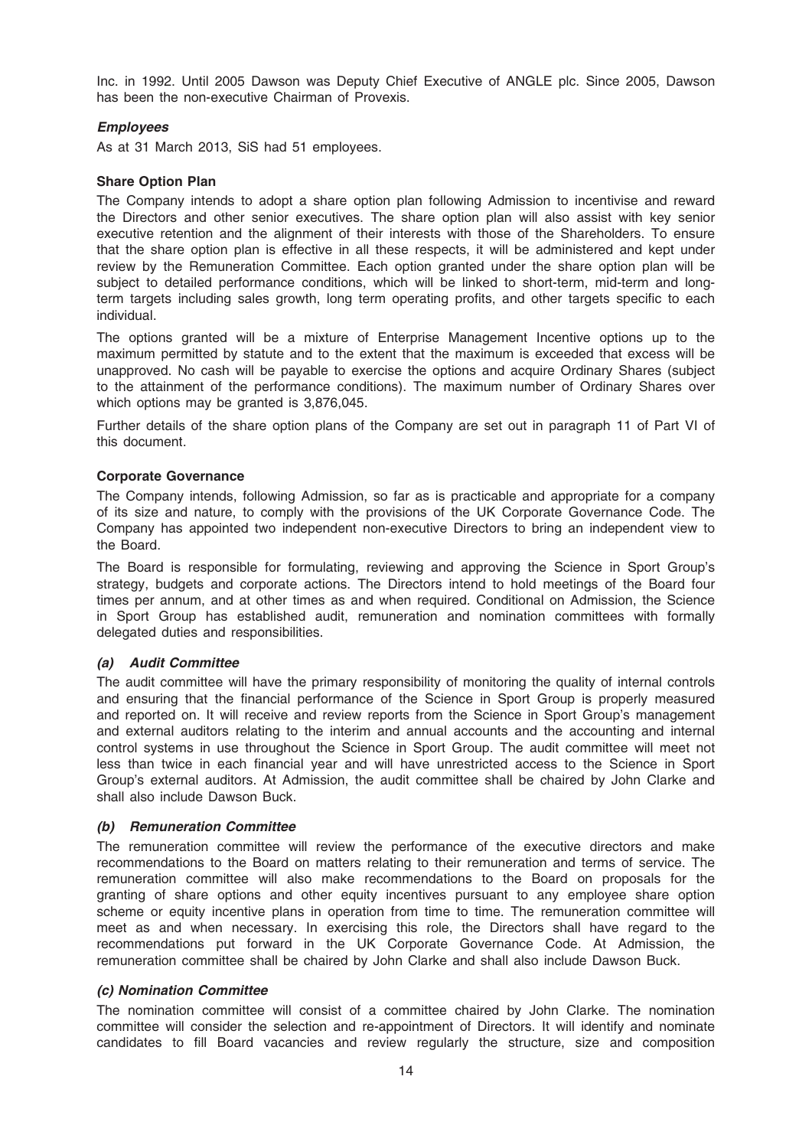Inc. in 1992. Until 2005 Dawson was Deputy Chief Executive of ANGLE plc. Since 2005, Dawson has been the non-executive Chairman of Provexis.

# Employees

As at 31 March 2013, SiS had 51 employees.

#### Share Option Plan

The Company intends to adopt a share option plan following Admission to incentivise and reward the Directors and other senior executives. The share option plan will also assist with key senior executive retention and the alignment of their interests with those of the Shareholders. To ensure that the share option plan is effective in all these respects, it will be administered and kept under review by the Remuneration Committee. Each option granted under the share option plan will be subject to detailed performance conditions, which will be linked to short-term, mid-term and longterm targets including sales growth, long term operating profits, and other targets specific to each individual.

The options granted will be a mixture of Enterprise Management Incentive options up to the maximum permitted by statute and to the extent that the maximum is exceeded that excess will be unapproved. No cash will be payable to exercise the options and acquire Ordinary Shares (subject to the attainment of the performance conditions). The maximum number of Ordinary Shares over which options may be granted is 3,876,045.

Further details of the share option plans of the Company are set out in paragraph 11 of Part VI of this document.

#### Corporate Governance

The Company intends, following Admission, so far as is practicable and appropriate for a company of its size and nature, to comply with the provisions of the UK Corporate Governance Code. The Company has appointed two independent non-executive Directors to bring an independent view to the Board.

The Board is responsible for formulating, reviewing and approving the Science in Sport Group's strategy, budgets and corporate actions. The Directors intend to hold meetings of the Board four times per annum, and at other times as and when required. Conditional on Admission, the Science in Sport Group has established audit, remuneration and nomination committees with formally delegated duties and responsibilities.

#### (a) Audit Committee

The audit committee will have the primary responsibility of monitoring the quality of internal controls and ensuring that the financial performance of the Science in Sport Group is properly measured and reported on. It will receive and review reports from the Science in Sport Group's management and external auditors relating to the interim and annual accounts and the accounting and internal control systems in use throughout the Science in Sport Group. The audit committee will meet not less than twice in each financial year and will have unrestricted access to the Science in Sport Group's external auditors. At Admission, the audit committee shall be chaired by John Clarke and shall also include Dawson Buck.

#### (b) Remuneration Committee

The remuneration committee will review the performance of the executive directors and make recommendations to the Board on matters relating to their remuneration and terms of service. The remuneration committee will also make recommendations to the Board on proposals for the granting of share options and other equity incentives pursuant to any employee share option scheme or equity incentive plans in operation from time to time. The remuneration committee will meet as and when necessary. In exercising this role, the Directors shall have regard to the recommendations put forward in the UK Corporate Governance Code. At Admission, the remuneration committee shall be chaired by John Clarke and shall also include Dawson Buck.

#### (c) Nomination Committee

The nomination committee will consist of a committee chaired by John Clarke. The nomination committee will consider the selection and re-appointment of Directors. It will identify and nominate candidates to fill Board vacancies and review regularly the structure, size and composition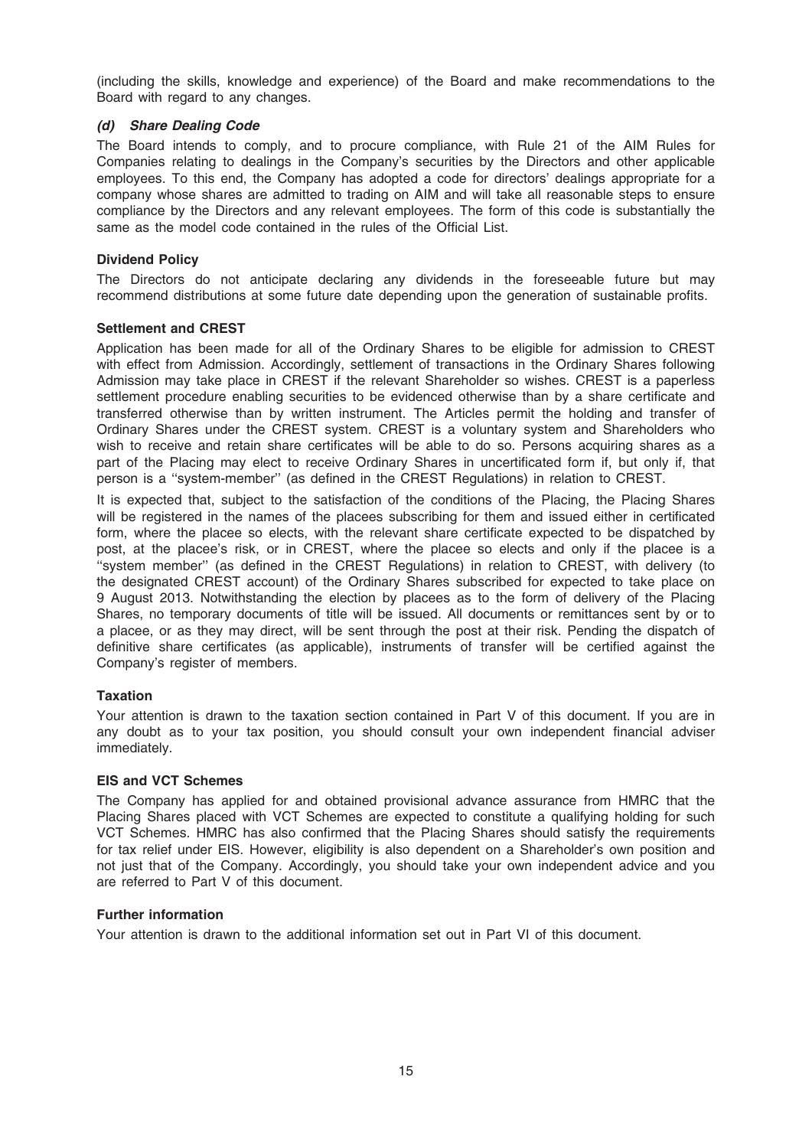(including the skills, knowledge and experience) of the Board and make recommendations to the Board with regard to any changes.

### (d) Share Dealing Code

The Board intends to comply, and to procure compliance, with Rule 21 of the AIM Rules for Companies relating to dealings in the Company's securities by the Directors and other applicable employees. To this end, the Company has adopted a code for directors' dealings appropriate for a company whose shares are admitted to trading on AIM and will take all reasonable steps to ensure compliance by the Directors and any relevant employees. The form of this code is substantially the same as the model code contained in the rules of the Official List.

#### Dividend Policy

The Directors do not anticipate declaring any dividends in the foreseeable future but may recommend distributions at some future date depending upon the generation of sustainable profits.

#### Settlement and CREST

Application has been made for all of the Ordinary Shares to be eligible for admission to CREST with effect from Admission. Accordingly, settlement of transactions in the Ordinary Shares following Admission may take place in CREST if the relevant Shareholder so wishes. CREST is a paperless settlement procedure enabling securities to be evidenced otherwise than by a share certificate and transferred otherwise than by written instrument. The Articles permit the holding and transfer of Ordinary Shares under the CREST system. CREST is a voluntary system and Shareholders who wish to receive and retain share certificates will be able to do so. Persons acquiring shares as a part of the Placing may elect to receive Ordinary Shares in uncertificated form if, but only if, that person is a ''system-member'' (as defined in the CREST Regulations) in relation to CREST.

It is expected that, subject to the satisfaction of the conditions of the Placing, the Placing Shares will be registered in the names of the placees subscribing for them and issued either in certificated form, where the placee so elects, with the relevant share certificate expected to be dispatched by post, at the placee's risk, or in CREST, where the placee so elects and only if the placee is a ''system member'' (as defined in the CREST Regulations) in relation to CREST, with delivery (to the designated CREST account) of the Ordinary Shares subscribed for expected to take place on 9 August 2013. Notwithstanding the election by placees as to the form of delivery of the Placing Shares, no temporary documents of title will be issued. All documents or remittances sent by or to a placee, or as they may direct, will be sent through the post at their risk. Pending the dispatch of definitive share certificates (as applicable), instruments of transfer will be certified against the Company's register of members.

#### **Taxation**

Your attention is drawn to the taxation section contained in Part V of this document. If you are in any doubt as to your tax position, you should consult your own independent financial adviser immediately.

#### EIS and VCT Schemes

The Company has applied for and obtained provisional advance assurance from HMRC that the Placing Shares placed with VCT Schemes are expected to constitute a qualifying holding for such VCT Schemes. HMRC has also confirmed that the Placing Shares should satisfy the requirements for tax relief under EIS. However, eligibility is also dependent on a Shareholder's own position and not just that of the Company. Accordingly, you should take your own independent advice and you are referred to Part V of this document.

#### Further information

Your attention is drawn to the additional information set out in Part VI of this document.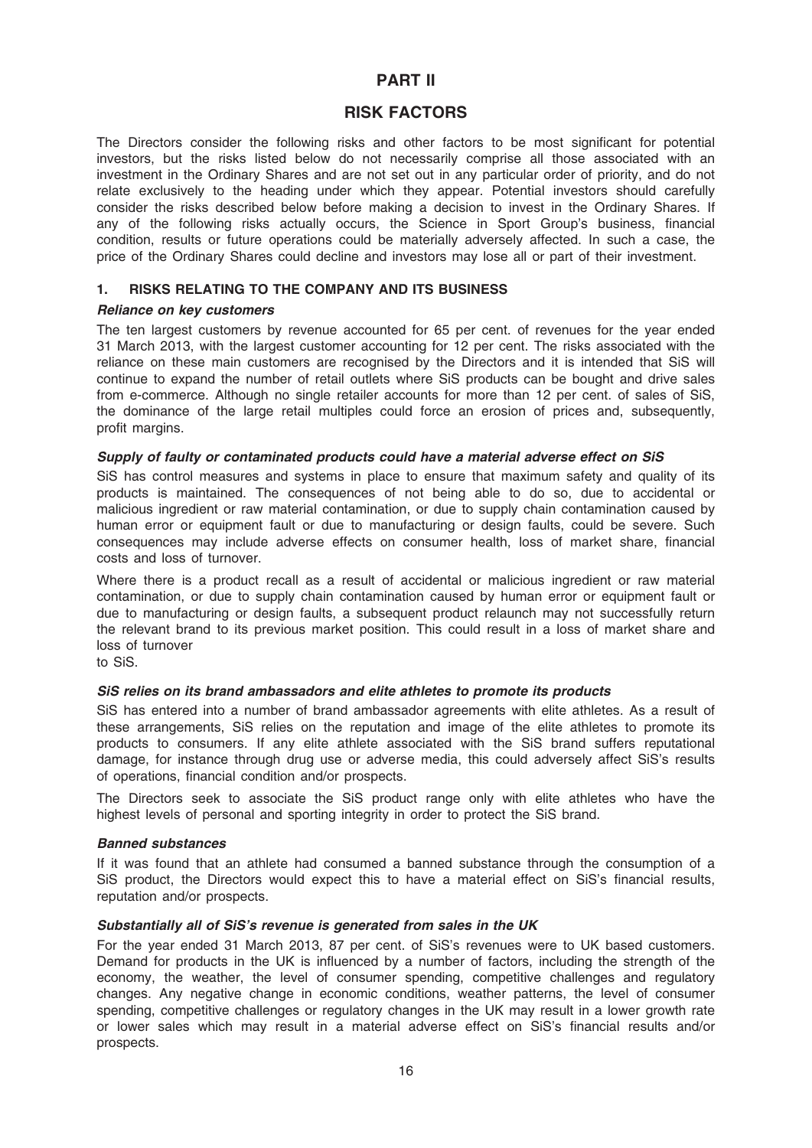# PART II

# RISK FACTORS

The Directors consider the following risks and other factors to be most significant for potential investors, but the risks listed below do not necessarily comprise all those associated with an investment in the Ordinary Shares and are not set out in any particular order of priority, and do not relate exclusively to the heading under which they appear. Potential investors should carefully consider the risks described below before making a decision to invest in the Ordinary Shares. If any of the following risks actually occurs, the Science in Sport Group's business, financial condition, results or future operations could be materially adversely affected. In such a case, the price of the Ordinary Shares could decline and investors may lose all or part of their investment.

# 1. RISKS RELATING TO THE COMPANY AND ITS BUSINESS

# Reliance on key customers

The ten largest customers by revenue accounted for 65 per cent. of revenues for the year ended 31 March 2013, with the largest customer accounting for 12 per cent. The risks associated with the reliance on these main customers are recognised by the Directors and it is intended that SiS will continue to expand the number of retail outlets where SiS products can be bought and drive sales from e-commerce. Although no single retailer accounts for more than 12 per cent. of sales of SiS, the dominance of the large retail multiples could force an erosion of prices and, subsequently, profit margins.

# Supply of faulty or contaminated products could have a material adverse effect on SiS

SiS has control measures and systems in place to ensure that maximum safety and quality of its products is maintained. The consequences of not being able to do so, due to accidental or malicious ingredient or raw material contamination, or due to supply chain contamination caused by human error or equipment fault or due to manufacturing or design faults, could be severe. Such consequences may include adverse effects on consumer health, loss of market share, financial costs and loss of turnover.

Where there is a product recall as a result of accidental or malicious ingredient or raw material contamination, or due to supply chain contamination caused by human error or equipment fault or due to manufacturing or design faults, a subsequent product relaunch may not successfully return the relevant brand to its previous market position. This could result in a loss of market share and loss of turnover

to SiS.

# SiS relies on its brand ambassadors and elite athletes to promote its products

SiS has entered into a number of brand ambassador agreements with elite athletes. As a result of these arrangements, SiS relies on the reputation and image of the elite athletes to promote its products to consumers. If any elite athlete associated with the SiS brand suffers reputational damage, for instance through drug use or adverse media, this could adversely affect SiS's results of operations, financial condition and/or prospects.

The Directors seek to associate the SiS product range only with elite athletes who have the highest levels of personal and sporting integrity in order to protect the SiS brand.

# Banned substances

If it was found that an athlete had consumed a banned substance through the consumption of a SiS product, the Directors would expect this to have a material effect on SiS's financial results, reputation and/or prospects.

# Substantially all of SiS's revenue is generated from sales in the UK

For the year ended 31 March 2013, 87 per cent. of SiS's revenues were to UK based customers. Demand for products in the UK is influenced by a number of factors, including the strength of the economy, the weather, the level of consumer spending, competitive challenges and regulatory changes. Any negative change in economic conditions, weather patterns, the level of consumer spending, competitive challenges or regulatory changes in the UK may result in a lower growth rate or lower sales which may result in a material adverse effect on SiS's financial results and/or prospects.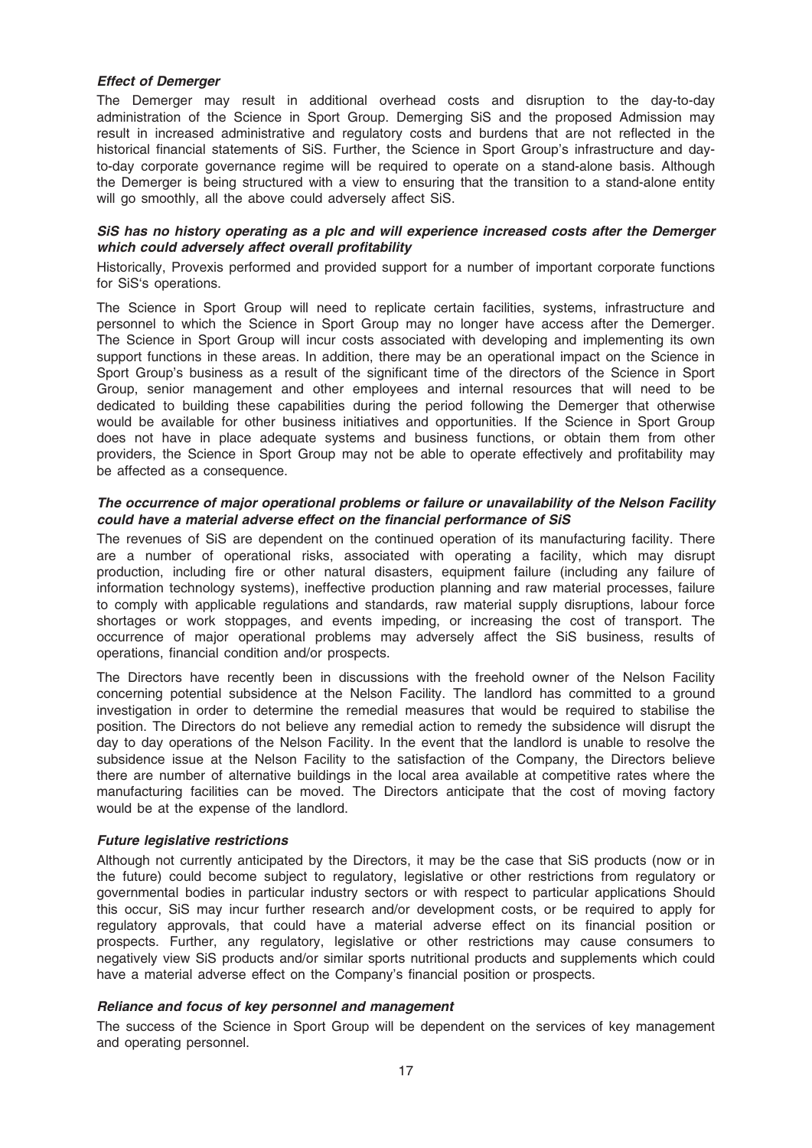#### Effect of Demerger

The Demerger may result in additional overhead costs and disruption to the day-to-day administration of the Science in Sport Group. Demerging SiS and the proposed Admission may result in increased administrative and regulatory costs and burdens that are not reflected in the historical financial statements of SiS. Further, the Science in Sport Group's infrastructure and dayto-day corporate governance regime will be required to operate on a stand-alone basis. Although the Demerger is being structured with a view to ensuring that the transition to a stand-alone entity will go smoothly, all the above could adversely affect SiS.

### SiS has no history operating as a plc and will experience increased costs after the Demerger which could adversely affect overall profitability

Historically, Provexis performed and provided support for a number of important corporate functions for SiS's operations.

The Science in Sport Group will need to replicate certain facilities, systems, infrastructure and personnel to which the Science in Sport Group may no longer have access after the Demerger. The Science in Sport Group will incur costs associated with developing and implementing its own support functions in these areas. In addition, there may be an operational impact on the Science in Sport Group's business as a result of the significant time of the directors of the Science in Sport Group, senior management and other employees and internal resources that will need to be dedicated to building these capabilities during the period following the Demerger that otherwise would be available for other business initiatives and opportunities. If the Science in Sport Group does not have in place adequate systems and business functions, or obtain them from other providers, the Science in Sport Group may not be able to operate effectively and profitability may be affected as a consequence.

#### The occurrence of major operational problems or failure or unavailability of the Nelson Facility could have a material adverse effect on the financial performance of SiS

The revenues of SiS are dependent on the continued operation of its manufacturing facility. There are a number of operational risks, associated with operating a facility, which may disrupt production, including fire or other natural disasters, equipment failure (including any failure of information technology systems), ineffective production planning and raw material processes, failure to comply with applicable regulations and standards, raw material supply disruptions, labour force shortages or work stoppages, and events impeding, or increasing the cost of transport. The occurrence of major operational problems may adversely affect the SiS business, results of operations, financial condition and/or prospects.

The Directors have recently been in discussions with the freehold owner of the Nelson Facility concerning potential subsidence at the Nelson Facility. The landlord has committed to a ground investigation in order to determine the remedial measures that would be required to stabilise the position. The Directors do not believe any remedial action to remedy the subsidence will disrupt the day to day operations of the Nelson Facility. In the event that the landlord is unable to resolve the subsidence issue at the Nelson Facility to the satisfaction of the Company, the Directors believe there are number of alternative buildings in the local area available at competitive rates where the manufacturing facilities can be moved. The Directors anticipate that the cost of moving factory would be at the expense of the landlord.

#### Future legislative restrictions

Although not currently anticipated by the Directors, it may be the case that SiS products (now or in the future) could become subject to regulatory, legislative or other restrictions from regulatory or governmental bodies in particular industry sectors or with respect to particular applications Should this occur, SiS may incur further research and/or development costs, or be required to apply for regulatory approvals, that could have a material adverse effect on its financial position or prospects. Further, any regulatory, legislative or other restrictions may cause consumers to negatively view SiS products and/or similar sports nutritional products and supplements which could have a material adverse effect on the Company's financial position or prospects.

### Reliance and focus of key personnel and management

The success of the Science in Sport Group will be dependent on the services of key management and operating personnel.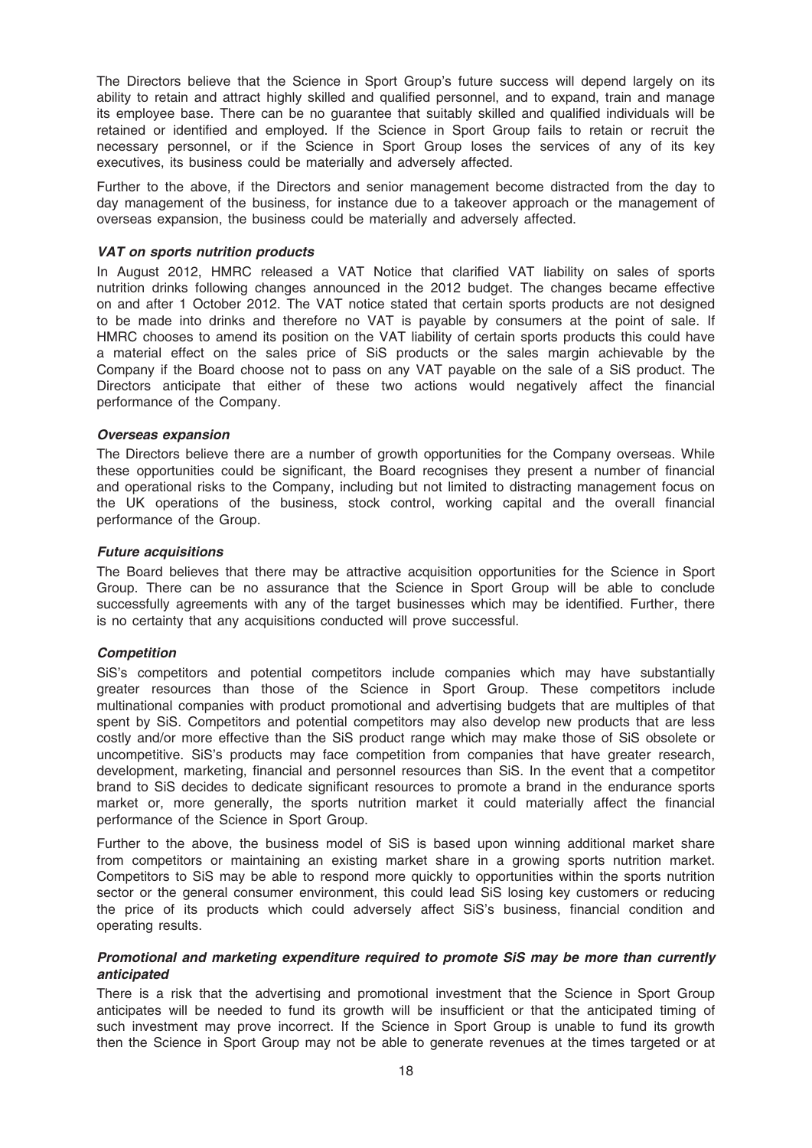The Directors believe that the Science in Sport Group's future success will depend largely on its ability to retain and attract highly skilled and qualified personnel, and to expand, train and manage its employee base. There can be no guarantee that suitably skilled and qualified individuals will be retained or identified and employed. If the Science in Sport Group fails to retain or recruit the necessary personnel, or if the Science in Sport Group loses the services of any of its key executives, its business could be materially and adversely affected.

Further to the above, if the Directors and senior management become distracted from the day to day management of the business, for instance due to a takeover approach or the management of overseas expansion, the business could be materially and adversely affected.

#### VAT on sports nutrition products

In August 2012, HMRC released a VAT Notice that clarified VAT liability on sales of sports nutrition drinks following changes announced in the 2012 budget. The changes became effective on and after 1 October 2012. The VAT notice stated that certain sports products are not designed to be made into drinks and therefore no VAT is payable by consumers at the point of sale. If HMRC chooses to amend its position on the VAT liability of certain sports products this could have a material effect on the sales price of SiS products or the sales margin achievable by the Company if the Board choose not to pass on any VAT payable on the sale of a SiS product. The Directors anticipate that either of these two actions would negatively affect the financial performance of the Company.

#### Overseas expansion

The Directors believe there are a number of growth opportunities for the Company overseas. While these opportunities could be significant, the Board recognises they present a number of financial and operational risks to the Company, including but not limited to distracting management focus on the UK operations of the business, stock control, working capital and the overall financial performance of the Group.

#### Future acquisitions

The Board believes that there may be attractive acquisition opportunities for the Science in Sport Group. There can be no assurance that the Science in Sport Group will be able to conclude successfully agreements with any of the target businesses which may be identified. Further, there is no certainty that any acquisitions conducted will prove successful.

#### **Competition**

SiS's competitors and potential competitors include companies which may have substantially greater resources than those of the Science in Sport Group. These competitors include multinational companies with product promotional and advertising budgets that are multiples of that spent by SiS. Competitors and potential competitors may also develop new products that are less costly and/or more effective than the SiS product range which may make those of SiS obsolete or uncompetitive. SiS's products may face competition from companies that have greater research, development, marketing, financial and personnel resources than SiS. In the event that a competitor brand to SiS decides to dedicate significant resources to promote a brand in the endurance sports market or, more generally, the sports nutrition market it could materially affect the financial performance of the Science in Sport Group.

Further to the above, the business model of SiS is based upon winning additional market share from competitors or maintaining an existing market share in a growing sports nutrition market. Competitors to SiS may be able to respond more quickly to opportunities within the sports nutrition sector or the general consumer environment, this could lead SiS losing key customers or reducing the price of its products which could adversely affect SiS's business, financial condition and operating results.

#### Promotional and marketing expenditure required to promote SiS may be more than currently anticipated

There is a risk that the advertising and promotional investment that the Science in Sport Group anticipates will be needed to fund its growth will be insufficient or that the anticipated timing of such investment may prove incorrect. If the Science in Sport Group is unable to fund its growth then the Science in Sport Group may not be able to generate revenues at the times targeted or at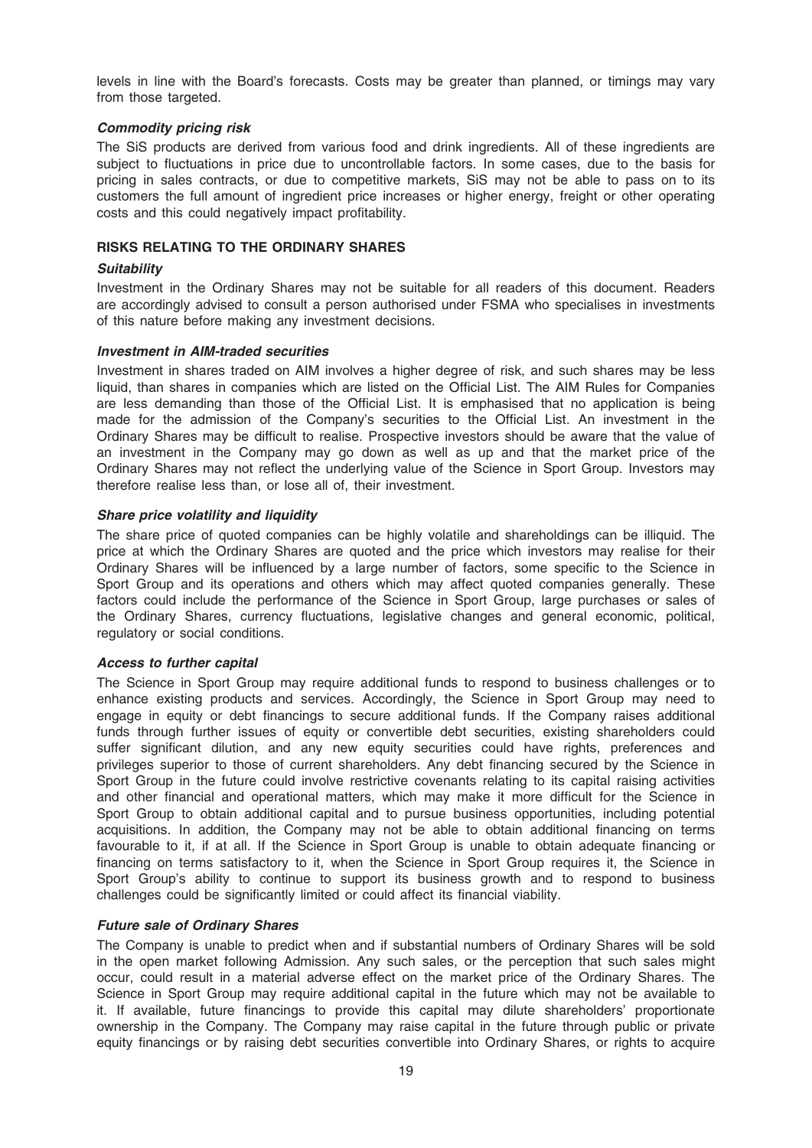levels in line with the Board's forecasts. Costs may be greater than planned, or timings may vary from those targeted.

### Commodity pricing risk

The SiS products are derived from various food and drink ingredients. All of these ingredients are subject to fluctuations in price due to uncontrollable factors. In some cases, due to the basis for pricing in sales contracts, or due to competitive markets, SiS may not be able to pass on to its customers the full amount of ingredient price increases or higher energy, freight or other operating costs and this could negatively impact profitability.

#### RISKS RELATING TO THE ORDINARY SHARES

#### **Suitability**

Investment in the Ordinary Shares may not be suitable for all readers of this document. Readers are accordingly advised to consult a person authorised under FSMA who specialises in investments of this nature before making any investment decisions.

#### Investment in AIM-traded securities

Investment in shares traded on AIM involves a higher degree of risk, and such shares may be less liquid, than shares in companies which are listed on the Official List. The AIM Rules for Companies are less demanding than those of the Official List. It is emphasised that no application is being made for the admission of the Company's securities to the Official List. An investment in the Ordinary Shares may be difficult to realise. Prospective investors should be aware that the value of an investment in the Company may go down as well as up and that the market price of the Ordinary Shares may not reflect the underlying value of the Science in Sport Group. Investors may therefore realise less than, or lose all of, their investment.

#### Share price volatility and liquidity

The share price of quoted companies can be highly volatile and shareholdings can be illiquid. The price at which the Ordinary Shares are quoted and the price which investors may realise for their Ordinary Shares will be influenced by a large number of factors, some specific to the Science in Sport Group and its operations and others which may affect quoted companies generally. These factors could include the performance of the Science in Sport Group, large purchases or sales of the Ordinary Shares, currency fluctuations, legislative changes and general economic, political, regulatory or social conditions.

#### Access to further capital

The Science in Sport Group may require additional funds to respond to business challenges or to enhance existing products and services. Accordingly, the Science in Sport Group may need to engage in equity or debt financings to secure additional funds. If the Company raises additional funds through further issues of equity or convertible debt securities, existing shareholders could suffer significant dilution, and any new equity securities could have rights, preferences and privileges superior to those of current shareholders. Any debt financing secured by the Science in Sport Group in the future could involve restrictive covenants relating to its capital raising activities and other financial and operational matters, which may make it more difficult for the Science in Sport Group to obtain additional capital and to pursue business opportunities, including potential acquisitions. In addition, the Company may not be able to obtain additional financing on terms favourable to it, if at all. If the Science in Sport Group is unable to obtain adequate financing or financing on terms satisfactory to it, when the Science in Sport Group requires it, the Science in Sport Group's ability to continue to support its business growth and to respond to business challenges could be significantly limited or could affect its financial viability.

# Future sale of Ordinary Shares

The Company is unable to predict when and if substantial numbers of Ordinary Shares will be sold in the open market following Admission. Any such sales, or the perception that such sales might occur, could result in a material adverse effect on the market price of the Ordinary Shares. The Science in Sport Group may require additional capital in the future which may not be available to it. If available, future financings to provide this capital may dilute shareholders' proportionate ownership in the Company. The Company may raise capital in the future through public or private equity financings or by raising debt securities convertible into Ordinary Shares, or rights to acquire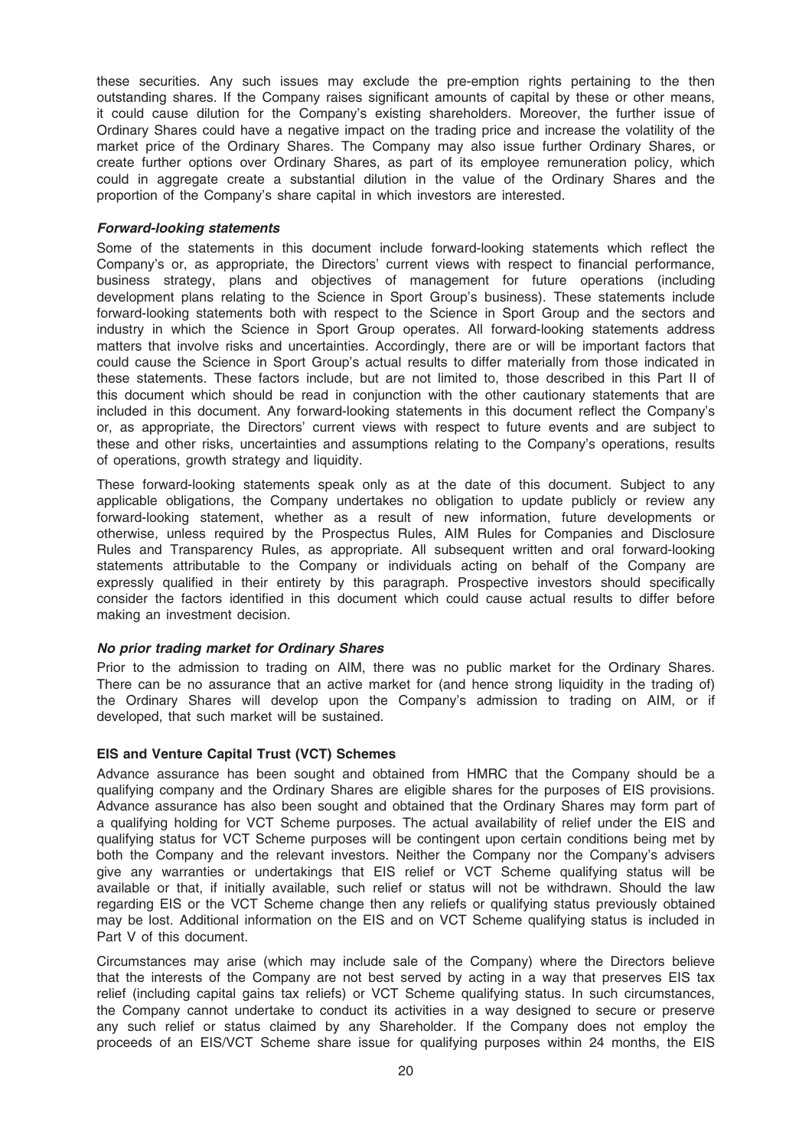these securities. Any such issues may exclude the pre-emption rights pertaining to the then outstanding shares. If the Company raises significant amounts of capital by these or other means, it could cause dilution for the Company's existing shareholders. Moreover, the further issue of Ordinary Shares could have a negative impact on the trading price and increase the volatility of the market price of the Ordinary Shares. The Company may also issue further Ordinary Shares, or create further options over Ordinary Shares, as part of its employee remuneration policy, which could in aggregate create a substantial dilution in the value of the Ordinary Shares and the proportion of the Company's share capital in which investors are interested.

#### Forward-looking statements

Some of the statements in this document include forward-looking statements which reflect the Company's or, as appropriate, the Directors' current views with respect to financial performance, business strategy, plans and objectives of management for future operations (including development plans relating to the Science in Sport Group's business). These statements include forward-looking statements both with respect to the Science in Sport Group and the sectors and industry in which the Science in Sport Group operates. All forward-looking statements address matters that involve risks and uncertainties. Accordingly, there are or will be important factors that could cause the Science in Sport Group's actual results to differ materially from those indicated in these statements. These factors include, but are not limited to, those described in this Part II of this document which should be read in conjunction with the other cautionary statements that are included in this document. Any forward-looking statements in this document reflect the Company's or, as appropriate, the Directors' current views with respect to future events and are subject to these and other risks, uncertainties and assumptions relating to the Company's operations, results of operations, growth strategy and liquidity.

These forward-looking statements speak only as at the date of this document. Subject to any applicable obligations, the Company undertakes no obligation to update publicly or review any forward-looking statement, whether as a result of new information, future developments or otherwise, unless required by the Prospectus Rules, AIM Rules for Companies and Disclosure Rules and Transparency Rules, as appropriate. All subsequent written and oral forward-looking statements attributable to the Company or individuals acting on behalf of the Company are expressly qualified in their entirety by this paragraph. Prospective investors should specifically consider the factors identified in this document which could cause actual results to differ before making an investment decision.

#### No prior trading market for Ordinary Shares

Prior to the admission to trading on AIM, there was no public market for the Ordinary Shares. There can be no assurance that an active market for (and hence strong liquidity in the trading of) the Ordinary Shares will develop upon the Company's admission to trading on AIM, or if developed, that such market will be sustained.

#### EIS and Venture Capital Trust (VCT) Schemes

Advance assurance has been sought and obtained from HMRC that the Company should be a qualifying company and the Ordinary Shares are eligible shares for the purposes of EIS provisions. Advance assurance has also been sought and obtained that the Ordinary Shares may form part of a qualifying holding for VCT Scheme purposes. The actual availability of relief under the EIS and qualifying status for VCT Scheme purposes will be contingent upon certain conditions being met by both the Company and the relevant investors. Neither the Company nor the Company's advisers give any warranties or undertakings that EIS relief or VCT Scheme qualifying status will be available or that, if initially available, such relief or status will not be withdrawn. Should the law regarding EIS or the VCT Scheme change then any reliefs or qualifying status previously obtained may be lost. Additional information on the EIS and on VCT Scheme qualifying status is included in Part V of this document.

Circumstances may arise (which may include sale of the Company) where the Directors believe that the interests of the Company are not best served by acting in a way that preserves EIS tax relief (including capital gains tax reliefs) or VCT Scheme qualifying status. In such circumstances, the Company cannot undertake to conduct its activities in a way designed to secure or preserve any such relief or status claimed by any Shareholder. If the Company does not employ the proceeds of an EIS/VCT Scheme share issue for qualifying purposes within 24 months, the EIS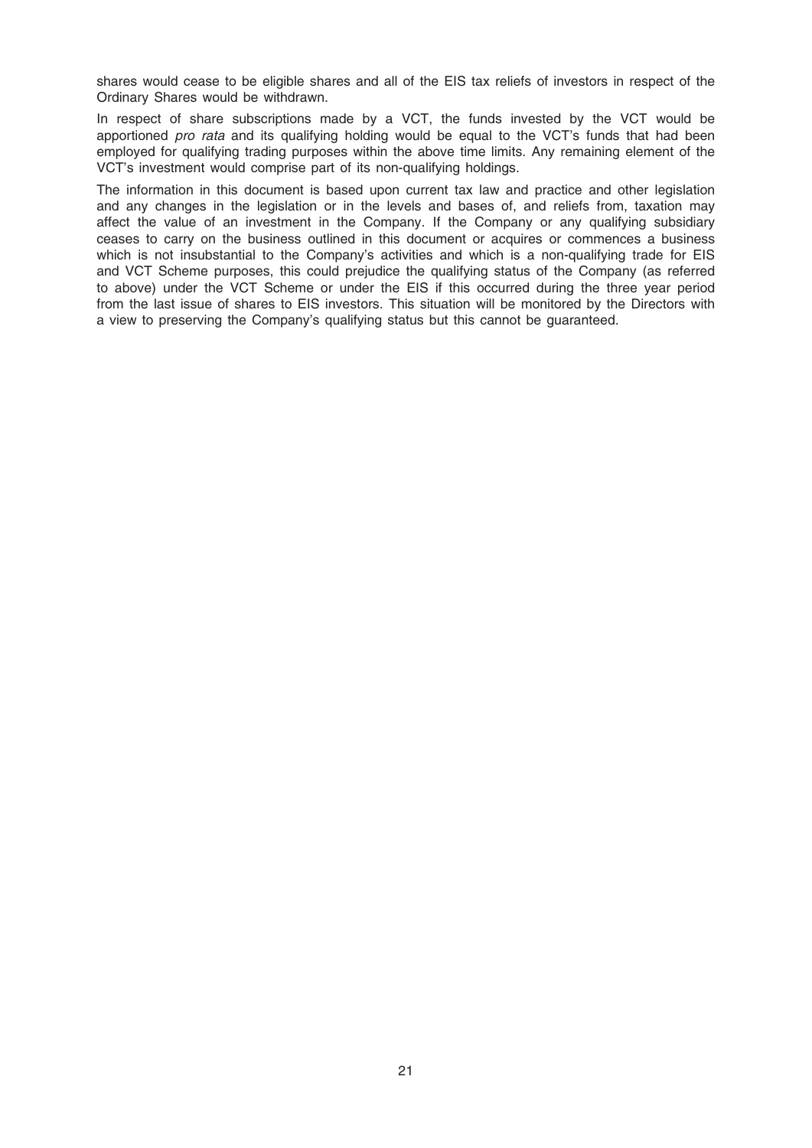shares would cease to be eligible shares and all of the EIS tax reliefs of investors in respect of the Ordinary Shares would be withdrawn.

In respect of share subscriptions made by a VCT, the funds invested by the VCT would be apportioned pro rata and its qualifying holding would be equal to the VCT's funds that had been employed for qualifying trading purposes within the above time limits. Any remaining element of the VCT's investment would comprise part of its non-qualifying holdings.

The information in this document is based upon current tax law and practice and other legislation and any changes in the legislation or in the levels and bases of, and reliefs from, taxation may affect the value of an investment in the Company. If the Company or any qualifying subsidiary ceases to carry on the business outlined in this document or acquires or commences a business which is not insubstantial to the Company's activities and which is a non-qualifying trade for EIS and VCT Scheme purposes, this could prejudice the qualifying status of the Company (as referred to above) under the VCT Scheme or under the EIS if this occurred during the three year period from the last issue of shares to EIS investors. This situation will be monitored by the Directors with a view to preserving the Company's qualifying status but this cannot be guaranteed.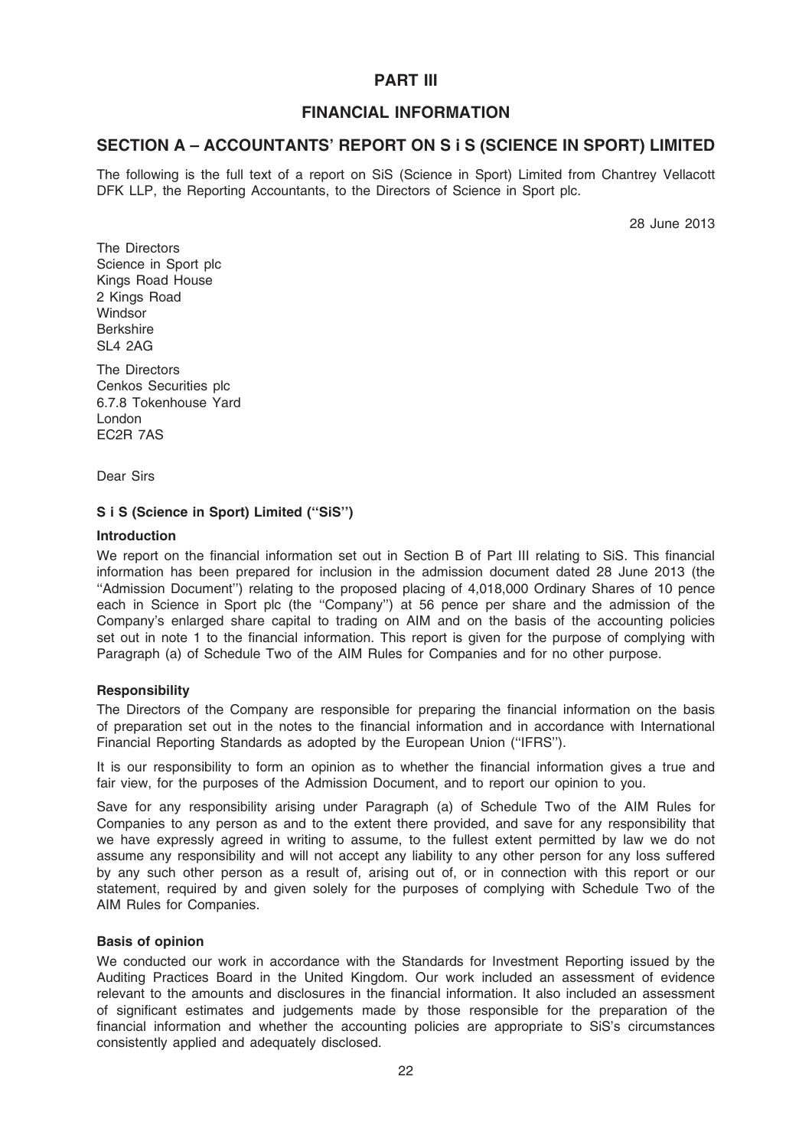# PART III

# FINANCIAL INFORMATION

# SECTION A – ACCOUNTANTS' REPORT ON S i S (SCIENCE IN SPORT) LIMITED

The following is the full text of a report on SiS (Science in Sport) Limited from Chantrey Vellacott DFK LLP, the Reporting Accountants, to the Directors of Science in Sport plc.

28 June 2013

The Directors Science in Sport plc Kings Road House 2 Kings Road **Windsor** Berkshire SL4 2AG

The Directors Cenkos Securities plc 6.7.8 Tokenhouse Yard London EC2R 7AS

Dear Sirs

# S i S (Science in Sport) Limited (''SiS'')

#### Introduction

We report on the financial information set out in Section B of Part III relating to SiS. This financial information has been prepared for inclusion in the admission document dated 28 June 2013 (the ''Admission Document'') relating to the proposed placing of 4,018,000 Ordinary Shares of 10 pence each in Science in Sport plc (the ''Company'') at 56 pence per share and the admission of the Company's enlarged share capital to trading on AIM and on the basis of the accounting policies set out in note 1 to the financial information. This report is given for the purpose of complying with Paragraph (a) of Schedule Two of the AIM Rules for Companies and for no other purpose.

# **Responsibility**

The Directors of the Company are responsible for preparing the financial information on the basis of preparation set out in the notes to the financial information and in accordance with International Financial Reporting Standards as adopted by the European Union (''IFRS'').

It is our responsibility to form an opinion as to whether the financial information gives a true and fair view, for the purposes of the Admission Document, and to report our opinion to you.

Save for any responsibility arising under Paragraph (a) of Schedule Two of the AIM Rules for Companies to any person as and to the extent there provided, and save for any responsibility that we have expressly agreed in writing to assume, to the fullest extent permitted by law we do not assume any responsibility and will not accept any liability to any other person for any loss suffered by any such other person as a result of, arising out of, or in connection with this report or our statement, required by and given solely for the purposes of complying with Schedule Two of the AIM Rules for Companies.

#### Basis of opinion

We conducted our work in accordance with the Standards for Investment Reporting issued by the Auditing Practices Board in the United Kingdom. Our work included an assessment of evidence relevant to the amounts and disclosures in the financial information. It also included an assessment of significant estimates and judgements made by those responsible for the preparation of the financial information and whether the accounting policies are appropriate to SiS's circumstances consistently applied and adequately disclosed.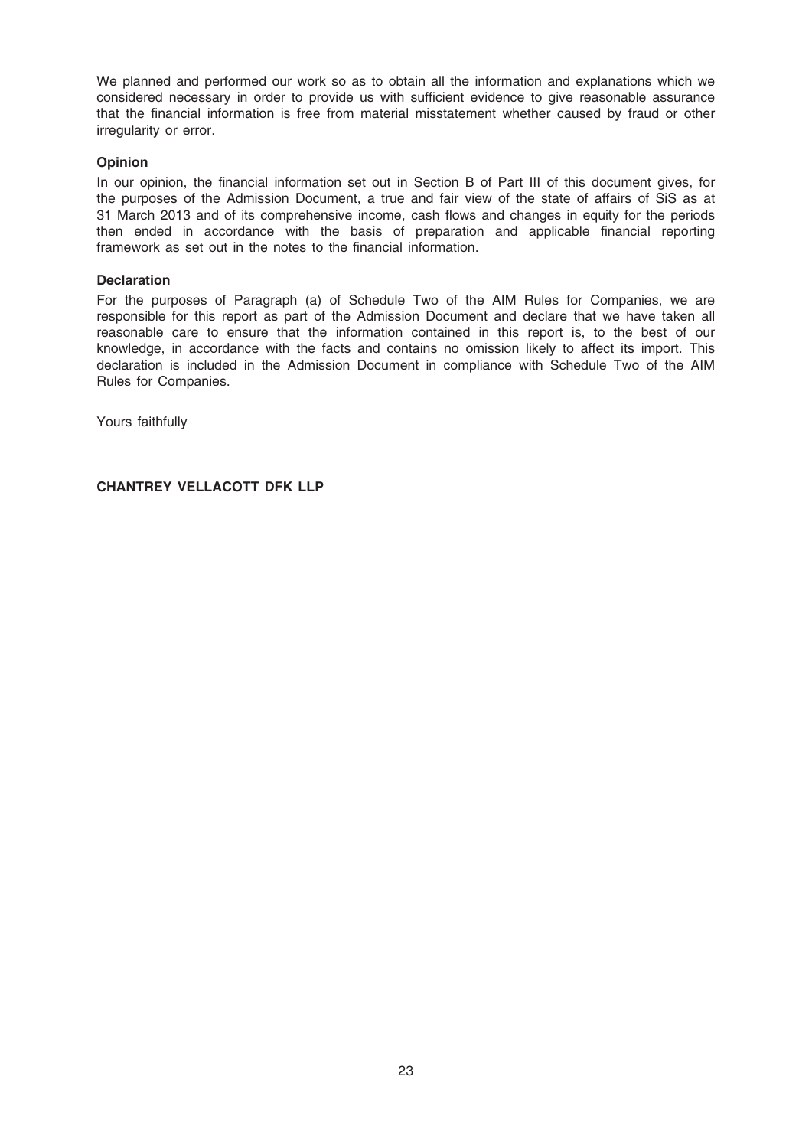We planned and performed our work so as to obtain all the information and explanations which we considered necessary in order to provide us with sufficient evidence to give reasonable assurance that the financial information is free from material misstatement whether caused by fraud or other irregularity or error.

### Opinion

In our opinion, the financial information set out in Section B of Part III of this document gives, for the purposes of the Admission Document, a true and fair view of the state of affairs of SiS as at 31 March 2013 and of its comprehensive income, cash flows and changes in equity for the periods then ended in accordance with the basis of preparation and applicable financial reporting framework as set out in the notes to the financial information.

#### **Declaration**

For the purposes of Paragraph (a) of Schedule Two of the AIM Rules for Companies, we are responsible for this report as part of the Admission Document and declare that we have taken all reasonable care to ensure that the information contained in this report is, to the best of our knowledge, in accordance with the facts and contains no omission likely to affect its import. This declaration is included in the Admission Document in compliance with Schedule Two of the AIM Rules for Companies.

Yours faithfully

CHANTREY VELLACOTT DFK LLP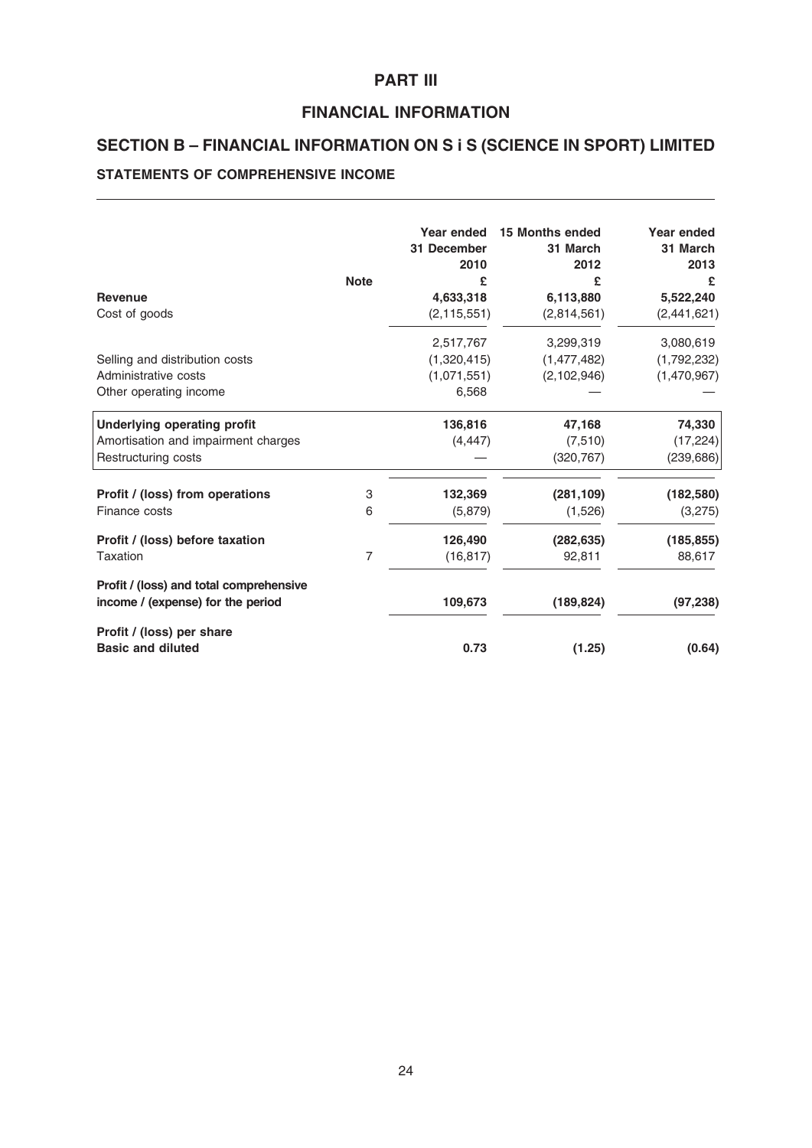# PART III

# FINANCIAL INFORMATION

# SECTION B – FINANCIAL INFORMATION ON S i S (SCIENCE IN SPORT) LIMITED

# STATEMENTS OF COMPREHENSIVE INCOME

| <b>Revenue</b><br>Cost of goods                                              | <b>Note</b> | Year ended<br>31 December<br>2010<br>£<br>4,633,318<br>(2, 115, 551) | <b>15 Months ended</b><br>31 March<br>2012<br>£<br>6,113,880<br>(2,814,561) | Year ended<br>31 March<br>2013<br>£<br>5,522,240<br>(2,441,621) |
|------------------------------------------------------------------------------|-------------|----------------------------------------------------------------------|-----------------------------------------------------------------------------|-----------------------------------------------------------------|
|                                                                              |             | 2,517,767                                                            | 3,299,319                                                                   | 3,080,619                                                       |
| Selling and distribution costs                                               |             | (1,320,415)                                                          | (1,477,482)                                                                 | (1,792,232)                                                     |
| Administrative costs                                                         |             | (1,071,551)                                                          | (2, 102, 946)                                                               | (1,470,967)                                                     |
| Other operating income                                                       |             | 6,568                                                                |                                                                             |                                                                 |
| <b>Underlying operating profit</b>                                           |             | 136,816                                                              | 47,168                                                                      | 74,330                                                          |
| Amortisation and impairment charges                                          |             | (4, 447)                                                             | (7, 510)                                                                    | (17, 224)                                                       |
| Restructuring costs                                                          |             |                                                                      | (320, 767)                                                                  | (239, 686)                                                      |
| Profit / (loss) from operations                                              | 3           | 132,369                                                              | (281, 109)                                                                  | (182, 580)                                                      |
| Finance costs                                                                | 6           | (5,879)                                                              | (1,526)                                                                     | (3,275)                                                         |
| Profit / (loss) before taxation                                              |             | 126,490                                                              | (282, 635)                                                                  | (185, 855)                                                      |
| Taxation                                                                     | 7           | (16, 817)                                                            | 92,811                                                                      | 88,617                                                          |
| Profit / (loss) and total comprehensive<br>income / (expense) for the period |             | 109,673                                                              | (189, 824)                                                                  | (97, 238)                                                       |
| Profit / (loss) per share<br><b>Basic and diluted</b>                        |             | 0.73                                                                 | (1.25)                                                                      | (0.64)                                                          |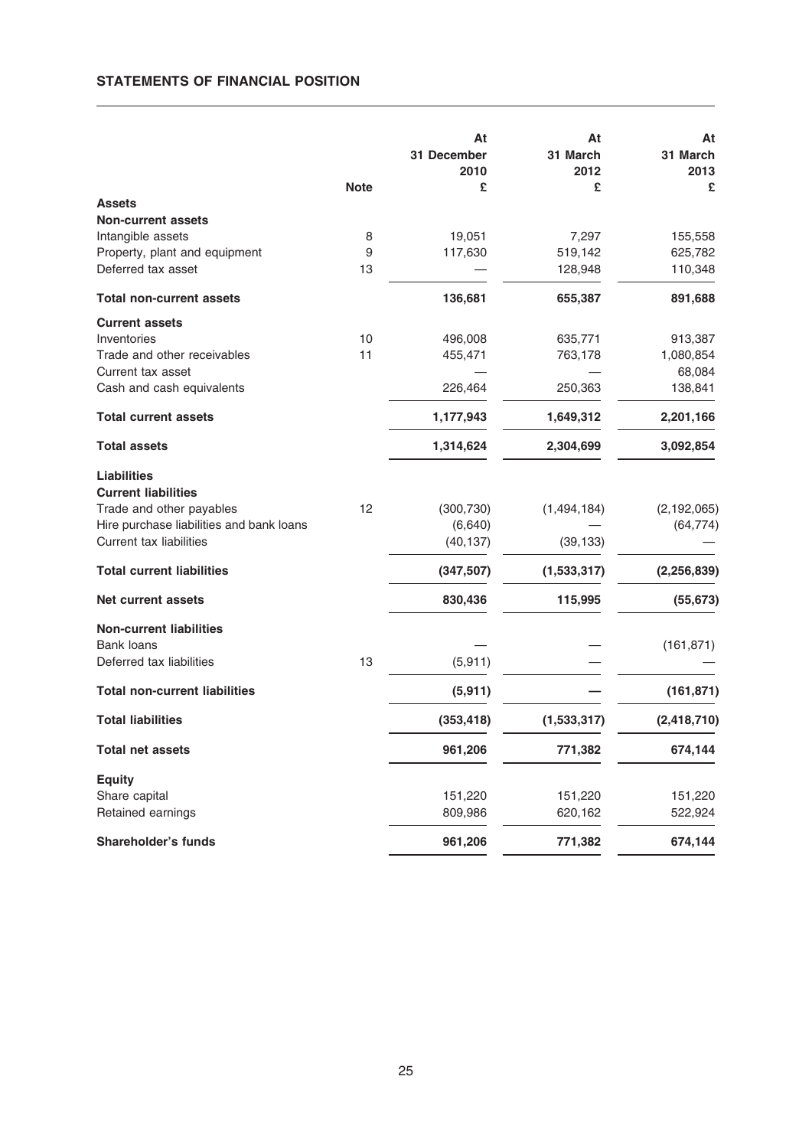# STATEMENTS OF FINANCIAL POSITION

|                                                     |             | At<br>31 December<br>2010 | At<br>31 March<br>2012 | At<br>31 March<br>2013 |
|-----------------------------------------------------|-------------|---------------------------|------------------------|------------------------|
|                                                     | <b>Note</b> | £                         | £                      | £                      |
| <b>Assets</b>                                       |             |                           |                        |                        |
| <b>Non-current assets</b>                           |             |                           |                        |                        |
| Intangible assets                                   | 8           | 19,051                    | 7,297                  | 155,558                |
| Property, plant and equipment<br>Deferred tax asset | 9<br>13     | 117,630                   | 519,142<br>128,948     | 625,782<br>110,348     |
|                                                     |             |                           |                        |                        |
| <b>Total non-current assets</b>                     |             | 136,681                   | 655,387                | 891,688                |
| <b>Current assets</b>                               |             |                           |                        |                        |
| Inventories                                         | 10          | 496,008                   | 635,771                | 913,387                |
| Trade and other receivables                         | 11          | 455,471                   | 763,178                | 1,080,854              |
| Current tax asset                                   |             |                           |                        | 68,084                 |
| Cash and cash equivalents                           |             | 226,464                   | 250,363                | 138,841                |
| <b>Total current assets</b>                         |             | 1,177,943                 | 1,649,312              | 2,201,166              |
| <b>Total assets</b>                                 |             | 1,314,624                 | 2,304,699              | 3,092,854              |
| <b>Liabilities</b>                                  |             |                           |                        |                        |
| <b>Current liabilities</b>                          |             |                           |                        |                        |
| Trade and other payables                            | 12          | (300, 730)                | (1,494,184)            | (2, 192, 065)          |
| Hire purchase liabilities and bank loans            |             | (6,640)                   |                        | (64, 774)              |
| Current tax liabilities                             |             | (40, 137)                 | (39, 133)              |                        |
| <b>Total current liabilities</b>                    |             | (347, 507)                | (1,533,317)            | (2, 256, 839)          |
| Net current assets                                  |             | 830,436                   | 115,995                | (55, 673)              |
| <b>Non-current liabilities</b>                      |             |                           |                        |                        |
| <b>Bank loans</b>                                   |             |                           |                        | (161, 871)             |
| Deferred tax liabilities                            | 13          | (5, 911)                  |                        |                        |
| <b>Total non-current liabilities</b>                |             | (5, 911)                  |                        | (161, 871)             |
| <b>Total liabilities</b>                            |             | (353, 418)                | (1,533,317)            | (2, 418, 710)          |
| <b>Total net assets</b>                             |             | 961,206                   | 771,382                | 674,144                |
| <b>Equity</b>                                       |             |                           |                        |                        |
| Share capital                                       |             | 151,220                   | 151,220                | 151,220                |
| Retained earnings                                   |             | 809,986                   | 620,162                | 522,924                |
| Shareholder's funds                                 |             | 961,206                   | 771,382                | 674,144                |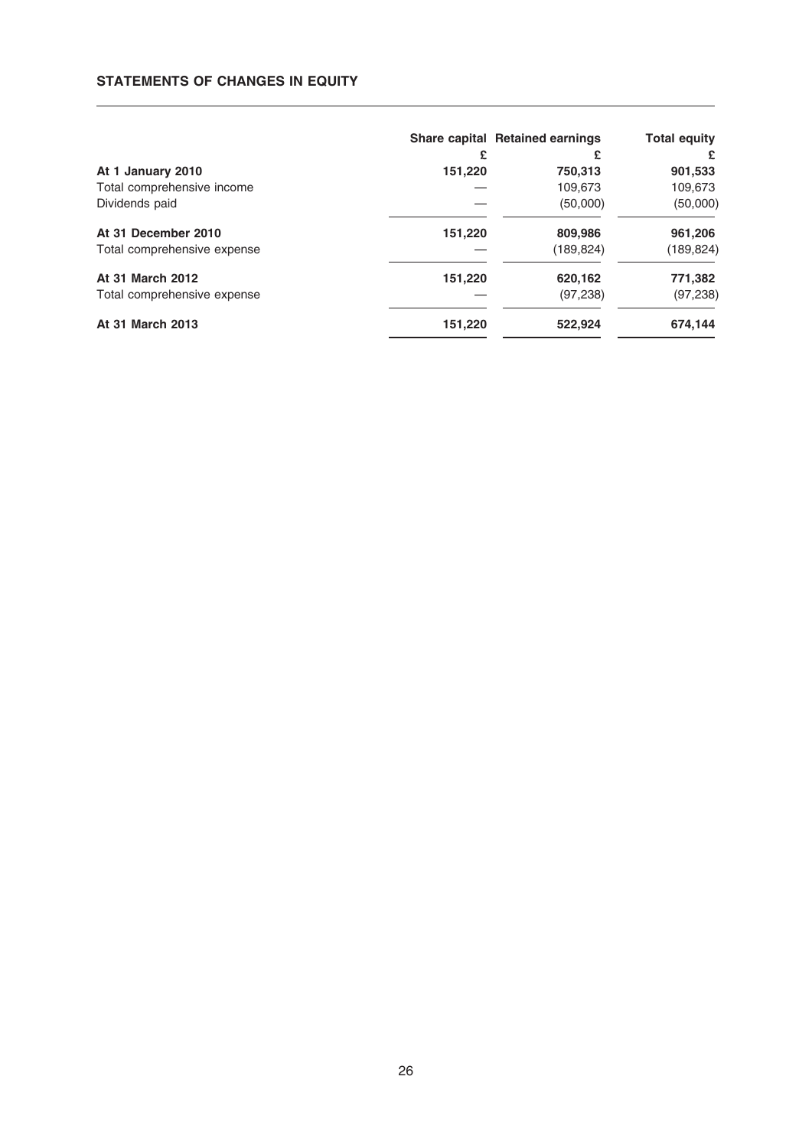### STATEMENTS OF CHANGES IN EQUITY

|                             |         | Share capital Retained earnings | <b>Total equity</b> |
|-----------------------------|---------|---------------------------------|---------------------|
|                             | £       | £                               | £                   |
| At 1 January 2010           | 151,220 | 750,313                         | 901,533             |
| Total comprehensive income  |         | 109,673                         | 109,673             |
| Dividends paid              |         | (50,000)                        | (50,000)            |
| At 31 December 2010         | 151,220 | 809,986                         | 961,206             |
| Total comprehensive expense |         | (189, 824)                      | (189, 824)          |
| At 31 March 2012            | 151,220 | 620,162                         | 771,382             |
| Total comprehensive expense |         | (97, 238)                       | (97,238)            |
| <b>At 31 March 2013</b>     | 151,220 | 522,924                         | 674,144             |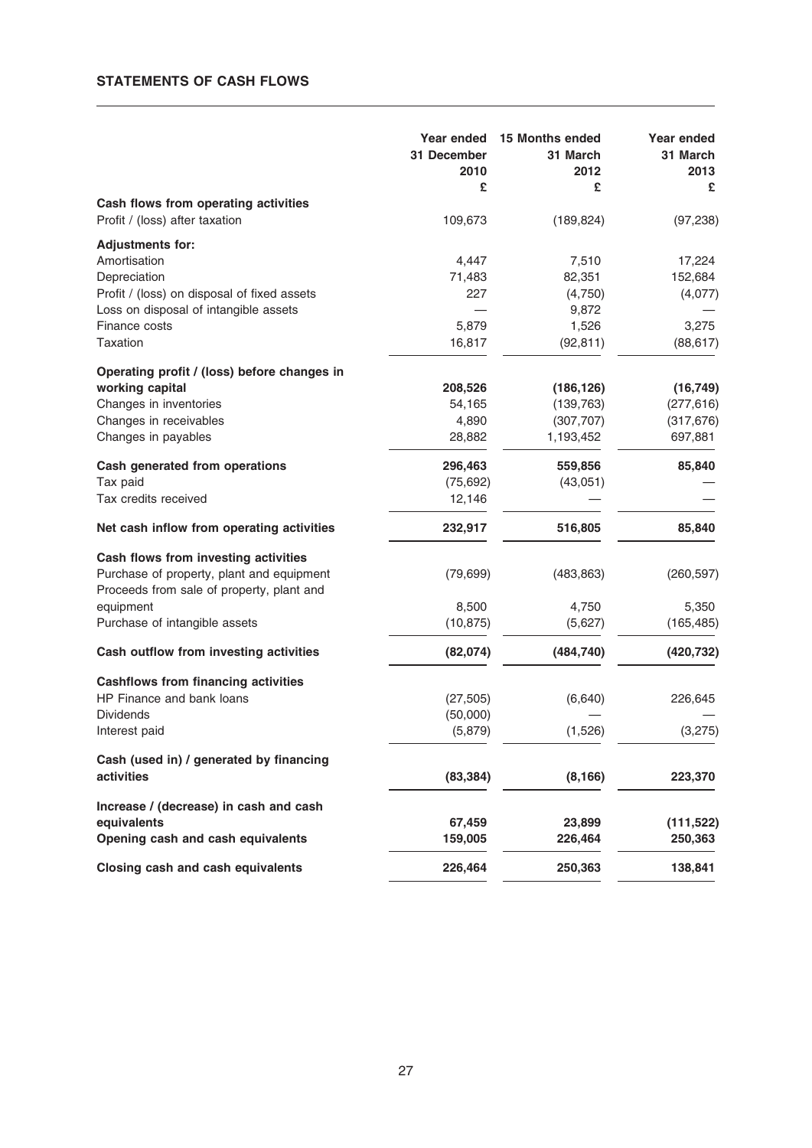# STATEMENTS OF CASH FLOWS

|                                             | Year ended<br>31 December<br>2010<br>£ | 15 Months ended<br>31 March<br>2012<br>£ | Year ended<br>31 March<br>2013<br>£ |
|---------------------------------------------|----------------------------------------|------------------------------------------|-------------------------------------|
| Cash flows from operating activities        |                                        |                                          |                                     |
| Profit / (loss) after taxation              | 109,673                                | (189, 824)                               | (97, 238)                           |
| <b>Adjustments for:</b>                     |                                        |                                          |                                     |
| Amortisation                                | 4,447                                  | 7,510                                    | 17,224                              |
| Depreciation                                | 71,483                                 | 82,351                                   | 152,684                             |
| Profit / (loss) on disposal of fixed assets | 227                                    | (4,750)                                  | (4,077)                             |
| Loss on disposal of intangible assets       |                                        | 9,872                                    |                                     |
| Finance costs                               | 5,879                                  | 1,526                                    | 3,275                               |
| Taxation                                    | 16,817                                 | (92, 811)                                | (88, 617)                           |
| Operating profit / (loss) before changes in |                                        |                                          |                                     |
| working capital                             | 208,526                                | (186, 126)                               | (16, 749)                           |
| Changes in inventories                      | 54,165                                 | (139, 763)                               | (277, 616)                          |
| Changes in receivables                      | 4,890                                  | (307, 707)                               | (317, 676)                          |
| Changes in payables                         | 28,882                                 | 1,193,452                                | 697,881                             |
| Cash generated from operations              | 296,463                                | 559,856                                  | 85,840                              |
| Tax paid                                    | (75, 692)                              | (43,051)                                 |                                     |
| Tax credits received                        | 12,146                                 |                                          |                                     |
| Net cash inflow from operating activities   | 232,917                                | 516,805                                  | 85,840                              |
| Cash flows from investing activities        |                                        |                                          |                                     |
| Purchase of property, plant and equipment   | (79, 699)                              | (483, 863)                               | (260, 597)                          |
| Proceeds from sale of property, plant and   |                                        |                                          |                                     |
| equipment                                   | 8,500                                  | 4,750                                    | 5,350                               |
| Purchase of intangible assets               | (10, 875)                              | (5,627)                                  | (165, 485)                          |
| Cash outflow from investing activities      | (82,074)                               | (484, 740)                               | (420, 732)                          |
| <b>Cashflows from financing activities</b>  |                                        |                                          |                                     |
| HP Finance and bank loans                   | (27, 505)                              | (6, 640)                                 | 226,645                             |
| <b>Dividends</b>                            | (50,000)                               |                                          |                                     |
| Interest paid                               | (5,879)                                | (1,526)                                  | (3,275)                             |
| Cash (used in) / generated by financing     |                                        |                                          |                                     |
| activities                                  | (83, 384)                              | (8, 166)                                 | 223,370                             |
| Increase / (decrease) in cash and cash      |                                        |                                          |                                     |
| equivalents                                 | 67,459                                 | 23,899                                   | (111, 522)                          |
| Opening cash and cash equivalents           | 159,005                                | 226,464                                  | 250,363                             |
| Closing cash and cash equivalents           | 226,464                                | 250,363                                  | 138,841                             |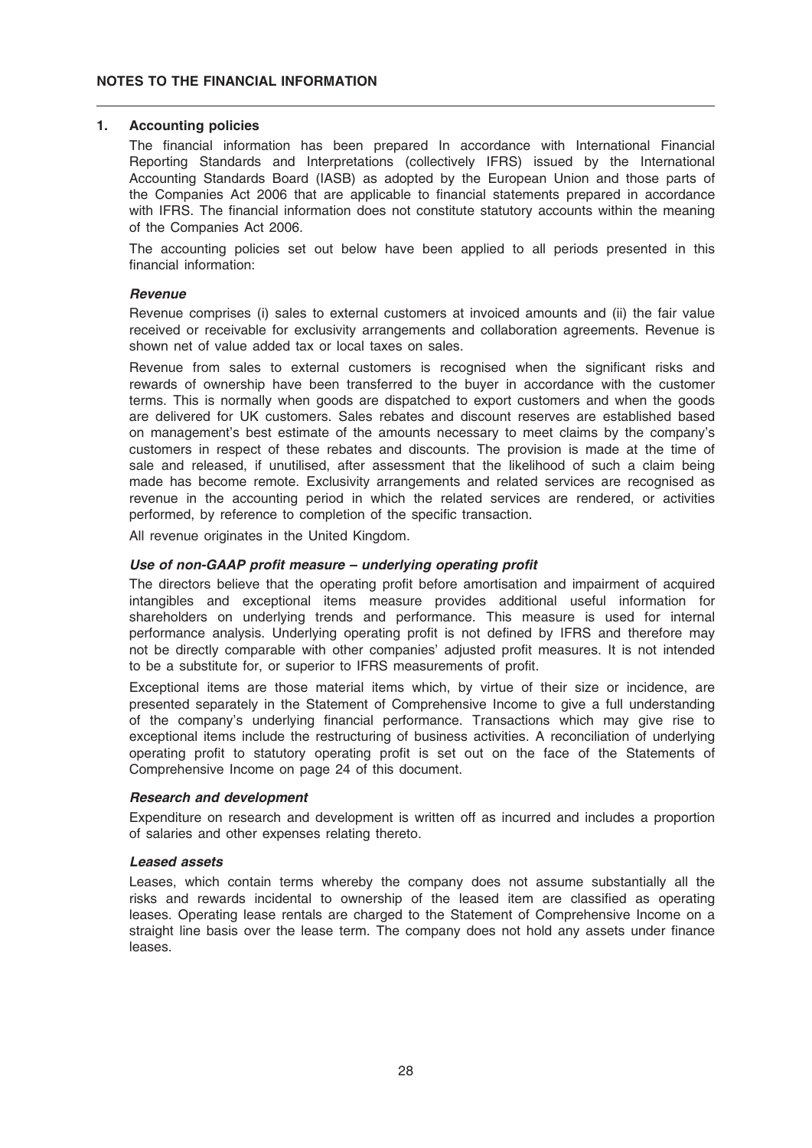#### 1. Accounting policies

The financial information has been prepared In accordance with International Financial Reporting Standards and Interpretations (collectively IFRS) issued by the International Accounting Standards Board (IASB) as adopted by the European Union and those parts of the Companies Act 2006 that are applicable to financial statements prepared in accordance with IFRS. The financial information does not constitute statutory accounts within the meaning of the Companies Act 2006.

The accounting policies set out below have been applied to all periods presented in this financial information:

#### Revenue

Revenue comprises (i) sales to external customers at invoiced amounts and (ii) the fair value received or receivable for exclusivity arrangements and collaboration agreements. Revenue is shown net of value added tax or local taxes on sales.

Revenue from sales to external customers is recognised when the significant risks and rewards of ownership have been transferred to the buyer in accordance with the customer terms. This is normally when goods are dispatched to export customers and when the goods are delivered for UK customers. Sales rebates and discount reserves are established based on management's best estimate of the amounts necessary to meet claims by the company's customers in respect of these rebates and discounts. The provision is made at the time of sale and released, if unutilised, after assessment that the likelihood of such a claim being made has become remote. Exclusivity arrangements and related services are recognised as revenue in the accounting period in which the related services are rendered, or activities performed, by reference to completion of the specific transaction.

All revenue originates in the United Kingdom.

#### Use of non-GAAP profit measure – underlying operating profit

The directors believe that the operating profit before amortisation and impairment of acquired intangibles and exceptional items measure provides additional useful information for shareholders on underlying trends and performance. This measure is used for internal performance analysis. Underlying operating profit is not defined by IFRS and therefore may not be directly comparable with other companies' adjusted profit measures. It is not intended to be a substitute for, or superior to IFRS measurements of profit.

Exceptional items are those material items which, by virtue of their size or incidence, are presented separately in the Statement of Comprehensive Income to give a full understanding of the company's underlying financial performance. Transactions which may give rise to exceptional items include the restructuring of business activities. A reconciliation of underlying operating profit to statutory operating profit is set out on the face of the Statements of Comprehensive Income on page 24 of this document.

#### Research and development

Expenditure on research and development is written off as incurred and includes a proportion of salaries and other expenses relating thereto.

#### Leased assets

Leases, which contain terms whereby the company does not assume substantially all the risks and rewards incidental to ownership of the leased item are classified as operating leases. Operating lease rentals are charged to the Statement of Comprehensive Income on a straight line basis over the lease term. The company does not hold any assets under finance leases.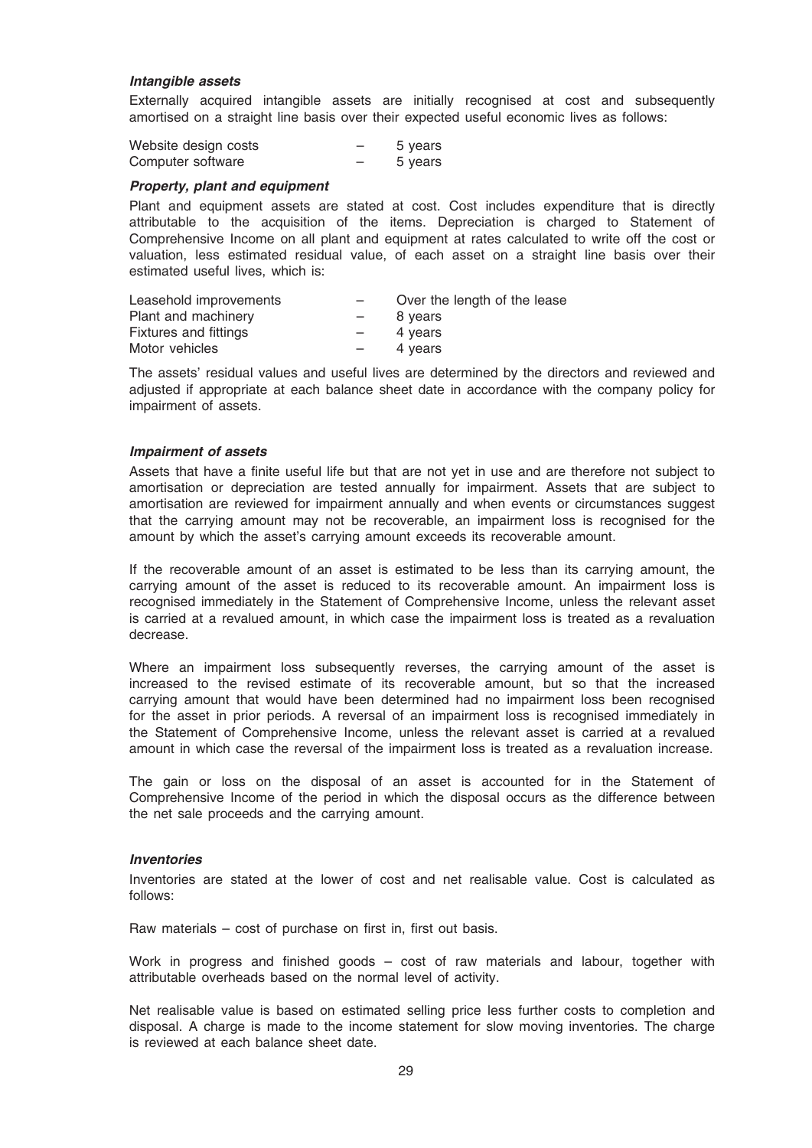#### Intangible assets

Externally acquired intangible assets are initially recognised at cost and subsequently amortised on a straight line basis over their expected useful economic lives as follows:

| Website design costs | 5 years |
|----------------------|---------|
| Computer software    | 5 years |

#### Property, plant and equipment

Plant and equipment assets are stated at cost. Cost includes expenditure that is directly attributable to the acquisition of the items. Depreciation is charged to Statement of Comprehensive Income on all plant and equipment at rates calculated to write off the cost or valuation, less estimated residual value, of each asset on a straight line basis over their estimated useful lives, which is:

|                          | Over the length of the lease |
|--------------------------|------------------------------|
| $-$                      | 8 years                      |
| $\overline{\phantom{0}}$ | 4 years                      |
| $\overline{\phantom{0}}$ | 4 years                      |
|                          |                              |

The assets' residual values and useful lives are determined by the directors and reviewed and adjusted if appropriate at each balance sheet date in accordance with the company policy for impairment of assets.

#### Impairment of assets

Assets that have a finite useful life but that are not yet in use and are therefore not subject to amortisation or depreciation are tested annually for impairment. Assets that are subject to amortisation are reviewed for impairment annually and when events or circumstances suggest that the carrying amount may not be recoverable, an impairment loss is recognised for the amount by which the asset's carrying amount exceeds its recoverable amount.

If the recoverable amount of an asset is estimated to be less than its carrying amount, the carrying amount of the asset is reduced to its recoverable amount. An impairment loss is recognised immediately in the Statement of Comprehensive Income, unless the relevant asset is carried at a revalued amount, in which case the impairment loss is treated as a revaluation decrease.

Where an impairment loss subsequently reverses, the carrying amount of the asset is increased to the revised estimate of its recoverable amount, but so that the increased carrying amount that would have been determined had no impairment loss been recognised for the asset in prior periods. A reversal of an impairment loss is recognised immediately in the Statement of Comprehensive Income, unless the relevant asset is carried at a revalued amount in which case the reversal of the impairment loss is treated as a revaluation increase.

The gain or loss on the disposal of an asset is accounted for in the Statement of Comprehensive Income of the period in which the disposal occurs as the difference between the net sale proceeds and the carrying amount.

#### Inventories

Inventories are stated at the lower of cost and net realisable value. Cost is calculated as follows:

Raw materials – cost of purchase on first in, first out basis.

Work in progress and finished goods – cost of raw materials and labour, together with attributable overheads based on the normal level of activity.

Net realisable value is based on estimated selling price less further costs to completion and disposal. A charge is made to the income statement for slow moving inventories. The charge is reviewed at each balance sheet date.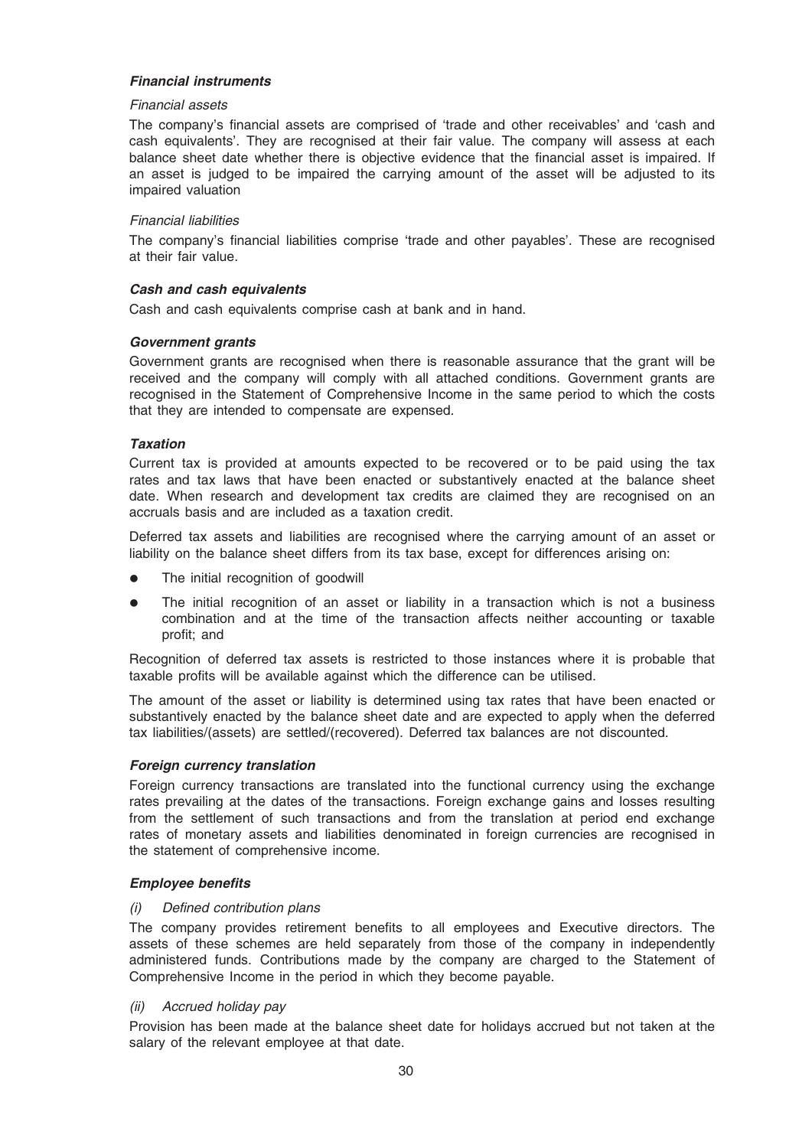### Financial instruments

#### Financial assets

The company's financial assets are comprised of 'trade and other receivables' and 'cash and cash equivalents'. They are recognised at their fair value. The company will assess at each balance sheet date whether there is objective evidence that the financial asset is impaired. If an asset is judged to be impaired the carrying amount of the asset will be adjusted to its impaired valuation

#### Financial liabilities

The company's financial liabilities comprise 'trade and other payables'. These are recognised at their fair value.

#### Cash and cash equivalents

Cash and cash equivalents comprise cash at bank and in hand.

#### Government grants

Government grants are recognised when there is reasonable assurance that the grant will be received and the company will comply with all attached conditions. Government grants are recognised in the Statement of Comprehensive Income in the same period to which the costs that they are intended to compensate are expensed.

#### **Taxation**

Current tax is provided at amounts expected to be recovered or to be paid using the tax rates and tax laws that have been enacted or substantively enacted at the balance sheet date. When research and development tax credits are claimed they are recognised on an accruals basis and are included as a taxation credit.

Deferred tax assets and liabilities are recognised where the carrying amount of an asset or liability on the balance sheet differs from its tax base, except for differences arising on:

- The initial recognition of goodwill
- The initial recognition of an asset or liability in a transaction which is not a business combination and at the time of the transaction affects neither accounting or taxable profit; and

Recognition of deferred tax assets is restricted to those instances where it is probable that taxable profits will be available against which the difference can be utilised.

The amount of the asset or liability is determined using tax rates that have been enacted or substantively enacted by the balance sheet date and are expected to apply when the deferred tax liabilities/(assets) are settled/(recovered). Deferred tax balances are not discounted.

#### Foreign currency translation

Foreign currency transactions are translated into the functional currency using the exchange rates prevailing at the dates of the transactions. Foreign exchange gains and losses resulting from the settlement of such transactions and from the translation at period end exchange rates of monetary assets and liabilities denominated in foreign currencies are recognised in the statement of comprehensive income.

#### Employee benefits

#### (i) Defined contribution plans

The company provides retirement benefits to all employees and Executive directors. The assets of these schemes are held separately from those of the company in independently administered funds. Contributions made by the company are charged to the Statement of Comprehensive Income in the period in which they become payable.

#### (ii) Accrued holiday pay

Provision has been made at the balance sheet date for holidays accrued but not taken at the salary of the relevant employee at that date.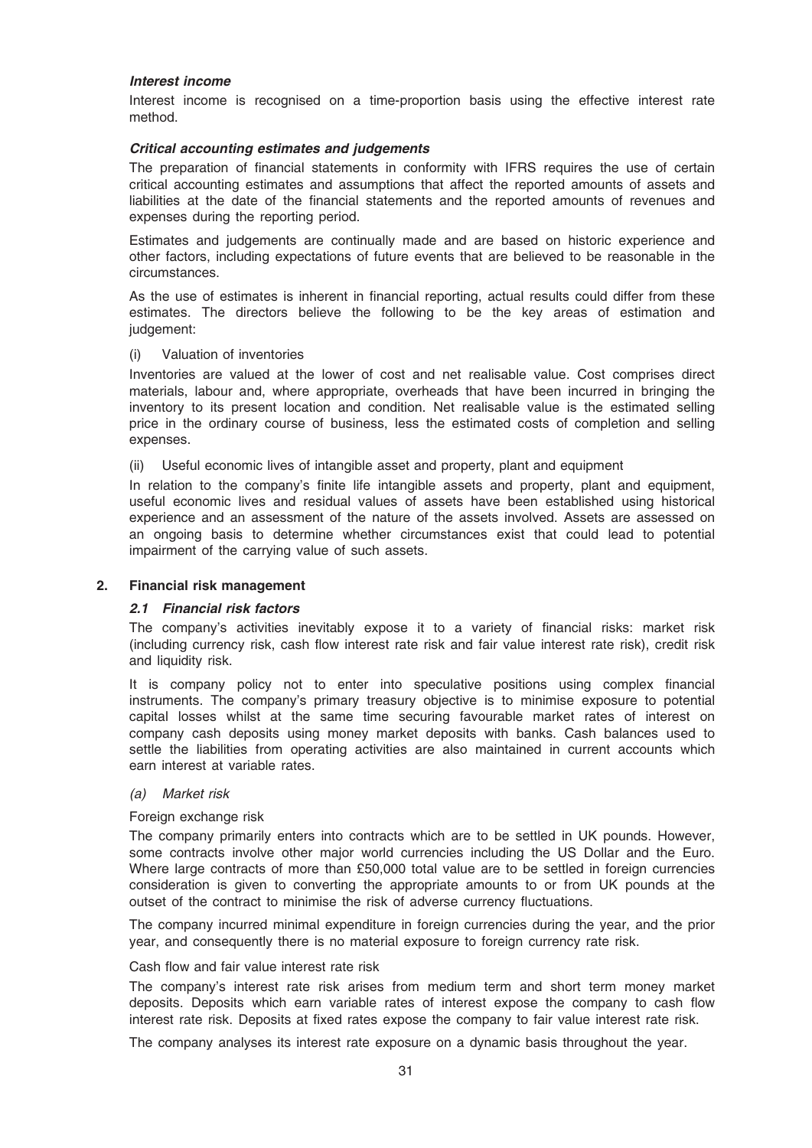#### Interest income

Interest income is recognised on a time-proportion basis using the effective interest rate method.

#### Critical accounting estimates and judgements

The preparation of financial statements in conformity with IFRS requires the use of certain critical accounting estimates and assumptions that affect the reported amounts of assets and liabilities at the date of the financial statements and the reported amounts of revenues and expenses during the reporting period.

Estimates and judgements are continually made and are based on historic experience and other factors, including expectations of future events that are believed to be reasonable in the circumstances.

As the use of estimates is inherent in financial reporting, actual results could differ from these estimates. The directors believe the following to be the key areas of estimation and judgement:

#### (i) Valuation of inventories

Inventories are valued at the lower of cost and net realisable value. Cost comprises direct materials, labour and, where appropriate, overheads that have been incurred in bringing the inventory to its present location and condition. Net realisable value is the estimated selling price in the ordinary course of business, less the estimated costs of completion and selling expenses.

(ii) Useful economic lives of intangible asset and property, plant and equipment

In relation to the company's finite life intangible assets and property, plant and equipment, useful economic lives and residual values of assets have been established using historical experience and an assessment of the nature of the assets involved. Assets are assessed on an ongoing basis to determine whether circumstances exist that could lead to potential impairment of the carrying value of such assets.

#### 2. Financial risk management

#### 2.1 Financial risk factors

The company's activities inevitably expose it to a variety of financial risks: market risk (including currency risk, cash flow interest rate risk and fair value interest rate risk), credit risk and liquidity risk.

It is company policy not to enter into speculative positions using complex financial instruments. The company's primary treasury objective is to minimise exposure to potential capital losses whilst at the same time securing favourable market rates of interest on company cash deposits using money market deposits with banks. Cash balances used to settle the liabilities from operating activities are also maintained in current accounts which earn interest at variable rates.

#### (a) Market risk

#### Foreign exchange risk

The company primarily enters into contracts which are to be settled in UK pounds. However, some contracts involve other major world currencies including the US Dollar and the Euro. Where large contracts of more than £50,000 total value are to be settled in foreign currencies consideration is given to converting the appropriate amounts to or from UK pounds at the outset of the contract to minimise the risk of adverse currency fluctuations.

The company incurred minimal expenditure in foreign currencies during the year, and the prior year, and consequently there is no material exposure to foreign currency rate risk.

#### Cash flow and fair value interest rate risk

The company's interest rate risk arises from medium term and short term money market deposits. Deposits which earn variable rates of interest expose the company to cash flow interest rate risk. Deposits at fixed rates expose the company to fair value interest rate risk.

The company analyses its interest rate exposure on a dynamic basis throughout the year.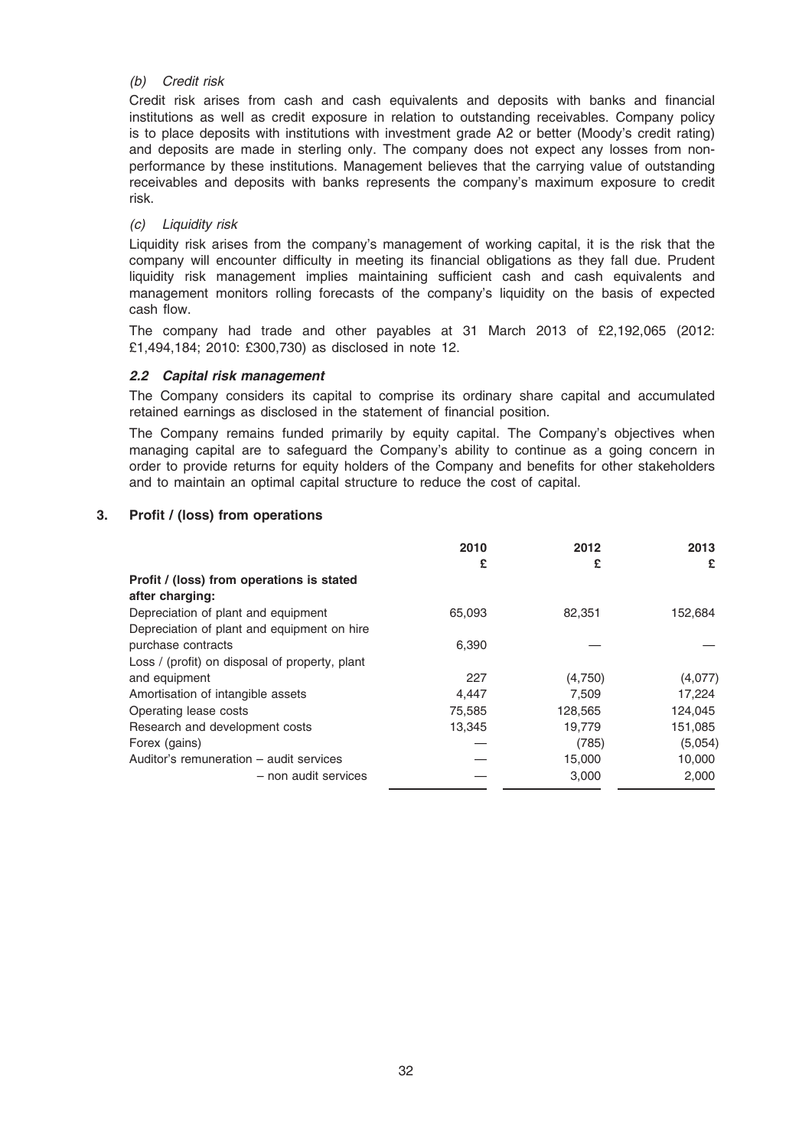#### (b) Credit risk

Credit risk arises from cash and cash equivalents and deposits with banks and financial institutions as well as credit exposure in relation to outstanding receivables. Company policy is to place deposits with institutions with investment grade A2 or better (Moody's credit rating) and deposits are made in sterling only. The company does not expect any losses from nonperformance by these institutions. Management believes that the carrying value of outstanding receivables and deposits with banks represents the company's maximum exposure to credit risk.

#### (c) Liquidity risk

Liquidity risk arises from the company's management of working capital, it is the risk that the company will encounter difficulty in meeting its financial obligations as they fall due. Prudent liquidity risk management implies maintaining sufficient cash and cash equivalents and management monitors rolling forecasts of the company's liquidity on the basis of expected cash flow.

The company had trade and other payables at 31 March 2013 of £2,192,065 (2012: £1,494,184; 2010: £300,730) as disclosed in note 12.

#### 2.2 Capital risk management

The Company considers its capital to comprise its ordinary share capital and accumulated retained earnings as disclosed in the statement of financial position.

The Company remains funded primarily by equity capital. The Company's objectives when managing capital are to safeguard the Company's ability to continue as a going concern in order to provide returns for equity holders of the Company and benefits for other stakeholders and to maintain an optimal capital structure to reduce the cost of capital.

#### 3. Profit / (loss) from operations

|                                                | 2010   | 2012    | 2013    |
|------------------------------------------------|--------|---------|---------|
|                                                | £      | £       | £       |
| Profit / (loss) from operations is stated      |        |         |         |
| after charging:                                |        |         |         |
| Depreciation of plant and equipment            | 65,093 | 82,351  | 152,684 |
| Depreciation of plant and equipment on hire    |        |         |         |
| purchase contracts                             | 6,390  |         |         |
| Loss / (profit) on disposal of property, plant |        |         |         |
| and equipment                                  | 227    | (4,750) | (4,077) |
| Amortisation of intangible assets              | 4,447  | 7.509   | 17,224  |
| Operating lease costs                          | 75,585 | 128,565 | 124,045 |
| Research and development costs                 | 13,345 | 19,779  | 151,085 |
| Forex (gains)                                  |        | (785)   | (5,054) |
| Auditor's remuneration - audit services        |        | 15,000  | 10,000  |
| - non audit services                           |        | 3,000   | 2,000   |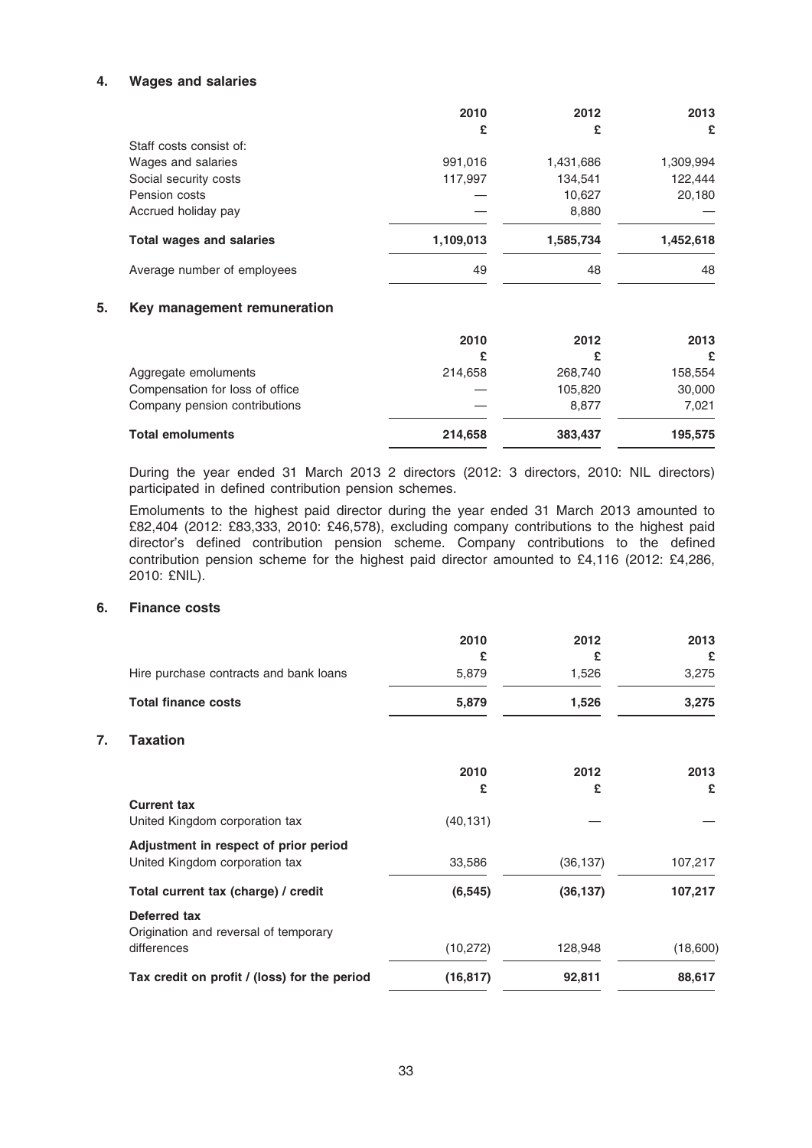### 4. Wages and salaries

|                                 | 2010      | 2012      | 2013      |
|---------------------------------|-----------|-----------|-----------|
|                                 | £         | £         | £         |
| Staff costs consist of:         |           |           |           |
| Wages and salaries              | 991,016   | 1,431,686 | 1,309,994 |
| Social security costs           | 117,997   | 134,541   | 122,444   |
| Pension costs                   |           | 10,627    | 20,180    |
| Accrued holiday pay             |           | 8,880     |           |
| <b>Total wages and salaries</b> | 1,109,013 | 1,585,734 | 1,452,618 |
| Average number of employees     | 49        | 48        | 48        |

#### 5. Key management remuneration

|                                 | 2010    | 2012    | 2013    |
|---------------------------------|---------|---------|---------|
|                                 | £       |         | £       |
| Aggregate emoluments            | 214.658 | 268,740 | 158,554 |
| Compensation for loss of office |         | 105,820 | 30,000  |
| Company pension contributions   |         | 8.877   | 7.021   |
| <b>Total emoluments</b>         | 214,658 | 383,437 | 195,575 |

During the year ended 31 March 2013 2 directors (2012: 3 directors, 2010: NIL directors) participated in defined contribution pension schemes.

Emoluments to the highest paid director during the year ended 31 March 2013 amounted to £82,404 (2012: £83,333, 2010: £46,578), excluding company contributions to the highest paid director's defined contribution pension scheme. Company contributions to the defined contribution pension scheme for the highest paid director amounted to £4,116 (2012: £4,286, 2010: £NIL).

#### 6. Finance costs

 $\overline{7}$ .

|                                              | 2010      | 2012      | 2013     |
|----------------------------------------------|-----------|-----------|----------|
|                                              | £         | £         | £        |
| Hire purchase contracts and bank loans       | 5,879     | 1,526     | 3,275    |
| <b>Total finance costs</b>                   | 5,879     | 1,526     | 3,275    |
| <b>Taxation</b>                              |           |           |          |
|                                              | 2010      | 2012      | 2013     |
|                                              | £         | £         | £        |
| <b>Current tax</b>                           |           |           |          |
| United Kingdom corporation tax               | (40, 131) |           |          |
| Adjustment in respect of prior period        |           |           |          |
| United Kingdom corporation tax               | 33,586    | (36, 137) | 107,217  |
| Total current tax (charge) / credit          | (6, 545)  | (36, 137) | 107,217  |
| Deferred tax                                 |           |           |          |
| Origination and reversal of temporary        |           |           |          |
| differences                                  | (10, 272) | 128,948   | (18,600) |
| Tax credit on profit / (loss) for the period | (16, 817) | 92,811    | 88,617   |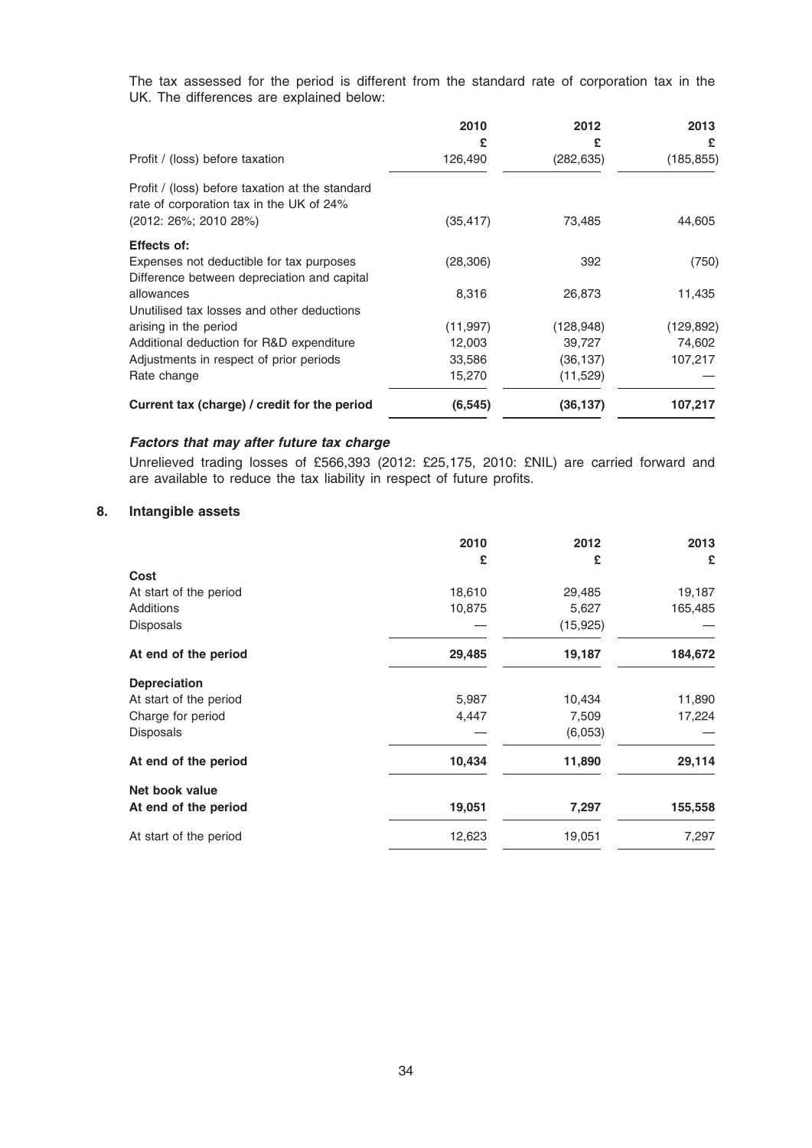The tax assessed for the period is different from the standard rate of corporation tax in the UK. The differences are explained below:

|                                                                                                                          | 2010<br>£ | 2012<br>£  | 2013<br>£  |
|--------------------------------------------------------------------------------------------------------------------------|-----------|------------|------------|
| Profit / (loss) before taxation                                                                                          | 126,490   | (282, 635) | (185, 855) |
| Profit / (loss) before taxation at the standard<br>rate of corporation tax in the UK of 24%<br>$(2012: 26\%; 2010 28\%)$ | (35, 417) | 73,485     | 44,605     |
| <b>Effects of:</b>                                                                                                       |           |            |            |
| Expenses not deductible for tax purposes                                                                                 | (28, 306) | 392        | (750)      |
| Difference between depreciation and capital                                                                              |           |            |            |
| allowances                                                                                                               | 8,316     | 26,873     | 11,435     |
| Unutilised tax losses and other deductions                                                                               |           |            |            |
| arising in the period                                                                                                    | (11, 997) | (128, 948) | (129, 892) |
| Additional deduction for R&D expenditure                                                                                 | 12,003    | 39,727     | 74,602     |
| Adjustments in respect of prior periods                                                                                  | 33,586    | (36, 137)  | 107,217    |
| Rate change                                                                                                              | 15,270    | (11,529)   |            |
| Current tax (charge) / credit for the period                                                                             | (6, 545)  | (36, 137)  | 107,217    |

# Factors that may after future tax charge

Unrelieved trading losses of £566,393 (2012: £25,175, 2010: £NIL) are carried forward and are available to reduce the tax liability in respect of future profits.

# 8. Intangible assets

|                        | 2010<br>£ | 2012<br>£ | 2013<br>£ |
|------------------------|-----------|-----------|-----------|
| Cost                   |           |           |           |
| At start of the period | 18,610    | 29,485    | 19,187    |
| Additions              | 10,875    | 5,627     | 165,485   |
| Disposals              |           | (15, 925) |           |
| At end of the period   | 29,485    | 19,187    | 184,672   |
| <b>Depreciation</b>    |           |           |           |
| At start of the period | 5,987     | 10,434    | 11,890    |
| Charge for period      | 4,447     | 7,509     | 17,224    |
| Disposals              |           | (6,053)   |           |
| At end of the period   | 10,434    | 11,890    | 29,114    |
| Net book value         |           |           |           |
| At end of the period   | 19,051    | 7,297     | 155,558   |
| At start of the period | 12,623    | 19,051    | 7,297     |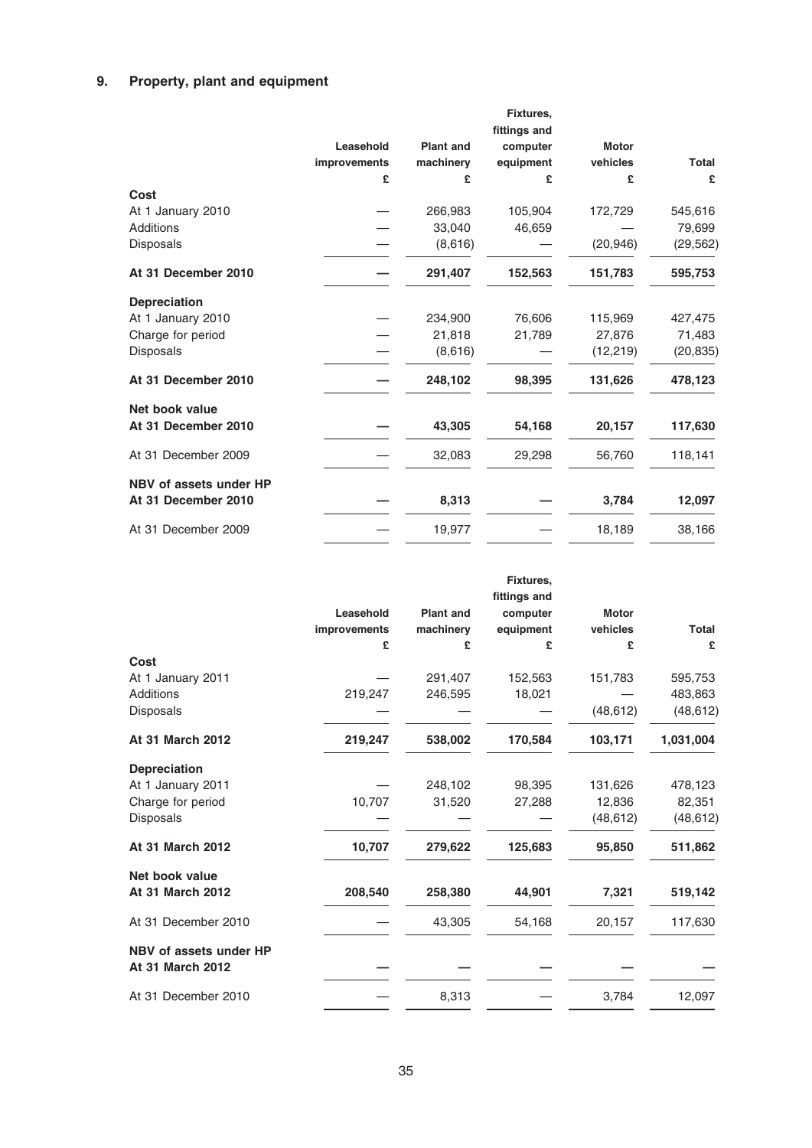# 9. Property, plant and equipment

|                        |              |                  | Fixtures,<br>fittings and |              |              |
|------------------------|--------------|------------------|---------------------------|--------------|--------------|
|                        | Leasehold    | <b>Plant and</b> | computer                  | <b>Motor</b> |              |
|                        | improvements | machinery        | equipment                 | vehicles     | <b>Total</b> |
|                        | £            | £                | £                         | £            | £            |
| Cost                   |              |                  |                           |              |              |
| At 1 January 2010      |              | 266,983          | 105,904                   | 172,729      | 545,616      |
| Additions              |              | 33.040           | 46,659                    |              | 79,699       |
| Disposals              |              | (8,616)          |                           | (20, 946)    | (29, 562)    |
| At 31 December 2010    |              | 291,407          | 152,563                   | 151,783      | 595,753      |
| <b>Depreciation</b>    |              |                  |                           |              |              |
| At 1 January 2010      |              | 234,900          | 76,606                    | 115,969      | 427,475      |
| Charge for period      |              | 21,818           | 21,789                    | 27,876       | 71,483       |
| Disposals              |              | (8,616)          |                           | (12, 219)    | (20, 835)    |
| At 31 December 2010    |              | 248,102          | 98,395                    | 131,626      | 478,123      |
| Net book value         |              |                  |                           |              |              |
| At 31 December 2010    |              | 43,305           | 54,168                    | 20,157       | 117,630      |
| At 31 December 2009    |              | 32,083           | 29,298                    | 56,760       | 118,141      |
| NBV of assets under HP |              |                  |                           |              |              |
| At 31 December 2010    |              | 8,313            |                           | 3,784        | 12,097       |
| At 31 December 2009    |              | 19,977           |                           | 18,189       | 38,166       |

|                         |              |                  | Fixtures,<br>fittings and |              |           |
|-------------------------|--------------|------------------|---------------------------|--------------|-----------|
|                         | Leasehold    | <b>Plant and</b> | computer                  | <b>Motor</b> |           |
|                         | improvements | machinery        | equipment                 | vehicles     | Total     |
|                         | £            | £                | £                         | £            | £         |
| Cost                    |              |                  |                           |              |           |
| At 1 January 2011       |              | 291,407          | 152,563                   | 151,783      | 595,753   |
| Additions               | 219,247      | 246,595          | 18,021                    |              | 483,863   |
| Disposals               |              |                  |                           | (48, 612)    | (48, 612) |
| <b>At 31 March 2012</b> | 219,247      | 538,002          | 170,584                   | 103,171      | 1,031,004 |
| <b>Depreciation</b>     |              |                  |                           |              |           |
| At 1 January 2011       |              | 248,102          | 98,395                    | 131,626      | 478,123   |
| Charge for period       | 10,707       | 31,520           | 27,288                    | 12,836       | 82,351    |
| Disposals               |              |                  |                           | (48, 612)    | (48, 612) |
| At 31 March 2012        | 10,707       | 279,622          | 125,683                   | 95,850       | 511,862   |
| Net book value          |              |                  |                           |              |           |
| At 31 March 2012        | 208,540      | 258,380          | 44,901                    | 7,321        | 519,142   |
| At 31 December 2010     |              | 43,305           | 54,168                    | 20,157       | 117,630   |
| NBV of assets under HP  |              |                  |                           |              |           |
| <b>At 31 March 2012</b> |              |                  |                           |              |           |
| At 31 December 2010     |              | 8,313            |                           | 3,784        | 12,097    |
|                         |              |                  |                           |              |           |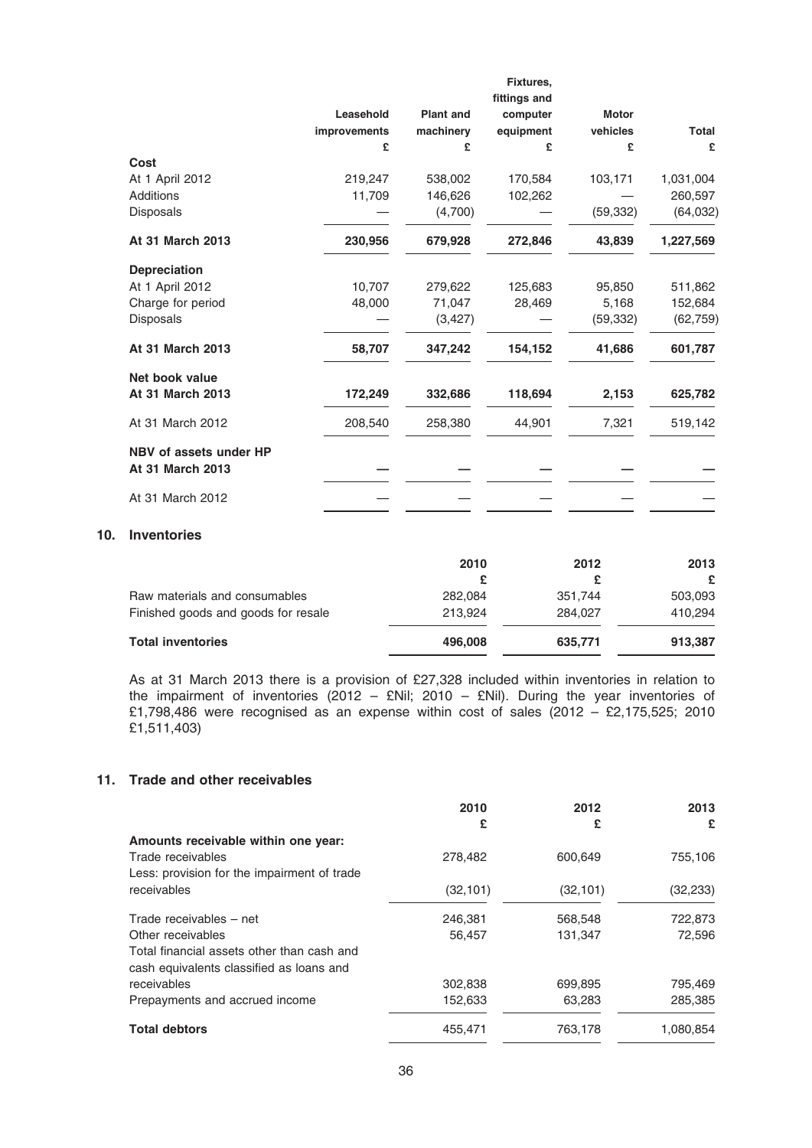|                        |              |                  | Fixtures,    |              |              |
|------------------------|--------------|------------------|--------------|--------------|--------------|
|                        |              |                  | fittings and |              |              |
|                        | Leasehold    | <b>Plant and</b> | computer     | <b>Motor</b> |              |
|                        | improvements | machinery        | equipment    | vehicles     | <b>Total</b> |
|                        | £            | £                | £            | £            | £            |
| Cost                   |              |                  |              |              |              |
| At 1 April 2012        | 219,247      | 538,002          | 170,584      | 103,171      | 1,031,004    |
| Additions              | 11,709       | 146,626          | 102,262      |              | 260,597      |
| Disposals              |              | (4,700)          |              | (59, 332)    | (64, 032)    |
| At 31 March 2013       | 230,956      | 679,928          | 272,846      | 43,839       | 1,227,569    |
| <b>Depreciation</b>    |              |                  |              |              |              |
| At 1 April 2012        | 10,707       | 279,622          | 125,683      | 95,850       | 511,862      |
| Charge for period      | 48,000       | 71,047           | 28,469       | 5,168        | 152,684      |
| Disposals              |              | (3, 427)         |              | (59, 332)    | (62, 759)    |
| At 31 March 2013       | 58,707       | 347,242          | 154,152      | 41,686       | 601,787      |
| Net book value         |              |                  |              |              |              |
| At 31 March 2013       | 172,249      | 332,686          | 118,694      | 2,153        | 625,782      |
| At 31 March 2012       | 208,540      | 258,380          | 44,901       | 7,321        | 519,142      |
| NBV of assets under HP |              |                  |              |              |              |
| At 31 March 2013       |              |                  |              |              |              |
| At 31 March 2012       |              |                  |              |              |              |

### 10. Inventories

|                                     | 2010    | 2012    | 2013<br>£ |
|-------------------------------------|---------|---------|-----------|
| Raw materials and consumables       | 282.084 | 351.744 | 503,093   |
| Finished goods and goods for resale | 213.924 | 284.027 | 410.294   |
| <b>Total inventories</b>            | 496,008 | 635,771 | 913,387   |

As at 31 March 2013 there is a provision of £27,328 included within inventories in relation to the impairment of inventories (2012 – £Nil; 2010 – £Nil). During the year inventories of £1,798,486 were recognised as an expense within cost of sales (2012 – £2,175,525; 2010 £1,511,403)

#### 11. Trade and other receivables

|                                             | 2010      | 2012      | 2013      |
|---------------------------------------------|-----------|-----------|-----------|
|                                             | £         | £         | £         |
| Amounts receivable within one year:         |           |           |           |
| Trade receivables                           | 278,482   | 600.649   | 755,106   |
| Less: provision for the impairment of trade |           |           |           |
| receivables                                 | (32, 101) | (32, 101) | (32, 233) |
| Trade receivables - net                     | 246,381   | 568,548   | 722,873   |
| Other receivables                           | 56,457    | 131,347   | 72,596    |
| Total financial assets other than cash and  |           |           |           |
| cash equivalents classified as loans and    |           |           |           |
| receivables                                 | 302,838   | 699,895   | 795,469   |
| Prepayments and accrued income              | 152,633   | 63,283    | 285,385   |
| <b>Total debtors</b>                        | 455,471   | 763,178   | 1,080,854 |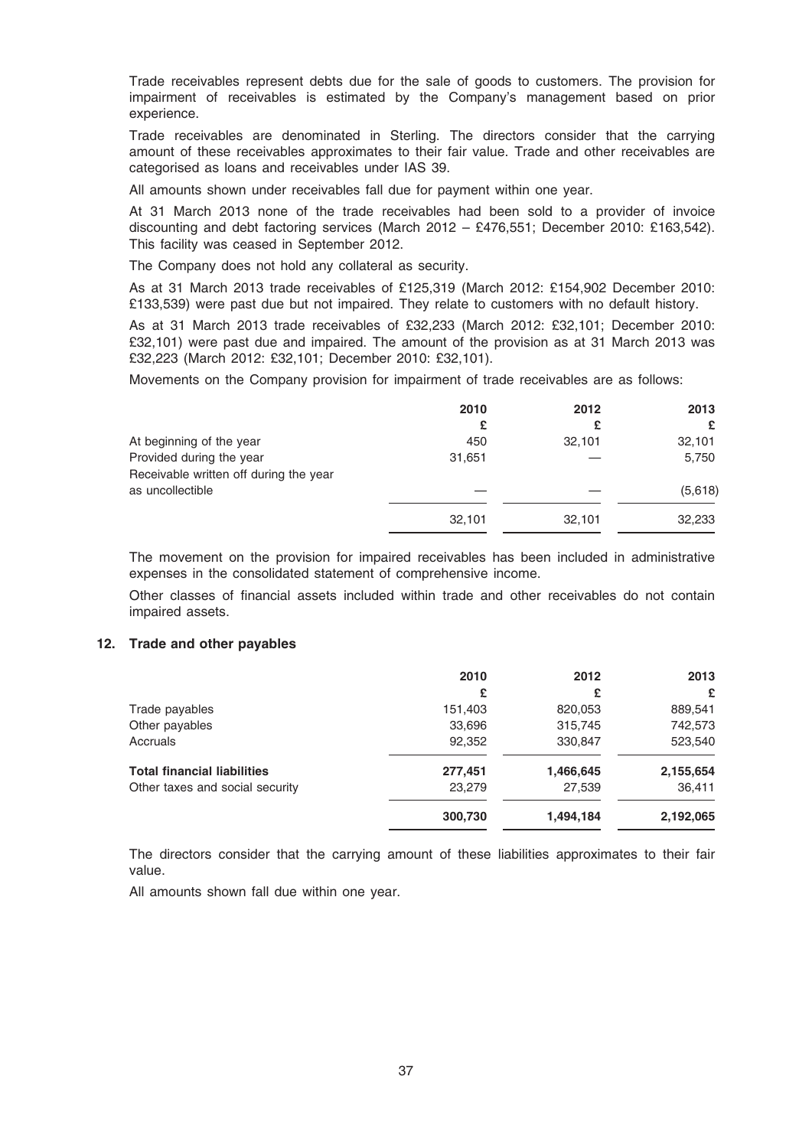Trade receivables represent debts due for the sale of goods to customers. The provision for impairment of receivables is estimated by the Company's management based on prior experience.

Trade receivables are denominated in Sterling. The directors consider that the carrying amount of these receivables approximates to their fair value. Trade and other receivables are categorised as loans and receivables under IAS 39.

All amounts shown under receivables fall due for payment within one year.

At 31 March 2013 none of the trade receivables had been sold to a provider of invoice discounting and debt factoring services (March 2012 – £476,551; December 2010: £163,542). This facility was ceased in September 2012.

The Company does not hold any collateral as security.

As at 31 March 2013 trade receivables of £125,319 (March 2012: £154,902 December 2010: £133,539) were past due but not impaired. They relate to customers with no default history.

As at 31 March 2013 trade receivables of £32,233 (March 2012: £32,101; December 2010: £32,101) were past due and impaired. The amount of the provision as at 31 March 2013 was £32,223 (March 2012: £32,101; December 2010: £32,101).

Movements on the Company provision for impairment of trade receivables are as follows:

|                                        | 2010   | 2012   | 2013    |
|----------------------------------------|--------|--------|---------|
|                                        | £      |        | £       |
| At beginning of the year               | 450    | 32,101 | 32,101  |
| Provided during the year               | 31,651 |        | 5,750   |
| Receivable written off during the year |        |        |         |
| as uncollectible                       |        |        | (5,618) |
|                                        | 32,101 | 32,101 | 32,233  |

The movement on the provision for impaired receivables has been included in administrative expenses in the consolidated statement of comprehensive income.

Other classes of financial assets included within trade and other receivables do not contain impaired assets.

### 12. Trade and other payables

|                                    | 2010    | 2012      | 2013      |
|------------------------------------|---------|-----------|-----------|
|                                    | £       | £         | £         |
| Trade payables                     | 151,403 | 820,053   | 889,541   |
| Other payables                     | 33,696  | 315,745   | 742,573   |
| Accruals                           | 92,352  | 330,847   | 523,540   |
| <b>Total financial liabilities</b> | 277,451 | 1,466,645 | 2,155,654 |
| Other taxes and social security    | 23,279  | 27,539    | 36,411    |
|                                    | 300,730 | 1,494,184 | 2,192,065 |

The directors consider that the carrying amount of these liabilities approximates to their fair value.

All amounts shown fall due within one year.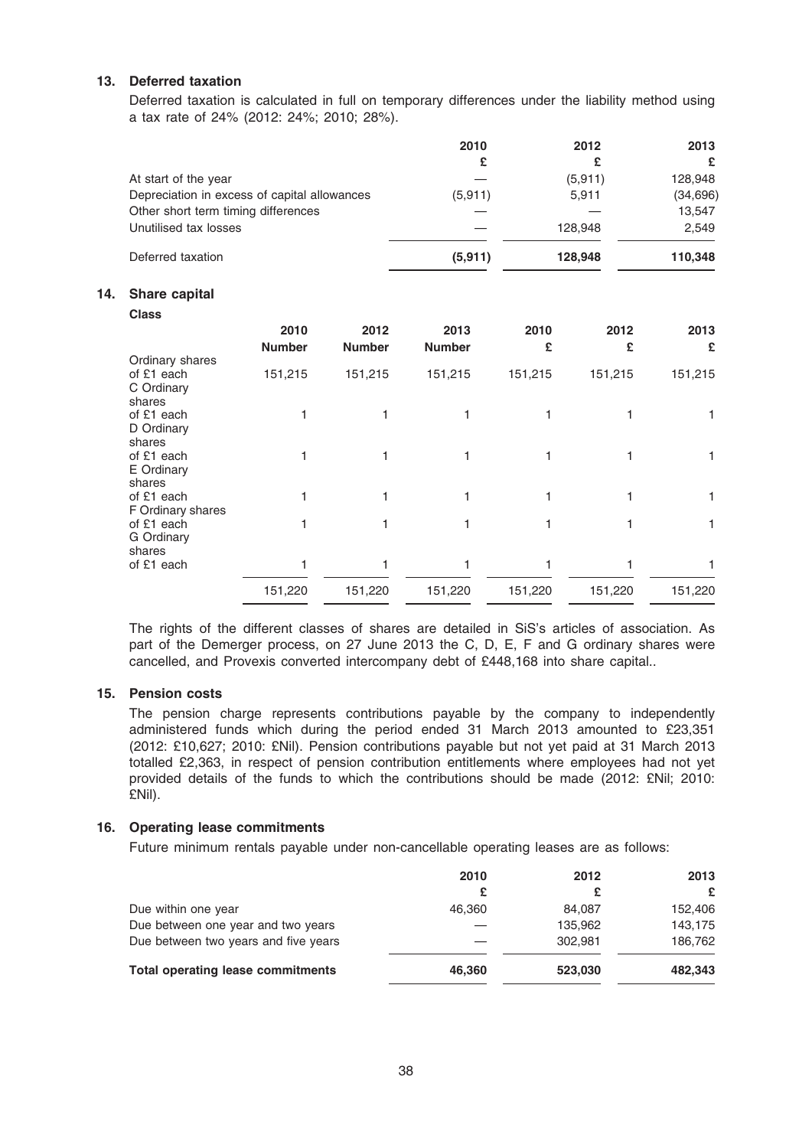# 13. Deferred taxation

Deferred taxation is calculated in full on temporary differences under the liability method using a tax rate of 24% (2012: 24%; 2010; 28%).

|                                              | 2010     | 2012    | 2013      |
|----------------------------------------------|----------|---------|-----------|
|                                              | £        |         | £         |
| At start of the year                         |          | (5,911) | 128,948   |
| Depreciation in excess of capital allowances | (5, 911) | 5,911   | (34, 696) |
| Other short term timing differences          |          |         | 13,547    |
| Unutilised tax losses                        |          | 128,948 | 2.549     |
| Deferred taxation                            | (5, 911) | 128,948 | 110,348   |

# 14. Share capital

| <b>Class</b>                    |               |               |               |         |         |         |
|---------------------------------|---------------|---------------|---------------|---------|---------|---------|
|                                 | 2010          | 2012          | 2013          | 2010    | 2012    | 2013    |
|                                 | <b>Number</b> | <b>Number</b> | <b>Number</b> | £       | £       | £       |
| Ordinary shares                 |               |               |               |         |         |         |
| of £1 each                      | 151,215       | 151,215       | 151,215       | 151,215 | 151,215 | 151,215 |
| C Ordinary                      |               |               |               |         |         |         |
| shares                          |               |               |               |         |         |         |
| of £1 each                      |               |               |               |         |         |         |
| D Ordinary                      |               |               |               |         |         |         |
| shares                          |               |               |               |         |         |         |
| of £1 each                      |               |               |               |         |         | 1.      |
| E Ordinary                      |               |               |               |         |         |         |
| shares                          |               |               |               |         |         |         |
| of £1 each                      |               |               |               |         |         | 1       |
| F Ordinary shares<br>of £1 each |               |               |               |         |         |         |
| G Ordinary                      |               |               |               |         |         |         |
| shares                          |               |               |               |         |         |         |
| of £1 each                      |               |               |               |         |         |         |
|                                 |               |               |               |         |         |         |
|                                 | 151,220       | 151,220       | 151,220       | 151,220 | 151,220 | 151,220 |

The rights of the different classes of shares are detailed in SiS's articles of association. As part of the Demerger process, on 27 June 2013 the C, D, E, F and G ordinary shares were cancelled, and Provexis converted intercompany debt of £448,168 into share capital..

## 15. Pension costs

The pension charge represents contributions payable by the company to independently administered funds which during the period ended 31 March 2013 amounted to £23,351 (2012: £10,627; 2010: £Nil). Pension contributions payable but not yet paid at 31 March 2013 totalled £2,363, in respect of pension contribution entitlements where employees had not yet provided details of the funds to which the contributions should be made (2012: £Nil; 2010: £Nil).

## 16. Operating lease commitments

Future minimum rentals payable under non-cancellable operating leases are as follows:

|                                          | 2010   | 2012    | 2013    |
|------------------------------------------|--------|---------|---------|
|                                          | £      |         | £       |
| Due within one year                      | 46.360 | 84.087  | 152,406 |
| Due between one year and two years       |        | 135.962 | 143.175 |
| Due between two years and five years     |        | 302.981 | 186,762 |
| <b>Total operating lease commitments</b> | 46.360 | 523,030 | 482,343 |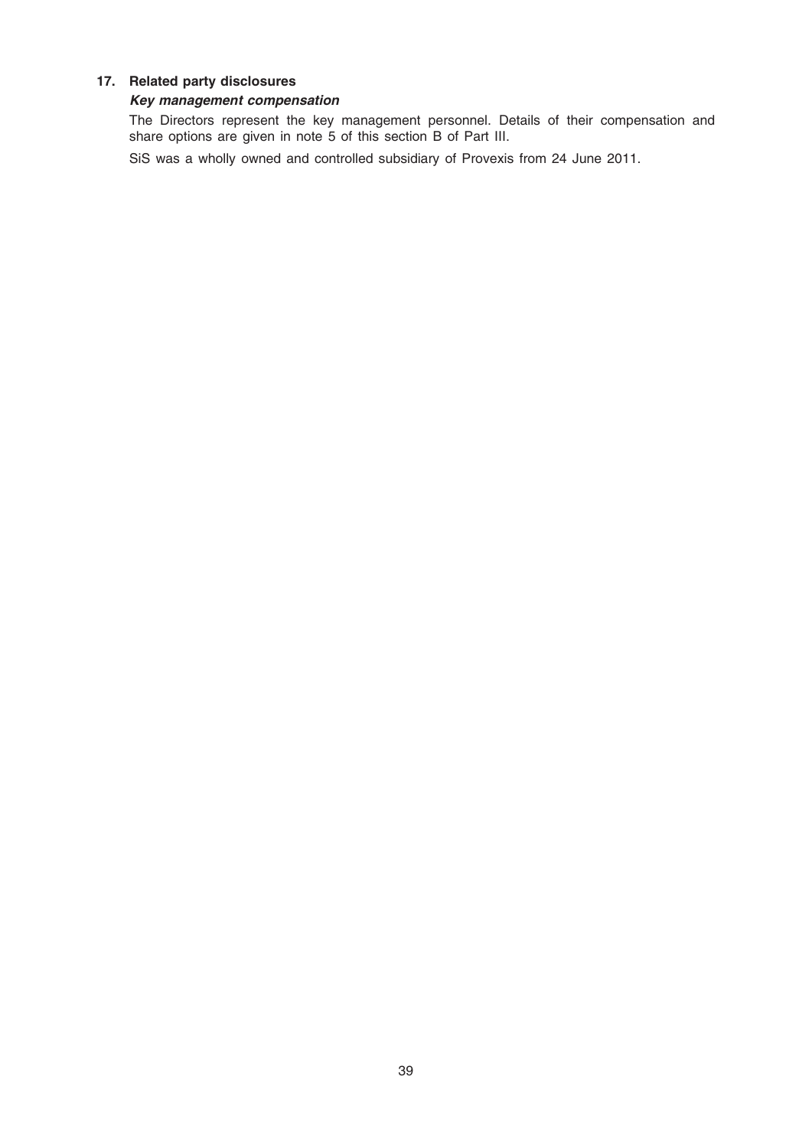## 17. Related party disclosures

## Key management compensation

The Directors represent the key management personnel. Details of their compensation and share options are given in note 5 of this section B of Part III.

SiS was a wholly owned and controlled subsidiary of Provexis from 24 June 2011.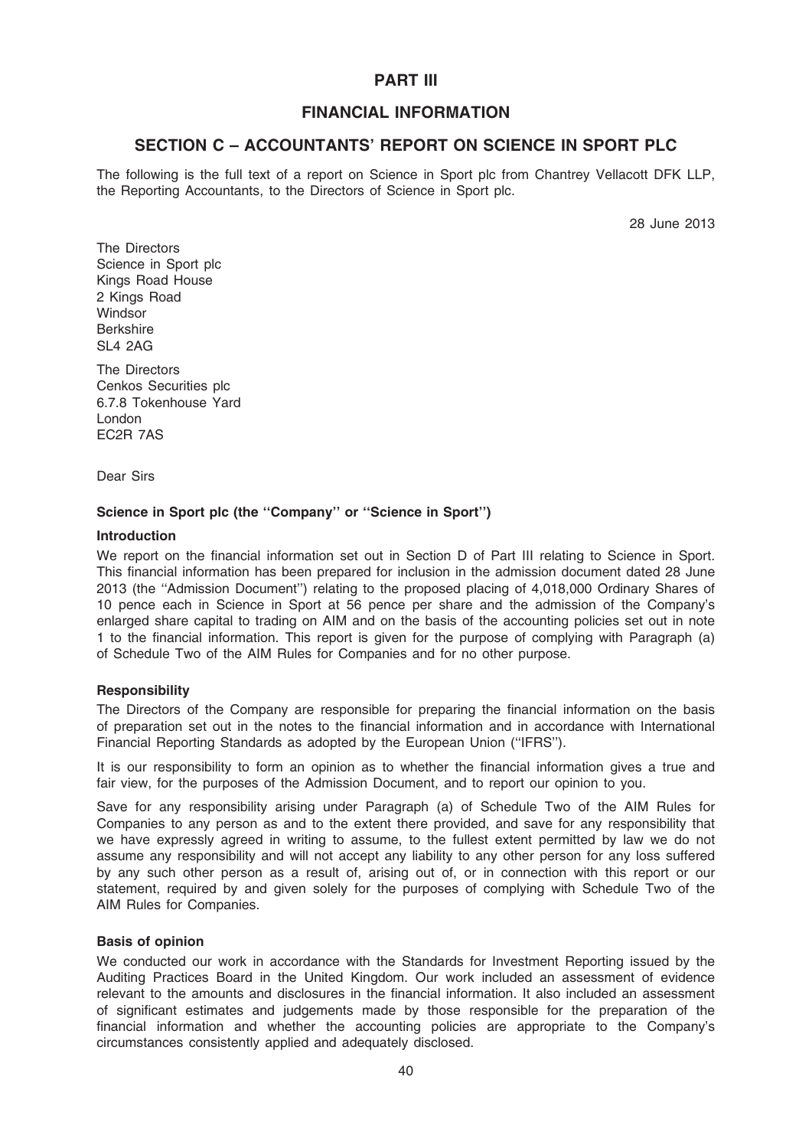# PART III

# FINANCIAL INFORMATION

# SECTION C – ACCOUNTANTS' REPORT ON SCIENCE IN SPORT PLC

The following is the full text of a report on Science in Sport plc from Chantrey Vellacott DFK LLP, the Reporting Accountants, to the Directors of Science in Sport plc.

28 June 2013

The Directors Science in Sport plc Kings Road House 2 Kings Road **Windsor** Berkshire SL4 2AG

The Directors Cenkos Securities plc 6.7.8 Tokenhouse Yard London EC2R 7AS

Dear Sirs

## Science in Sport plc (the ''Company'' or ''Science in Sport'')

### Introduction

We report on the financial information set out in Section D of Part III relating to Science in Sport. This financial information has been prepared for inclusion in the admission document dated 28 June 2013 (the ''Admission Document'') relating to the proposed placing of 4,018,000 Ordinary Shares of 10 pence each in Science in Sport at 56 pence per share and the admission of the Company's enlarged share capital to trading on AIM and on the basis of the accounting policies set out in note 1 to the financial information. This report is given for the purpose of complying with Paragraph (a) of Schedule Two of the AIM Rules for Companies and for no other purpose.

### Responsibility

The Directors of the Company are responsible for preparing the financial information on the basis of preparation set out in the notes to the financial information and in accordance with International Financial Reporting Standards as adopted by the European Union (''IFRS'').

It is our responsibility to form an opinion as to whether the financial information gives a true and fair view, for the purposes of the Admission Document, and to report our opinion to you.

Save for any responsibility arising under Paragraph (a) of Schedule Two of the AIM Rules for Companies to any person as and to the extent there provided, and save for any responsibility that we have expressly agreed in writing to assume, to the fullest extent permitted by law we do not assume any responsibility and will not accept any liability to any other person for any loss suffered by any such other person as a result of, arising out of, or in connection with this report or our statement, required by and given solely for the purposes of complying with Schedule Two of the AIM Rules for Companies.

### Basis of opinion

We conducted our work in accordance with the Standards for Investment Reporting issued by the Auditing Practices Board in the United Kingdom. Our work included an assessment of evidence relevant to the amounts and disclosures in the financial information. It also included an assessment of significant estimates and judgements made by those responsible for the preparation of the financial information and whether the accounting policies are appropriate to the Company's circumstances consistently applied and adequately disclosed.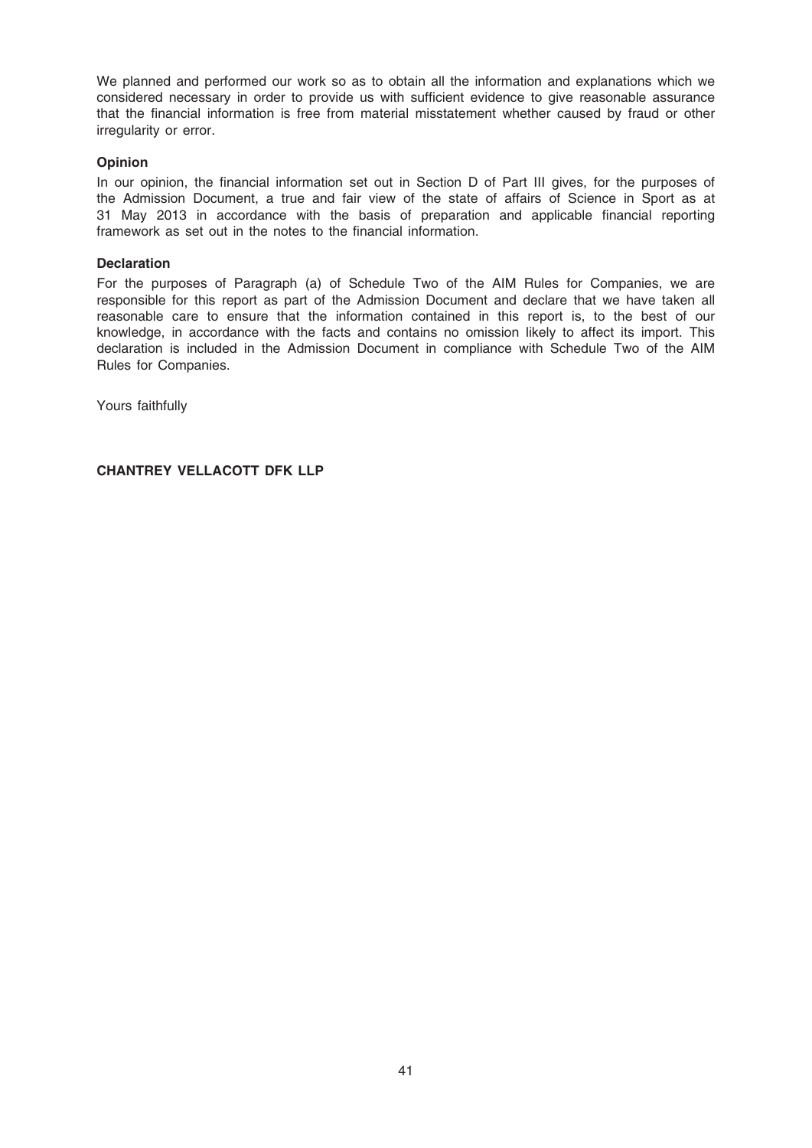We planned and performed our work so as to obtain all the information and explanations which we considered necessary in order to provide us with sufficient evidence to give reasonable assurance that the financial information is free from material misstatement whether caused by fraud or other irregularity or error.

## Opinion

In our opinion, the financial information set out in Section D of Part III gives, for the purposes of the Admission Document, a true and fair view of the state of affairs of Science in Sport as at 31 May 2013 in accordance with the basis of preparation and applicable financial reporting framework as set out in the notes to the financial information.

### **Declaration**

For the purposes of Paragraph (a) of Schedule Two of the AIM Rules for Companies, we are responsible for this report as part of the Admission Document and declare that we have taken all reasonable care to ensure that the information contained in this report is, to the best of our knowledge, in accordance with the facts and contains no omission likely to affect its import. This declaration is included in the Admission Document in compliance with Schedule Two of the AIM Rules for Companies.

Yours faithfully

CHANTREY VELLACOTT DFK LLP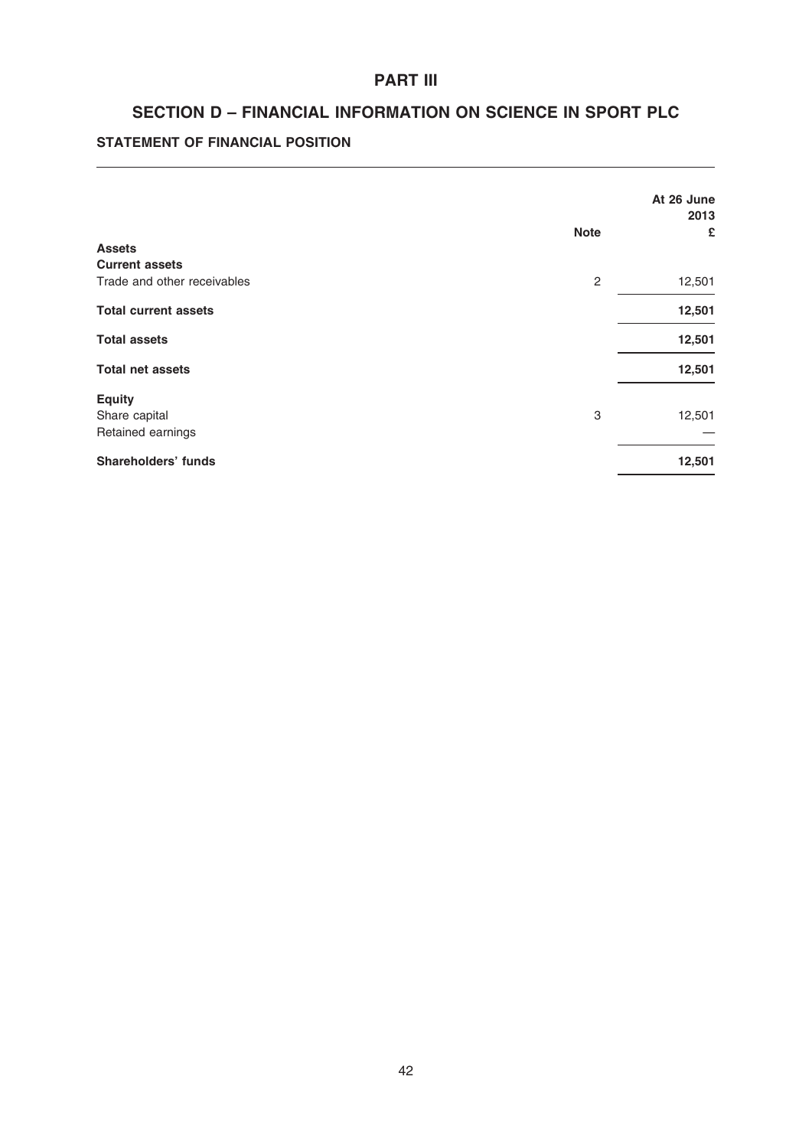# PART III

# SECTION D – FINANCIAL INFORMATION ON SCIENCE IN SPORT PLC

# STATEMENT OF FINANCIAL POSITION

|                             |                | At 26 June<br>2013 |
|-----------------------------|----------------|--------------------|
|                             | <b>Note</b>    | £                  |
| <b>Assets</b>               |                |                    |
| <b>Current assets</b>       |                |                    |
| Trade and other receivables | $\overline{c}$ | 12,501             |
| <b>Total current assets</b> |                | 12,501             |
| <b>Total assets</b>         |                | 12,501             |
| <b>Total net assets</b>     |                | 12,501             |
| <b>Equity</b>               |                |                    |
| Share capital               | 3              | 12,501             |
| Retained earnings           |                |                    |
| <b>Shareholders' funds</b>  |                | 12,501             |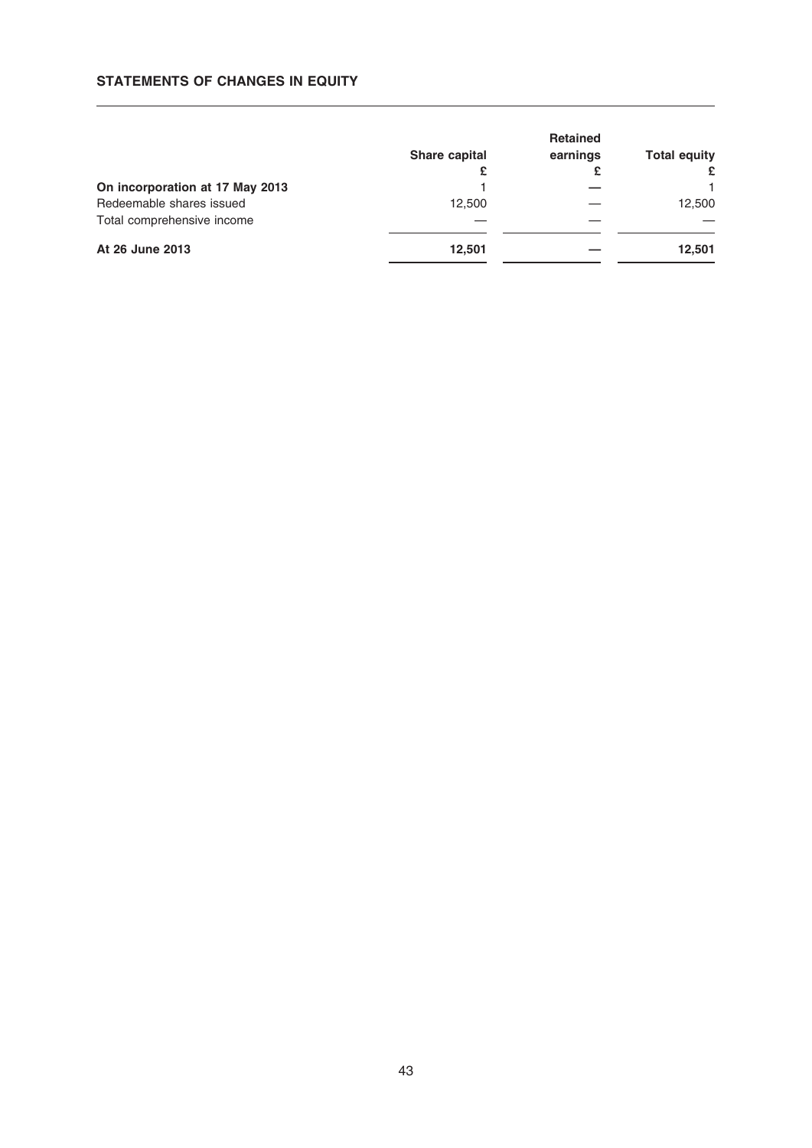## STATEMENTS OF CHANGES IN EQUITY

|                                 | <b>Share capital</b><br>£ | <b>Retained</b><br>earnings<br>£ | <b>Total equity</b><br>£ |
|---------------------------------|---------------------------|----------------------------------|--------------------------|
| On incorporation at 17 May 2013 |                           |                                  |                          |
| Redeemable shares issued        | 12.500                    |                                  | 12,500                   |
| Total comprehensive income      |                           |                                  |                          |
| At 26 June 2013                 | 12.501                    |                                  | 12,501                   |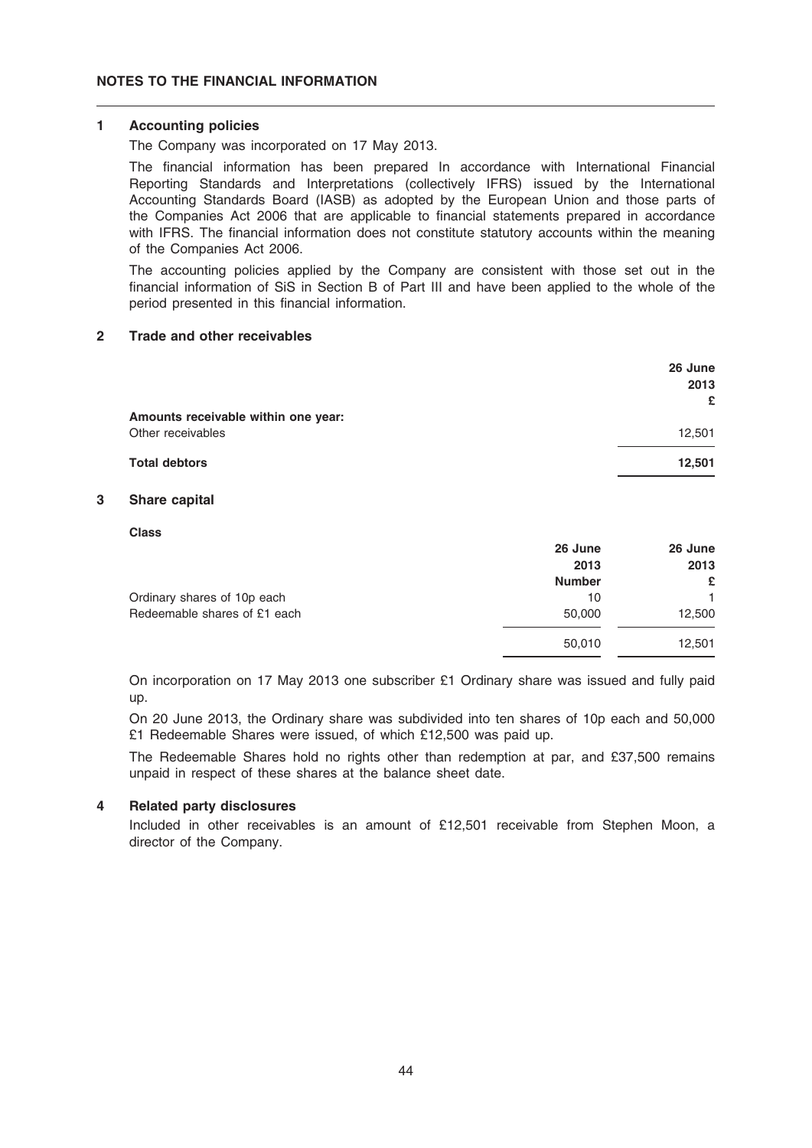### 1 Accounting policies

The Company was incorporated on 17 May 2013.

The financial information has been prepared In accordance with International Financial Reporting Standards and Interpretations (collectively IFRS) issued by the International Accounting Standards Board (IASB) as adopted by the European Union and those parts of the Companies Act 2006 that are applicable to financial statements prepared in accordance with IFRS. The financial information does not constitute statutory accounts within the meaning of the Companies Act 2006.

The accounting policies applied by the Company are consistent with those set out in the financial information of SiS in Section B of Part III and have been applied to the whole of the period presented in this financial information.

## 2 Trade and other receivables

|                                     | 26 June<br>2013 |
|-------------------------------------|-----------------|
| Amounts receivable within one year: | £               |
| Other receivables                   | 12,501          |
| <b>Total debtors</b>                | 12,501          |

### 3 Share capital

Class

|                              | 26 June       | 26 June |
|------------------------------|---------------|---------|
|                              | 2013          | 2013    |
|                              | <b>Number</b> | £       |
| Ordinary shares of 10p each  | 10            |         |
| Redeemable shares of £1 each | 50,000        | 12,500  |
|                              | 50,010        | 12,501  |

On incorporation on 17 May 2013 one subscriber £1 Ordinary share was issued and fully paid up.

On 20 June 2013, the Ordinary share was subdivided into ten shares of 10p each and 50,000 £1 Redeemable Shares were issued, of which £12,500 was paid up.

The Redeemable Shares hold no rights other than redemption at par, and £37,500 remains unpaid in respect of these shares at the balance sheet date.

### 4 Related party disclosures

Included in other receivables is an amount of £12,501 receivable from Stephen Moon, a director of the Company.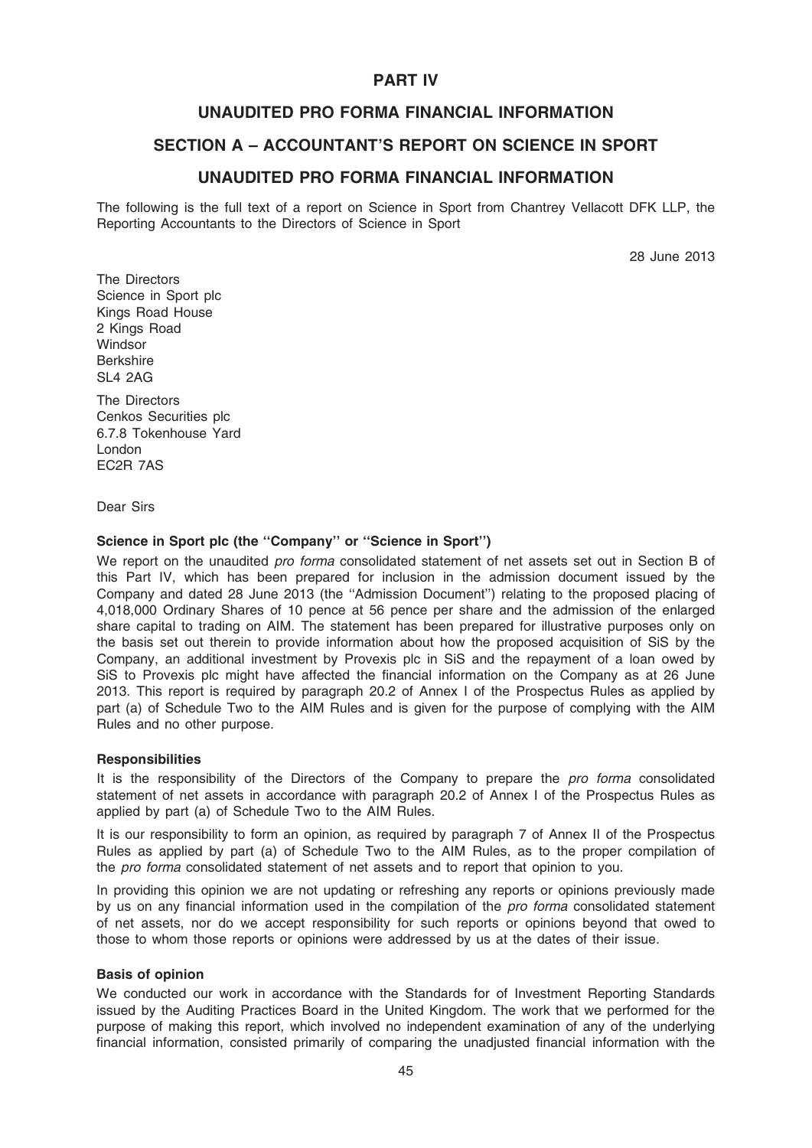# PART IV

# UNAUDITED PRO FORMA FINANCIAL INFORMATION

# SECTION A – ACCOUNTANT'S REPORT ON SCIENCE IN SPORT

# UNAUDITED PRO FORMA FINANCIAL INFORMATION

The following is the full text of a report on Science in Sport from Chantrey Vellacott DFK LLP, the Reporting Accountants to the Directors of Science in Sport

28 June 2013

The Directors Science in Sport plc Kings Road House 2 Kings Road **Windsor** Berkshire SL4 2AG

The Directors Cenkos Securities plc 6.7.8 Tokenhouse Yard London EC2R 7AS

Dear Sirs

## Science in Sport plc (the ''Company'' or ''Science in Sport'')

We report on the unaudited *pro forma* consolidated statement of net assets set out in Section B of this Part IV, which has been prepared for inclusion in the admission document issued by the Company and dated 28 June 2013 (the ''Admission Document'') relating to the proposed placing of 4,018,000 Ordinary Shares of 10 pence at 56 pence per share and the admission of the enlarged share capital to trading on AIM. The statement has been prepared for illustrative purposes only on the basis set out therein to provide information about how the proposed acquisition of SiS by the Company, an additional investment by Provexis plc in SiS and the repayment of a loan owed by SiS to Provexis plc might have affected the financial information on the Company as at 26 June 2013. This report is required by paragraph 20.2 of Annex I of the Prospectus Rules as applied by part (a) of Schedule Two to the AIM Rules and is given for the purpose of complying with the AIM Rules and no other purpose.

### **Responsibilities**

It is the responsibility of the Directors of the Company to prepare the *pro forma* consolidated statement of net assets in accordance with paragraph 20.2 of Annex I of the Prospectus Rules as applied by part (a) of Schedule Two to the AIM Rules.

It is our responsibility to form an opinion, as required by paragraph 7 of Annex II of the Prospectus Rules as applied by part (a) of Schedule Two to the AIM Rules, as to the proper compilation of the pro forma consolidated statement of net assets and to report that opinion to you.

In providing this opinion we are not updating or refreshing any reports or opinions previously made by us on any financial information used in the compilation of the *pro forma* consolidated statement of net assets, nor do we accept responsibility for such reports or opinions beyond that owed to those to whom those reports or opinions were addressed by us at the dates of their issue.

### Basis of opinion

We conducted our work in accordance with the Standards for of Investment Reporting Standards issued by the Auditing Practices Board in the United Kingdom. The work that we performed for the purpose of making this report, which involved no independent examination of any of the underlying financial information, consisted primarily of comparing the unadjusted financial information with the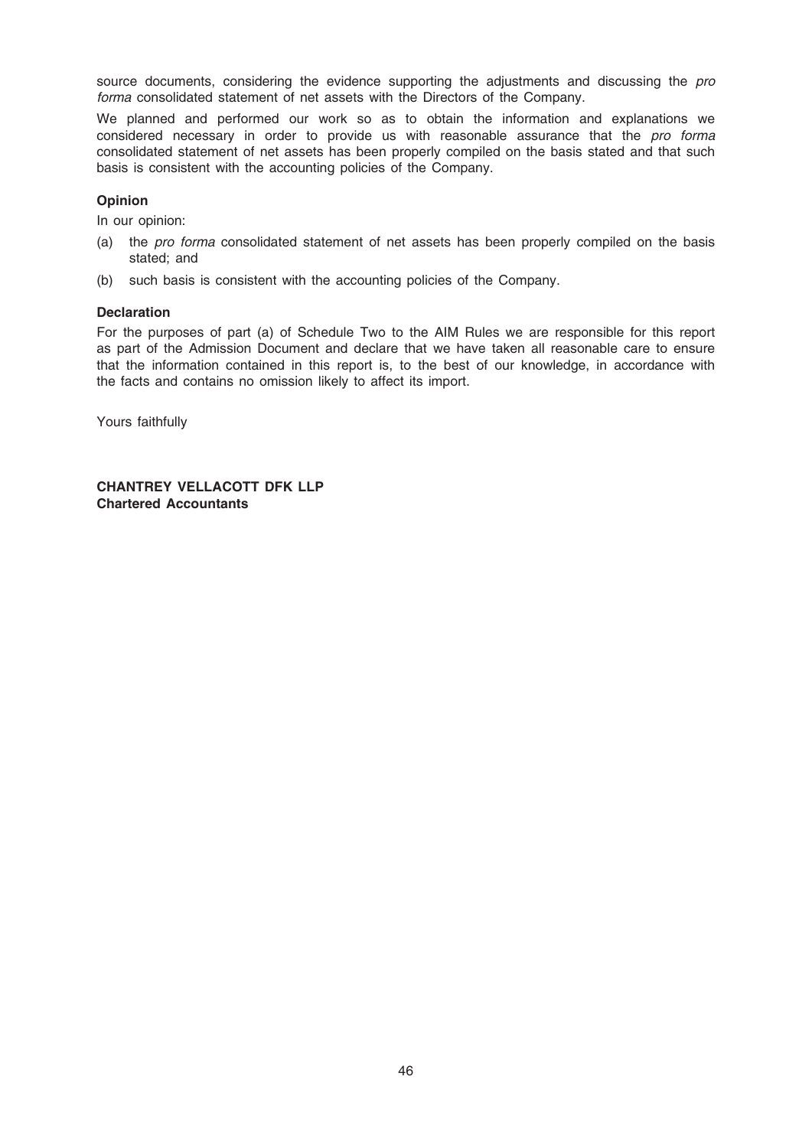source documents, considering the evidence supporting the adjustments and discussing the pro forma consolidated statement of net assets with the Directors of the Company.

We planned and performed our work so as to obtain the information and explanations we considered necessary in order to provide us with reasonable assurance that the pro forma consolidated statement of net assets has been properly compiled on the basis stated and that such basis is consistent with the accounting policies of the Company.

## Opinion

In our opinion:

- (a) the pro forma consolidated statement of net assets has been properly compiled on the basis stated; and
- (b) such basis is consistent with the accounting policies of the Company.

### **Declaration**

For the purposes of part (a) of Schedule Two to the AIM Rules we are responsible for this report as part of the Admission Document and declare that we have taken all reasonable care to ensure that the information contained in this report is, to the best of our knowledge, in accordance with the facts and contains no omission likely to affect its import.

Yours faithfully

CHANTREY VELLACOTT DFK LLP Chartered Accountants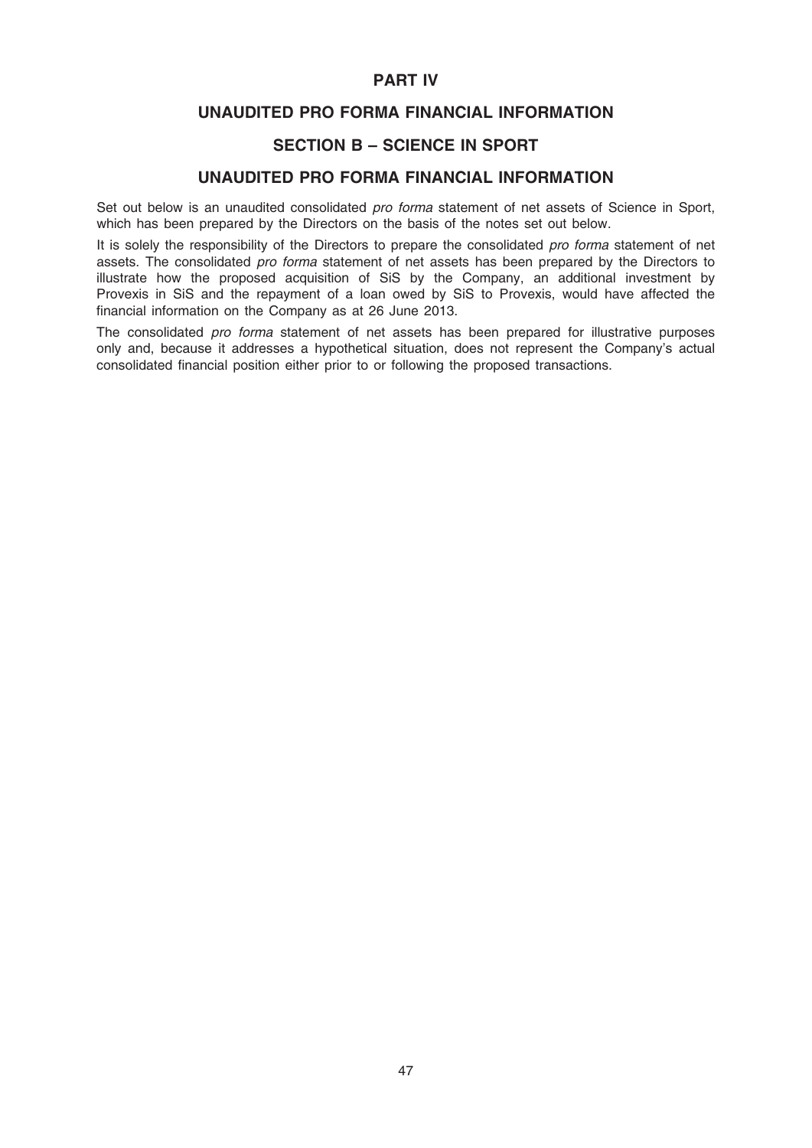# PART IV

# UNAUDITED PRO FORMA FINANCIAL INFORMATION

# SECTION B – SCIENCE IN SPORT

# UNAUDITED PRO FORMA FINANCIAL INFORMATION

Set out below is an unaudited consolidated pro forma statement of net assets of Science in Sport, which has been prepared by the Directors on the basis of the notes set out below.

It is solely the responsibility of the Directors to prepare the consolidated pro forma statement of net assets. The consolidated pro forma statement of net assets has been prepared by the Directors to illustrate how the proposed acquisition of SiS by the Company, an additional investment by Provexis in SiS and the repayment of a loan owed by SiS to Provexis, would have affected the financial information on the Company as at 26 June 2013.

The consolidated *pro forma* statement of net assets has been prepared for illustrative purposes only and, because it addresses a hypothetical situation, does not represent the Company's actual consolidated financial position either prior to or following the proposed transactions.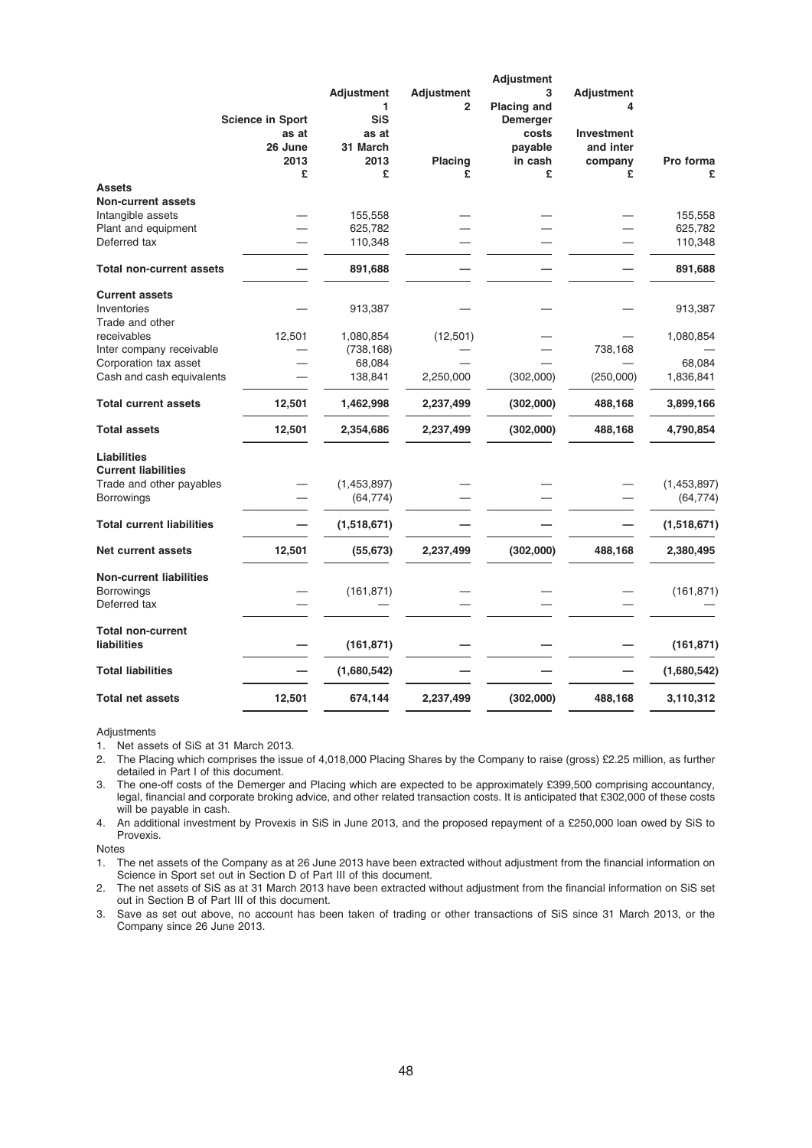|                                  |                         |                   |                   | <b>Adjustment</b>  |                   |             |
|----------------------------------|-------------------------|-------------------|-------------------|--------------------|-------------------|-------------|
|                                  |                         | <b>Adjustment</b> | <b>Adjustment</b> | 3                  | <b>Adjustment</b> |             |
|                                  |                         | 1                 | $\overline{2}$    | <b>Placing and</b> | 4                 |             |
|                                  | <b>Science in Sport</b> | <b>SiS</b>        |                   | Demerger           |                   |             |
|                                  | as at                   | as at             |                   | costs              | <b>Investment</b> |             |
|                                  | 26 June                 | 31 March          |                   | payable            | and inter         |             |
|                                  | 2013                    | 2013              | <b>Placing</b>    | in cash            | company           | Pro forma   |
|                                  | £                       | £                 | £                 | £                  | £                 | £           |
| <b>Assets</b>                    |                         |                   |                   |                    |                   |             |
| <b>Non-current assets</b>        |                         |                   |                   |                    |                   |             |
| Intangible assets                |                         | 155,558           |                   |                    |                   | 155,558     |
| Plant and equipment              |                         | 625,782           |                   |                    |                   | 625,782     |
| Deferred tax                     |                         | 110,348           |                   |                    |                   | 110,348     |
| <b>Total non-current assets</b>  |                         | 891,688           |                   |                    |                   | 891,688     |
| <b>Current assets</b>            |                         |                   |                   |                    |                   |             |
| Inventories                      |                         | 913,387           |                   |                    |                   | 913,387     |
| Trade and other                  |                         |                   |                   |                    |                   |             |
| receivables                      | 12,501                  | 1,080,854         | (12, 501)         |                    |                   | 1,080,854   |
| Inter company receivable         |                         | (738, 168)        |                   |                    | 738,168           |             |
| Corporation tax asset            |                         | 68,084            |                   |                    |                   | 68,084      |
| Cash and cash equivalents        |                         | 138,841           | 2,250,000         | (302,000)          | (250,000)         | 1,836,841   |
| <b>Total current assets</b>      | 12,501                  | 1,462,998         | 2,237,499         | (302,000)          | 488,168           | 3,899,166   |
| <b>Total assets</b>              | 12,501                  | 2,354,686         | 2,237,499         | (302,000)          | 488,168           | 4,790,854   |
| Liabilities                      |                         |                   |                   |                    |                   |             |
| <b>Current liabilities</b>       |                         |                   |                   |                    |                   |             |
| Trade and other payables         |                         | (1,453,897)       |                   |                    |                   | (1,453,897) |
| <b>Borrowings</b>                |                         | (64, 774)         |                   |                    |                   | (64, 774)   |
|                                  |                         |                   |                   |                    |                   |             |
| <b>Total current liabilities</b> |                         | (1,518,671)       |                   |                    |                   | (1,518,671) |
| <b>Net current assets</b>        | 12,501                  | (55, 673)         | 2,237,499         | (302,000)          | 488,168           | 2,380,495   |
| <b>Non-current liabilities</b>   |                         |                   |                   |                    |                   |             |
| <b>Borrowings</b>                |                         | (161, 871)        |                   |                    |                   | (161, 871)  |
| Deferred tax                     |                         |                   |                   |                    |                   |             |
| <b>Total non-current</b>         |                         |                   |                   |                    |                   |             |
| <b>liabilities</b>               |                         | (161, 871)        |                   |                    |                   | (161, 871)  |
| <b>Total liabilities</b>         |                         | (1,680,542)       |                   |                    |                   | (1,680,542) |
| <b>Total net assets</b>          | 12,501                  |                   |                   | (302,000)          | 488,168           |             |
|                                  |                         | 674,144           | 2,237,499         |                    |                   | 3,110,312   |

#### Adjustments

1. Net assets of SiS at 31 March 2013.

2. The Placing which comprises the issue of 4,018,000 Placing Shares by the Company to raise (gross) £2.25 million, as further detailed in Part I of this document.

3. The one-off costs of the Demerger and Placing which are expected to be approximately £399,500 comprising accountancy, legal, financial and corporate broking advice, and other related transaction costs. It is anticipated that £302,000 of these costs will be payable in cash.

4. An additional investment by Provexis in SiS in June 2013, and the proposed repayment of a £250,000 loan owed by SiS to Provexis.

Notes

1. The net assets of the Company as at 26 June 2013 have been extracted without adjustment from the financial information on Science in Sport set out in Section D of Part III of this document.

2. The net assets of SiS as at 31 March 2013 have been extracted without adjustment from the financial information on SiS set out in Section B of Part III of this document.

3. Save as set out above, no account has been taken of trading or other transactions of SiS since 31 March 2013, or the Company since 26 June 2013.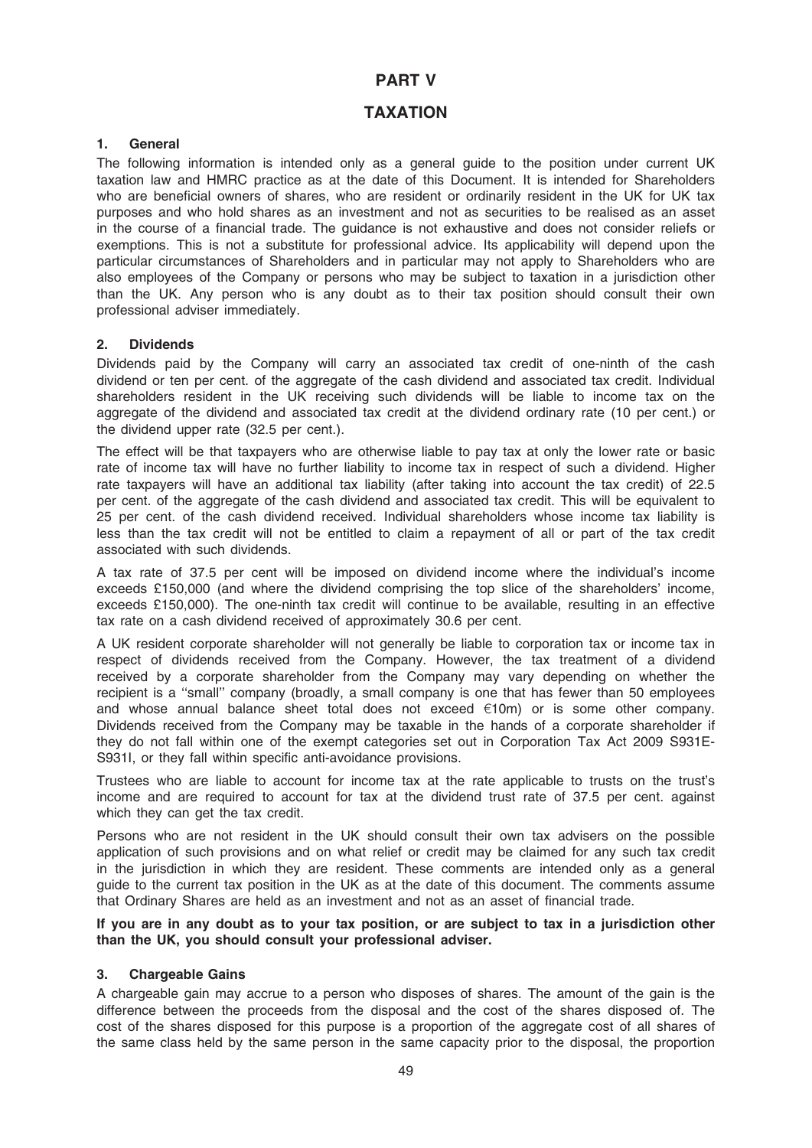# PART V

# TAXATION

## 1. General

The following information is intended only as a general guide to the position under current UK taxation law and HMRC practice as at the date of this Document. It is intended for Shareholders who are beneficial owners of shares, who are resident or ordinarily resident in the UK for UK tax purposes and who hold shares as an investment and not as securities to be realised as an asset in the course of a financial trade. The guidance is not exhaustive and does not consider reliefs or exemptions. This is not a substitute for professional advice. Its applicability will depend upon the particular circumstances of Shareholders and in particular may not apply to Shareholders who are also employees of the Company or persons who may be subject to taxation in a jurisdiction other than the UK. Any person who is any doubt as to their tax position should consult their own professional adviser immediately.

### 2. Dividends

Dividends paid by the Company will carry an associated tax credit of one-ninth of the cash dividend or ten per cent. of the aggregate of the cash dividend and associated tax credit. Individual shareholders resident in the UK receiving such dividends will be liable to income tax on the aggregate of the dividend and associated tax credit at the dividend ordinary rate (10 per cent.) or the dividend upper rate (32.5 per cent.).

The effect will be that taxpayers who are otherwise liable to pay tax at only the lower rate or basic rate of income tax will have no further liability to income tax in respect of such a dividend. Higher rate taxpayers will have an additional tax liability (after taking into account the tax credit) of 22.5 per cent. of the aggregate of the cash dividend and associated tax credit. This will be equivalent to 25 per cent. of the cash dividend received. Individual shareholders whose income tax liability is less than the tax credit will not be entitled to claim a repayment of all or part of the tax credit associated with such dividends.

A tax rate of 37.5 per cent will be imposed on dividend income where the individual's income exceeds £150,000 (and where the dividend comprising the top slice of the shareholders' income, exceeds £150,000). The one-ninth tax credit will continue to be available, resulting in an effective tax rate on a cash dividend received of approximately 30.6 per cent.

A UK resident corporate shareholder will not generally be liable to corporation tax or income tax in respect of dividends received from the Company. However, the tax treatment of a dividend received by a corporate shareholder from the Company may vary depending on whether the recipient is a ''small'' company (broadly, a small company is one that has fewer than 50 employees and whose annual balance sheet total does not exceed  $\epsilon$ 10m) or is some other company. Dividends received from the Company may be taxable in the hands of a corporate shareholder if they do not fall within one of the exempt categories set out in Corporation Tax Act 2009 S931E-S931I, or they fall within specific anti-avoidance provisions.

Trustees who are liable to account for income tax at the rate applicable to trusts on the trust's income and are required to account for tax at the dividend trust rate of 37.5 per cent. against which they can get the tax credit.

Persons who are not resident in the UK should consult their own tax advisers on the possible application of such provisions and on what relief or credit may be claimed for any such tax credit in the jurisdiction in which they are resident. These comments are intended only as a general guide to the current tax position in the UK as at the date of this document. The comments assume that Ordinary Shares are held as an investment and not as an asset of financial trade.

If you are in any doubt as to your tax position, or are subject to tax in a jurisdiction other than the UK, you should consult your professional adviser.

### 3. Chargeable Gains

A chargeable gain may accrue to a person who disposes of shares. The amount of the gain is the difference between the proceeds from the disposal and the cost of the shares disposed of. The cost of the shares disposed for this purpose is a proportion of the aggregate cost of all shares of the same class held by the same person in the same capacity prior to the disposal, the proportion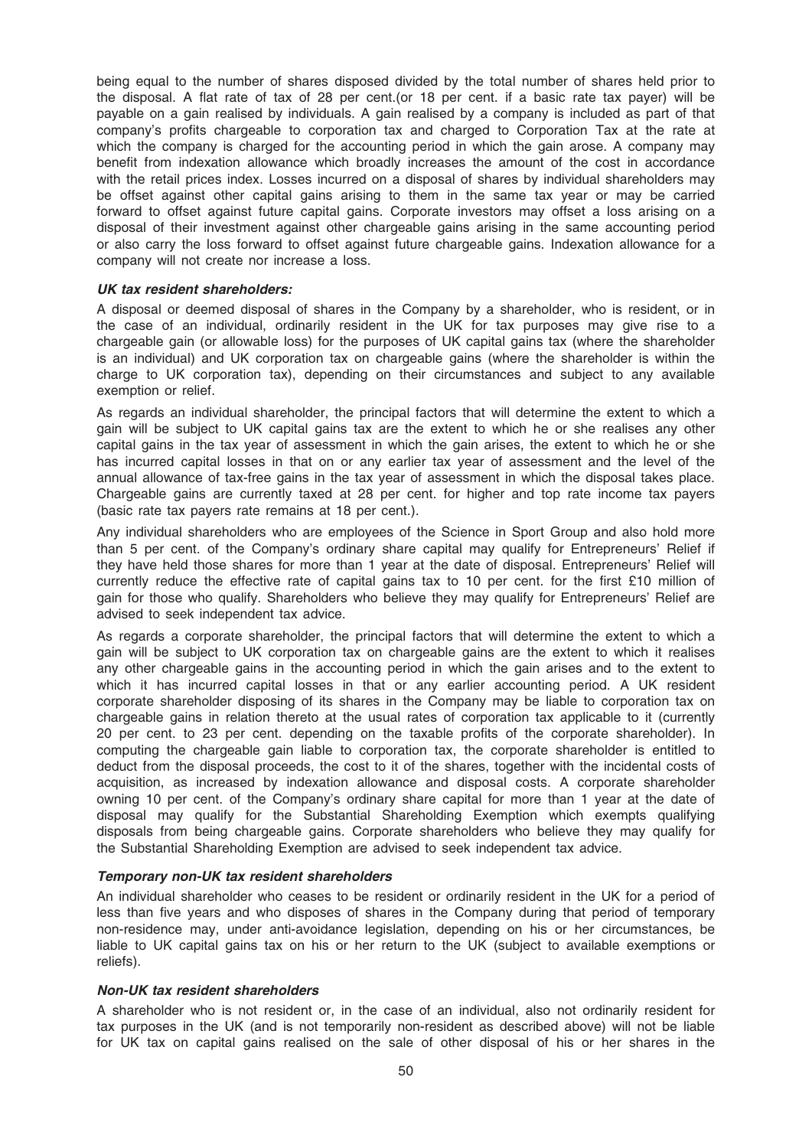being equal to the number of shares disposed divided by the total number of shares held prior to the disposal. A flat rate of tax of 28 per cent.(or 18 per cent. if a basic rate tax payer) will be payable on a gain realised by individuals. A gain realised by a company is included as part of that company's profits chargeable to corporation tax and charged to Corporation Tax at the rate at which the company is charged for the accounting period in which the gain arose. A company may benefit from indexation allowance which broadly increases the amount of the cost in accordance with the retail prices index. Losses incurred on a disposal of shares by individual shareholders may be offset against other capital gains arising to them in the same tax year or may be carried forward to offset against future capital gains. Corporate investors may offset a loss arising on a disposal of their investment against other chargeable gains arising in the same accounting period or also carry the loss forward to offset against future chargeable gains. Indexation allowance for a company will not create nor increase a loss.

### UK tax resident shareholders:

A disposal or deemed disposal of shares in the Company by a shareholder, who is resident, or in the case of an individual, ordinarily resident in the UK for tax purposes may give rise to a chargeable gain (or allowable loss) for the purposes of UK capital gains tax (where the shareholder is an individual) and UK corporation tax on chargeable gains (where the shareholder is within the charge to UK corporation tax), depending on their circumstances and subject to any available exemption or relief.

As regards an individual shareholder, the principal factors that will determine the extent to which a gain will be subject to UK capital gains tax are the extent to which he or she realises any other capital gains in the tax year of assessment in which the gain arises, the extent to which he or she has incurred capital losses in that on or any earlier tax year of assessment and the level of the annual allowance of tax-free gains in the tax year of assessment in which the disposal takes place. Chargeable gains are currently taxed at 28 per cent. for higher and top rate income tax payers (basic rate tax payers rate remains at 18 per cent.).

Any individual shareholders who are employees of the Science in Sport Group and also hold more than 5 per cent. of the Company's ordinary share capital may qualify for Entrepreneurs' Relief if they have held those shares for more than 1 year at the date of disposal. Entrepreneurs' Relief will currently reduce the effective rate of capital gains tax to 10 per cent. for the first £10 million of gain for those who qualify. Shareholders who believe they may qualify for Entrepreneurs' Relief are advised to seek independent tax advice.

As regards a corporate shareholder, the principal factors that will determine the extent to which a gain will be subject to UK corporation tax on chargeable gains are the extent to which it realises any other chargeable gains in the accounting period in which the gain arises and to the extent to which it has incurred capital losses in that or any earlier accounting period. A UK resident corporate shareholder disposing of its shares in the Company may be liable to corporation tax on chargeable gains in relation thereto at the usual rates of corporation tax applicable to it (currently 20 per cent. to 23 per cent. depending on the taxable profits of the corporate shareholder). In computing the chargeable gain liable to corporation tax, the corporate shareholder is entitled to deduct from the disposal proceeds, the cost to it of the shares, together with the incidental costs of acquisition, as increased by indexation allowance and disposal costs. A corporate shareholder owning 10 per cent. of the Company's ordinary share capital for more than 1 year at the date of disposal may qualify for the Substantial Shareholding Exemption which exempts qualifying disposals from being chargeable gains. Corporate shareholders who believe they may qualify for the Substantial Shareholding Exemption are advised to seek independent tax advice.

### Temporary non-UK tax resident shareholders

An individual shareholder who ceases to be resident or ordinarily resident in the UK for a period of less than five years and who disposes of shares in the Company during that period of temporary non-residence may, under anti-avoidance legislation, depending on his or her circumstances, be liable to UK capital gains tax on his or her return to the UK (subject to available exemptions or reliefs).

### Non-UK tax resident shareholders

A shareholder who is not resident or, in the case of an individual, also not ordinarily resident for tax purposes in the UK (and is not temporarily non-resident as described above) will not be liable for UK tax on capital gains realised on the sale of other disposal of his or her shares in the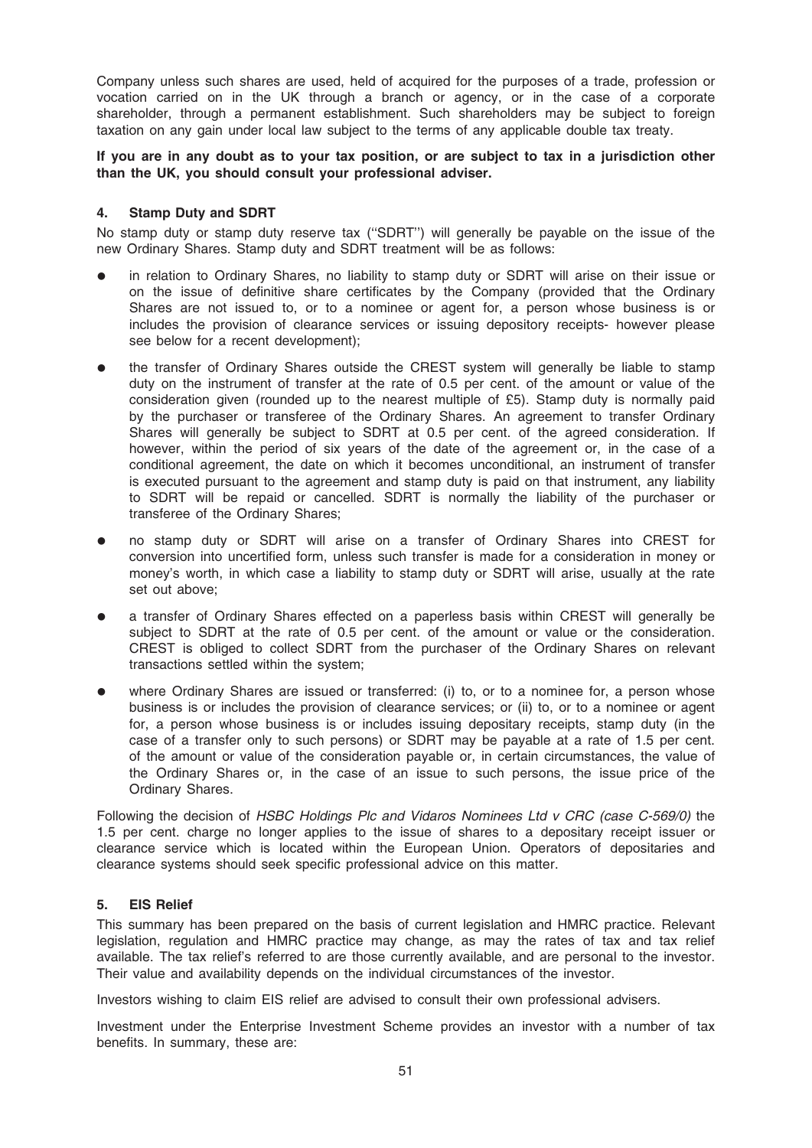Company unless such shares are used, held of acquired for the purposes of a trade, profession or vocation carried on in the UK through a branch or agency, or in the case of a corporate shareholder, through a permanent establishment. Such shareholders may be subject to foreign taxation on any gain under local law subject to the terms of any applicable double tax treaty.

If you are in any doubt as to your tax position, or are subject to tax in a jurisdiction other than the UK, you should consult your professional adviser.

## 4. Stamp Duty and SDRT

No stamp duty or stamp duty reserve tax (''SDRT'') will generally be payable on the issue of the new Ordinary Shares. Stamp duty and SDRT treatment will be as follows:

- in relation to Ordinary Shares, no liability to stamp duty or SDRT will arise on their issue or on the issue of definitive share certificates by the Company (provided that the Ordinary Shares are not issued to, or to a nominee or agent for, a person whose business is or includes the provision of clearance services or issuing depository receipts- however please see below for a recent development);
- the transfer of Ordinary Shares outside the CREST system will generally be liable to stamp duty on the instrument of transfer at the rate of 0.5 per cent. of the amount or value of the consideration given (rounded up to the nearest multiple of £5). Stamp duty is normally paid by the purchaser or transferee of the Ordinary Shares. An agreement to transfer Ordinary Shares will generally be subject to SDRT at 0.5 per cent. of the agreed consideration. If however, within the period of six years of the date of the agreement or, in the case of a conditional agreement, the date on which it becomes unconditional, an instrument of transfer is executed pursuant to the agreement and stamp duty is paid on that instrument, any liability to SDRT will be repaid or cancelled. SDRT is normally the liability of the purchaser or transferee of the Ordinary Shares;
- no stamp duty or SDRT will arise on a transfer of Ordinary Shares into CREST for conversion into uncertified form, unless such transfer is made for a consideration in money or money's worth, in which case a liability to stamp duty or SDRT will arise, usually at the rate set out above;
- a transfer of Ordinary Shares effected on a paperless basis within CREST will generally be subject to SDRT at the rate of 0.5 per cent. of the amount or value or the consideration. CREST is obliged to collect SDRT from the purchaser of the Ordinary Shares on relevant transactions settled within the system;
- where Ordinary Shares are issued or transferred: (i) to, or to a nominee for, a person whose business is or includes the provision of clearance services; or (ii) to, or to a nominee or agent for, a person whose business is or includes issuing depositary receipts, stamp duty (in the case of a transfer only to such persons) or SDRT may be payable at a rate of 1.5 per cent. of the amount or value of the consideration payable or, in certain circumstances, the value of the Ordinary Shares or, in the case of an issue to such persons, the issue price of the Ordinary Shares.

Following the decision of HSBC Holdings Plc and Vidaros Nominees Ltd v CRC (case C-569/0) the 1.5 per cent. charge no longer applies to the issue of shares to a depositary receipt issuer or clearance service which is located within the European Union. Operators of depositaries and clearance systems should seek specific professional advice on this matter.

# 5. EIS Relief

This summary has been prepared on the basis of current legislation and HMRC practice. Relevant legislation, regulation and HMRC practice may change, as may the rates of tax and tax relief available. The tax relief's referred to are those currently available, and are personal to the investor. Their value and availability depends on the individual circumstances of the investor.

Investors wishing to claim EIS relief are advised to consult their own professional advisers.

Investment under the Enterprise Investment Scheme provides an investor with a number of tax benefits. In summary, these are: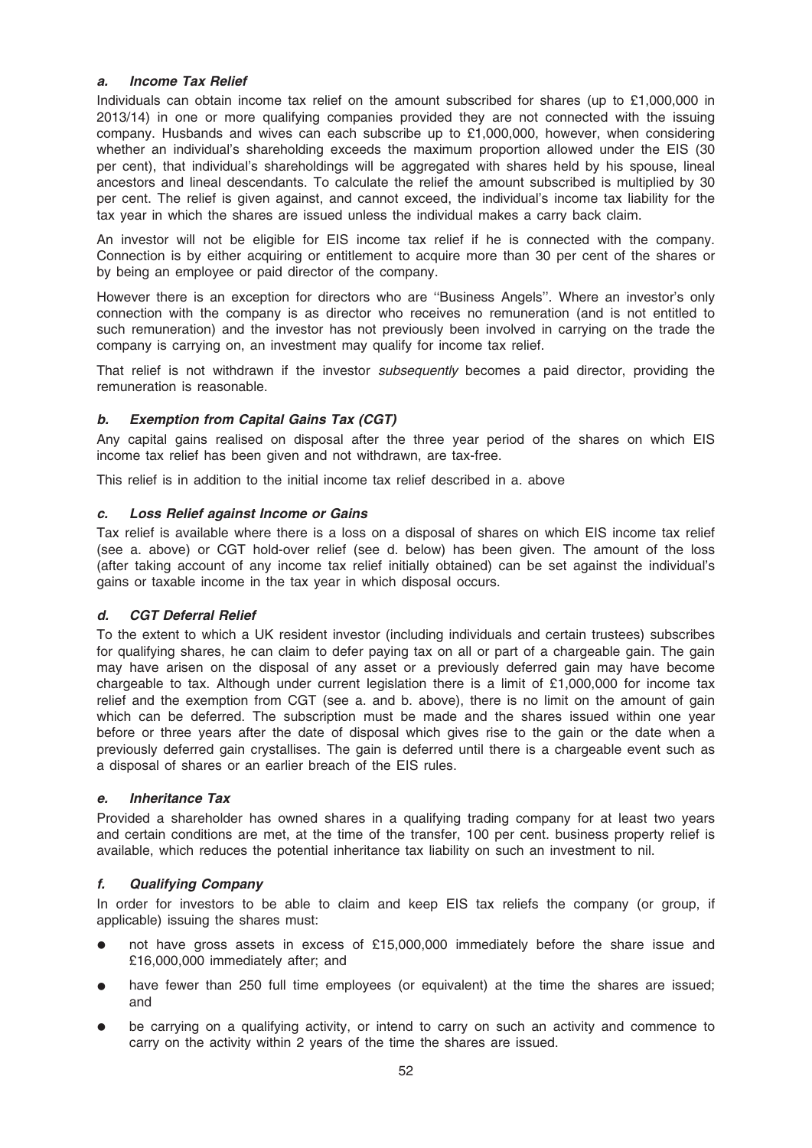## a. Income Tax Relief

Individuals can obtain income tax relief on the amount subscribed for shares (up to £1,000,000 in 2013/14) in one or more qualifying companies provided they are not connected with the issuing company. Husbands and wives can each subscribe up to £1,000,000, however, when considering whether an individual's shareholding exceeds the maximum proportion allowed under the EIS (30 per cent), that individual's shareholdings will be aggregated with shares held by his spouse, lineal ancestors and lineal descendants. To calculate the relief the amount subscribed is multiplied by 30 per cent. The relief is given against, and cannot exceed, the individual's income tax liability for the tax year in which the shares are issued unless the individual makes a carry back claim.

An investor will not be eligible for EIS income tax relief if he is connected with the company. Connection is by either acquiring or entitlement to acquire more than 30 per cent of the shares or by being an employee or paid director of the company.

However there is an exception for directors who are ''Business Angels''. Where an investor's only connection with the company is as director who receives no remuneration (and is not entitled to such remuneration) and the investor has not previously been involved in carrying on the trade the company is carrying on, an investment may qualify for income tax relief.

That relief is not withdrawn if the investor *subsequently* becomes a paid director, providing the remuneration is reasonable.

## b. Exemption from Capital Gains Tax (CGT)

Any capital gains realised on disposal after the three year period of the shares on which EIS income tax relief has been given and not withdrawn, are tax-free.

This relief is in addition to the initial income tax relief described in a. above

## c. Loss Relief against Income or Gains

Tax relief is available where there is a loss on a disposal of shares on which EIS income tax relief (see a. above) or CGT hold-over relief (see d. below) has been given. The amount of the loss (after taking account of any income tax relief initially obtained) can be set against the individual's gains or taxable income in the tax year in which disposal occurs.

### d. CGT Deferral Relief

To the extent to which a UK resident investor (including individuals and certain trustees) subscribes for qualifying shares, he can claim to defer paying tax on all or part of a chargeable gain. The gain may have arisen on the disposal of any asset or a previously deferred gain may have become chargeable to tax. Although under current legislation there is a limit of £1,000,000 for income tax relief and the exemption from CGT (see a. and b. above), there is no limit on the amount of gain which can be deferred. The subscription must be made and the shares issued within one year before or three years after the date of disposal which gives rise to the gain or the date when a previously deferred gain crystallises. The gain is deferred until there is a chargeable event such as a disposal of shares or an earlier breach of the EIS rules.

### e. Inheritance Tax

Provided a shareholder has owned shares in a qualifying trading company for at least two years and certain conditions are met, at the time of the transfer, 100 per cent. business property relief is available, which reduces the potential inheritance tax liability on such an investment to nil.

### f. Qualifying Company

In order for investors to be able to claim and keep EIS tax reliefs the company (or group, if applicable) issuing the shares must:

- not have gross assets in excess of £15,000,000 immediately before the share issue and £16,000,000 immediately after; and
- have fewer than 250 full time employees (or equivalent) at the time the shares are issued; and
- be carrying on a qualifying activity, or intend to carry on such an activity and commence to carry on the activity within 2 years of the time the shares are issued.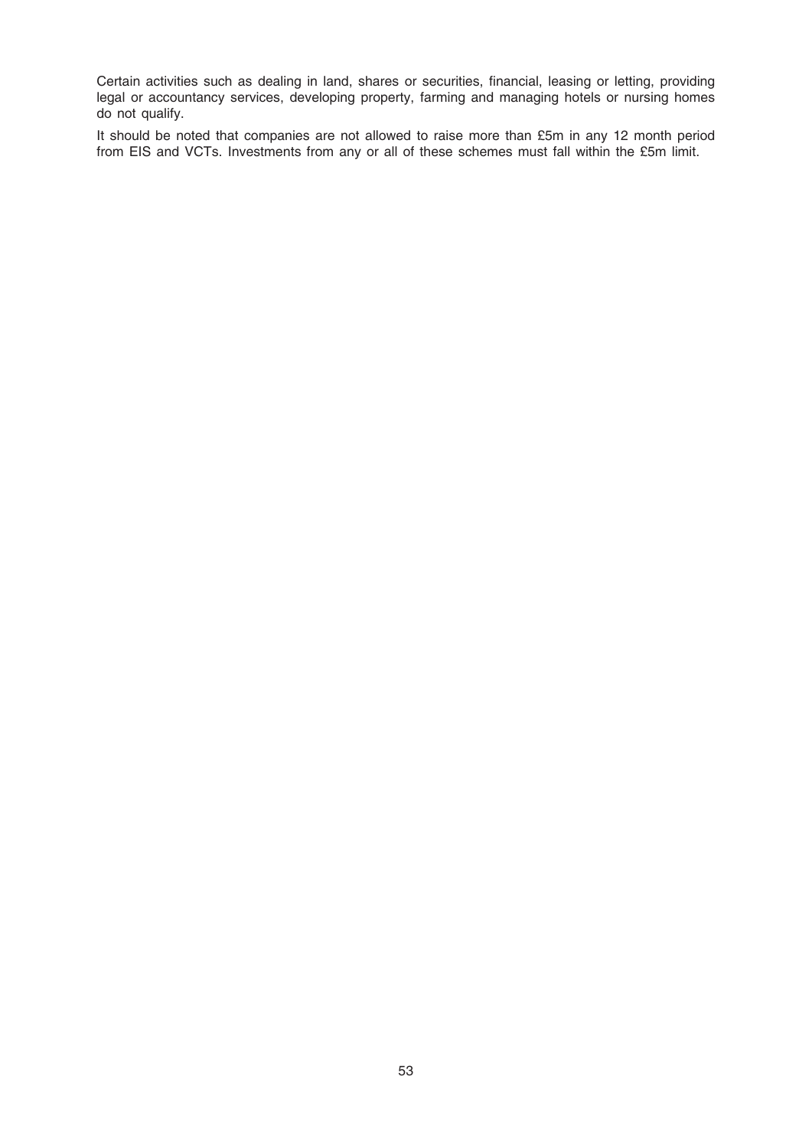Certain activities such as dealing in land, shares or securities, financial, leasing or letting, providing legal or accountancy services, developing property, farming and managing hotels or nursing homes do not qualify.

It should be noted that companies are not allowed to raise more than £5m in any 12 month period from EIS and VCTs. Investments from any or all of these schemes must fall within the £5m limit.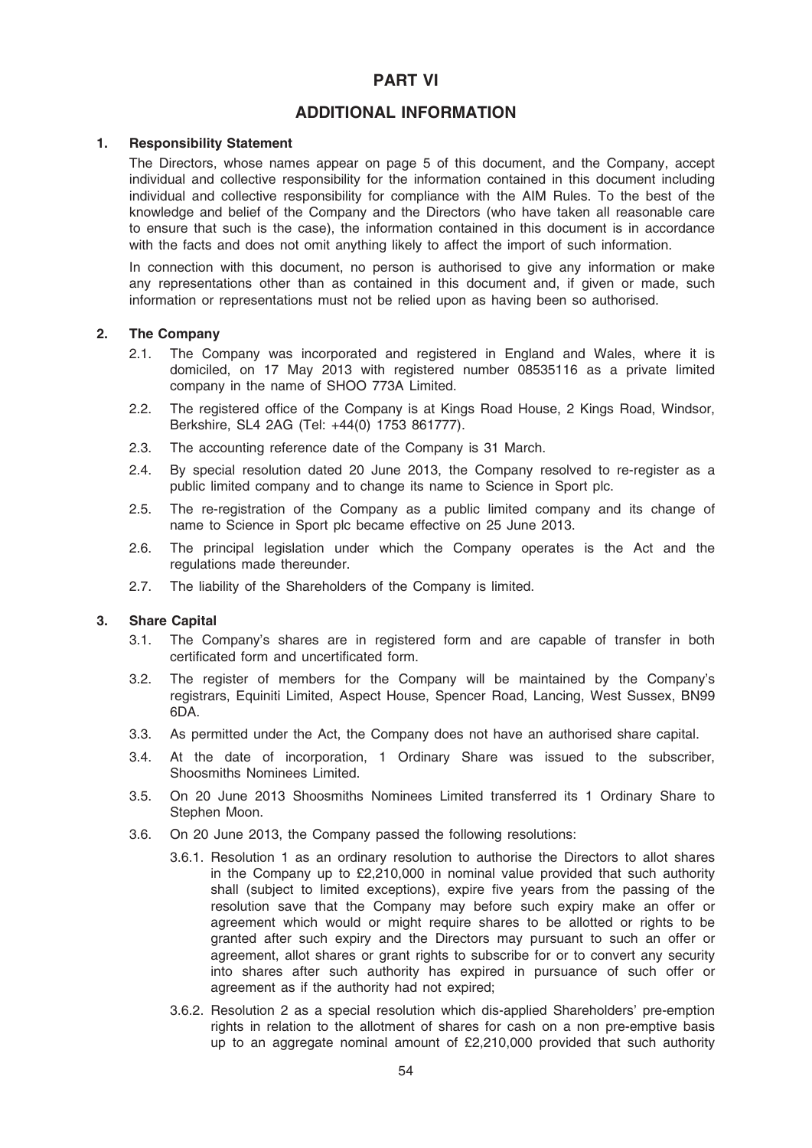# PART VI

# ADDITIONAL INFORMATION

### 1. Responsibility Statement

The Directors, whose names appear on page 5 of this document, and the Company, accept individual and collective responsibility for the information contained in this document including individual and collective responsibility for compliance with the AIM Rules. To the best of the knowledge and belief of the Company and the Directors (who have taken all reasonable care to ensure that such is the case), the information contained in this document is in accordance with the facts and does not omit anything likely to affect the import of such information.

In connection with this document, no person is authorised to give any information or make any representations other than as contained in this document and, if given or made, such information or representations must not be relied upon as having been so authorised.

#### 2. The Company

- 2.1. The Company was incorporated and registered in England and Wales, where it is domiciled, on 17 May 2013 with registered number 08535116 as a private limited company in the name of SHOO 773A Limited.
- 2.2. The registered office of the Company is at Kings Road House, 2 Kings Road, Windsor, Berkshire, SL4 2AG (Tel: +44(0) 1753 861777).
- 2.3. The accounting reference date of the Company is 31 March.
- 2.4. By special resolution dated 20 June 2013, the Company resolved to re-register as a public limited company and to change its name to Science in Sport plc.
- 2.5. The re-registration of the Company as a public limited company and its change of name to Science in Sport plc became effective on 25 June 2013.
- 2.6. The principal legislation under which the Company operates is the Act and the regulations made thereunder.
- 2.7. The liability of the Shareholders of the Company is limited.

### 3. Share Capital

- 3.1. The Company's shares are in registered form and are capable of transfer in both certificated form and uncertificated form.
- 3.2. The register of members for the Company will be maintained by the Company's registrars, Equiniti Limited, Aspect House, Spencer Road, Lancing, West Sussex, BN99 6DA.
- 3.3. As permitted under the Act, the Company does not have an authorised share capital.
- 3.4. At the date of incorporation, 1 Ordinary Share was issued to the subscriber, Shoosmiths Nominees Limited.
- 3.5. On 20 June 2013 Shoosmiths Nominees Limited transferred its 1 Ordinary Share to Stephen Moon.
- 3.6. On 20 June 2013, the Company passed the following resolutions:
	- 3.6.1. Resolution 1 as an ordinary resolution to authorise the Directors to allot shares in the Company up to £2,210,000 in nominal value provided that such authority shall (subject to limited exceptions), expire five years from the passing of the resolution save that the Company may before such expiry make an offer or agreement which would or might require shares to be allotted or rights to be granted after such expiry and the Directors may pursuant to such an offer or agreement, allot shares or grant rights to subscribe for or to convert any security into shares after such authority has expired in pursuance of such offer or agreement as if the authority had not expired;
	- 3.6.2. Resolution 2 as a special resolution which dis-applied Shareholders' pre-emption rights in relation to the allotment of shares for cash on a non pre-emptive basis up to an aggregate nominal amount of £2,210,000 provided that such authority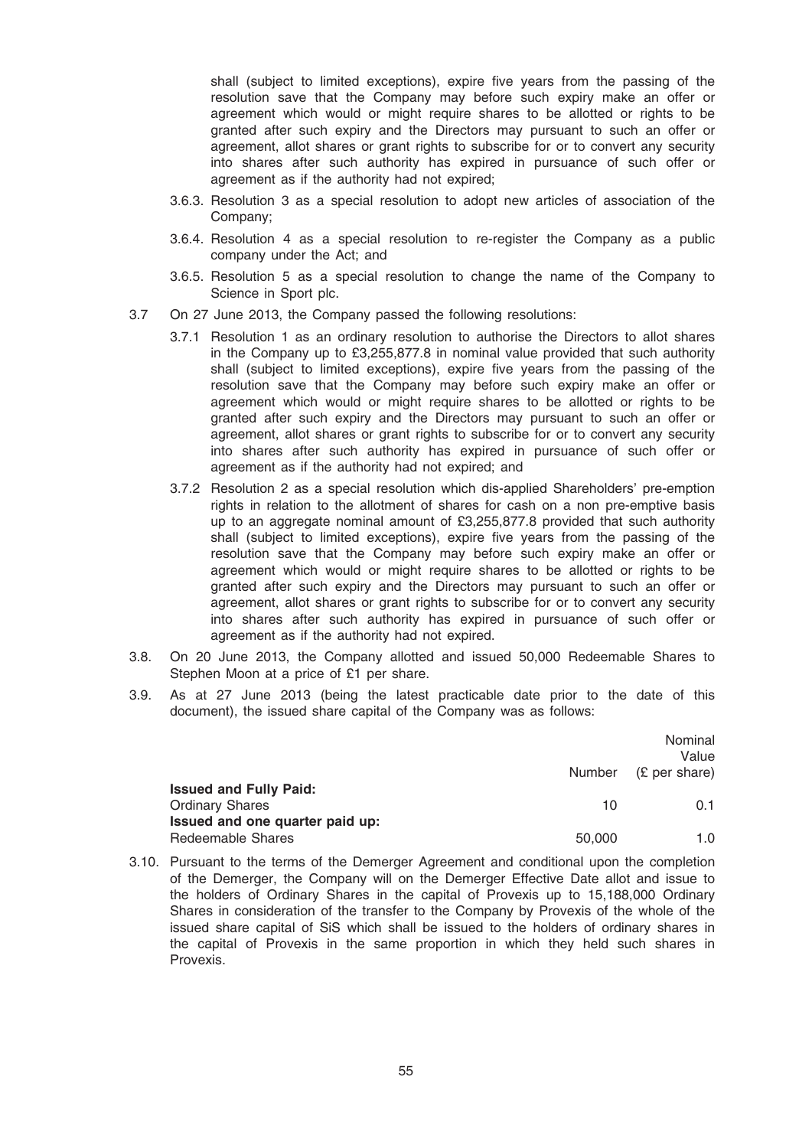shall (subject to limited exceptions), expire five years from the passing of the resolution save that the Company may before such expiry make an offer or agreement which would or might require shares to be allotted or rights to be granted after such expiry and the Directors may pursuant to such an offer or agreement, allot shares or grant rights to subscribe for or to convert any security into shares after such authority has expired in pursuance of such offer or agreement as if the authority had not expired;

- 3.6.3. Resolution 3 as a special resolution to adopt new articles of association of the Company;
- 3.6.4. Resolution 4 as a special resolution to re-register the Company as a public company under the Act; and
- 3.6.5. Resolution 5 as a special resolution to change the name of the Company to Science in Sport plc.
- 3.7 On 27 June 2013, the Company passed the following resolutions:
	- 3.7.1 Resolution 1 as an ordinary resolution to authorise the Directors to allot shares in the Company up to £3,255,877.8 in nominal value provided that such authority shall (subject to limited exceptions), expire five years from the passing of the resolution save that the Company may before such expiry make an offer or agreement which would or might require shares to be allotted or rights to be granted after such expiry and the Directors may pursuant to such an offer or agreement, allot shares or grant rights to subscribe for or to convert any security into shares after such authority has expired in pursuance of such offer or agreement as if the authority had not expired; and
	- 3.7.2 Resolution 2 as a special resolution which dis-applied Shareholders' pre-emption rights in relation to the allotment of shares for cash on a non pre-emptive basis up to an aggregate nominal amount of £3,255,877.8 provided that such authority shall (subject to limited exceptions), expire five years from the passing of the resolution save that the Company may before such expiry make an offer or agreement which would or might require shares to be allotted or rights to be granted after such expiry and the Directors may pursuant to such an offer or agreement, allot shares or grant rights to subscribe for or to convert any security into shares after such authority has expired in pursuance of such offer or agreement as if the authority had not expired.
- 3.8. On 20 June 2013, the Company allotted and issued 50,000 Redeemable Shares to Stephen Moon at a price of £1 per share.
- 3.9. As at 27 June 2013 (being the latest practicable date prior to the date of this document), the issued share capital of the Company was as follows:

|                                 |        | Nominal<br>Value     |
|---------------------------------|--------|----------------------|
|                                 |        | Number (£ per share) |
| <b>Issued and Fully Paid:</b>   |        |                      |
| <b>Ordinary Shares</b>          | 10     | 0.1                  |
| Issued and one quarter paid up: |        |                      |
| Redeemable Shares               | 50,000 | 1.0                  |

3.10. Pursuant to the terms of the Demerger Agreement and conditional upon the completion of the Demerger, the Company will on the Demerger Effective Date allot and issue to the holders of Ordinary Shares in the capital of Provexis up to 15,188,000 Ordinary Shares in consideration of the transfer to the Company by Provexis of the whole of the issued share capital of SiS which shall be issued to the holders of ordinary shares in the capital of Provexis in the same proportion in which they held such shares in Provexis.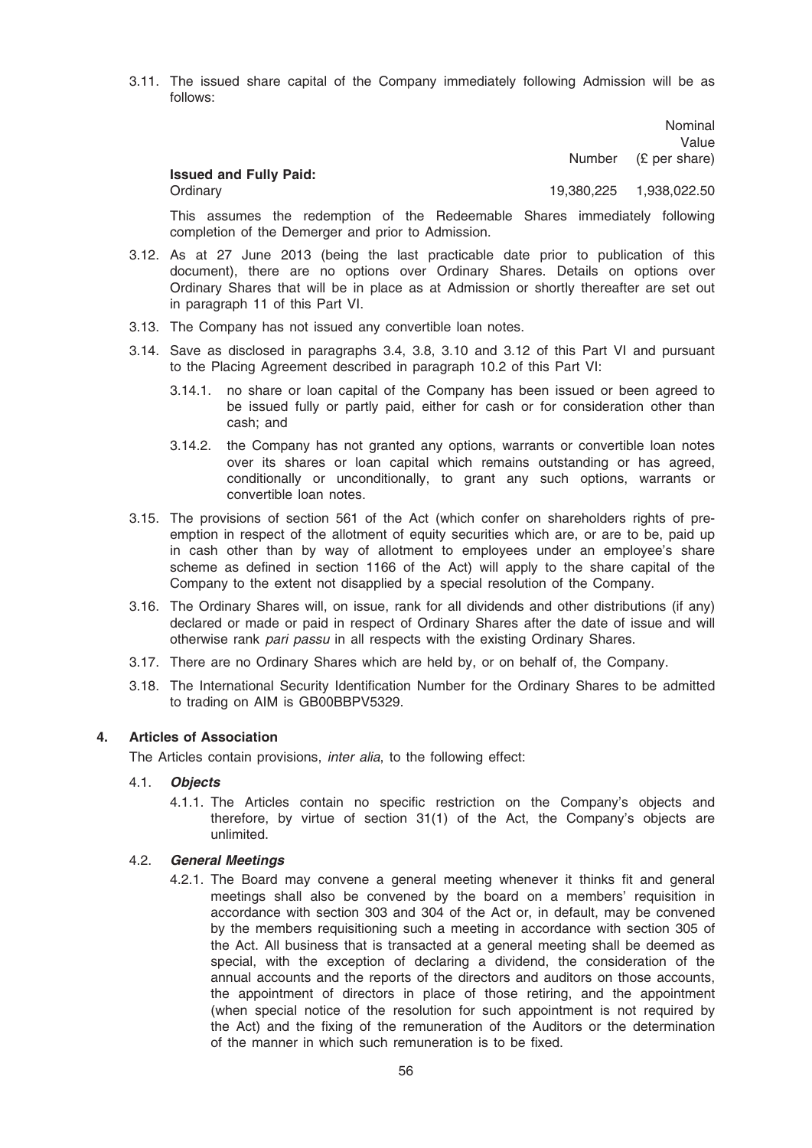3.11. The issued share capital of the Company immediately following Admission will be as follows:

> Number Nominal Value (£ per share)

### Issued and Fully Paid:

Ordinary 19,380,225 1,938,022.50

This assumes the redemption of the Redeemable Shares immediately following completion of the Demerger and prior to Admission.

- 3.12. As at 27 June 2013 (being the last practicable date prior to publication of this document), there are no options over Ordinary Shares. Details on options over Ordinary Shares that will be in place as at Admission or shortly thereafter are set out in paragraph 11 of this Part VI.
- 3.13. The Company has not issued any convertible loan notes.
- 3.14. Save as disclosed in paragraphs 3.4, 3.8, 3.10 and 3.12 of this Part VI and pursuant to the Placing Agreement described in paragraph 10.2 of this Part VI:
	- 3.14.1. no share or loan capital of the Company has been issued or been agreed to be issued fully or partly paid, either for cash or for consideration other than cash; and
	- 3.14.2. the Company has not granted any options, warrants or convertible loan notes over its shares or loan capital which remains outstanding or has agreed, conditionally or unconditionally, to grant any such options, warrants or convertible loan notes.
- 3.15. The provisions of section 561 of the Act (which confer on shareholders rights of preemption in respect of the allotment of equity securities which are, or are to be, paid up in cash other than by way of allotment to employees under an employee's share scheme as defined in section 1166 of the Act) will apply to the share capital of the Company to the extent not disapplied by a special resolution of the Company.
- 3.16. The Ordinary Shares will, on issue, rank for all dividends and other distributions (if any) declared or made or paid in respect of Ordinary Shares after the date of issue and will otherwise rank pari passu in all respects with the existing Ordinary Shares.
- 3.17. There are no Ordinary Shares which are held by, or on behalf of, the Company.
- 3.18. The International Security Identification Number for the Ordinary Shares to be admitted to trading on AIM is GB00BBPV5329.

### 4. Articles of Association

The Articles contain provisions, inter alia, to the following effect:

#### 4.1. Objects

4.1.1. The Articles contain no specific restriction on the Company's objects and therefore, by virtue of section 31(1) of the Act, the Company's objects are unlimited.

#### 4.2. General Meetings

4.2.1. The Board may convene a general meeting whenever it thinks fit and general meetings shall also be convened by the board on a members' requisition in accordance with section 303 and 304 of the Act or, in default, may be convened by the members requisitioning such a meeting in accordance with section 305 of the Act. All business that is transacted at a general meeting shall be deemed as special, with the exception of declaring a dividend, the consideration of the annual accounts and the reports of the directors and auditors on those accounts, the appointment of directors in place of those retiring, and the appointment (when special notice of the resolution for such appointment is not required by the Act) and the fixing of the remuneration of the Auditors or the determination of the manner in which such remuneration is to be fixed.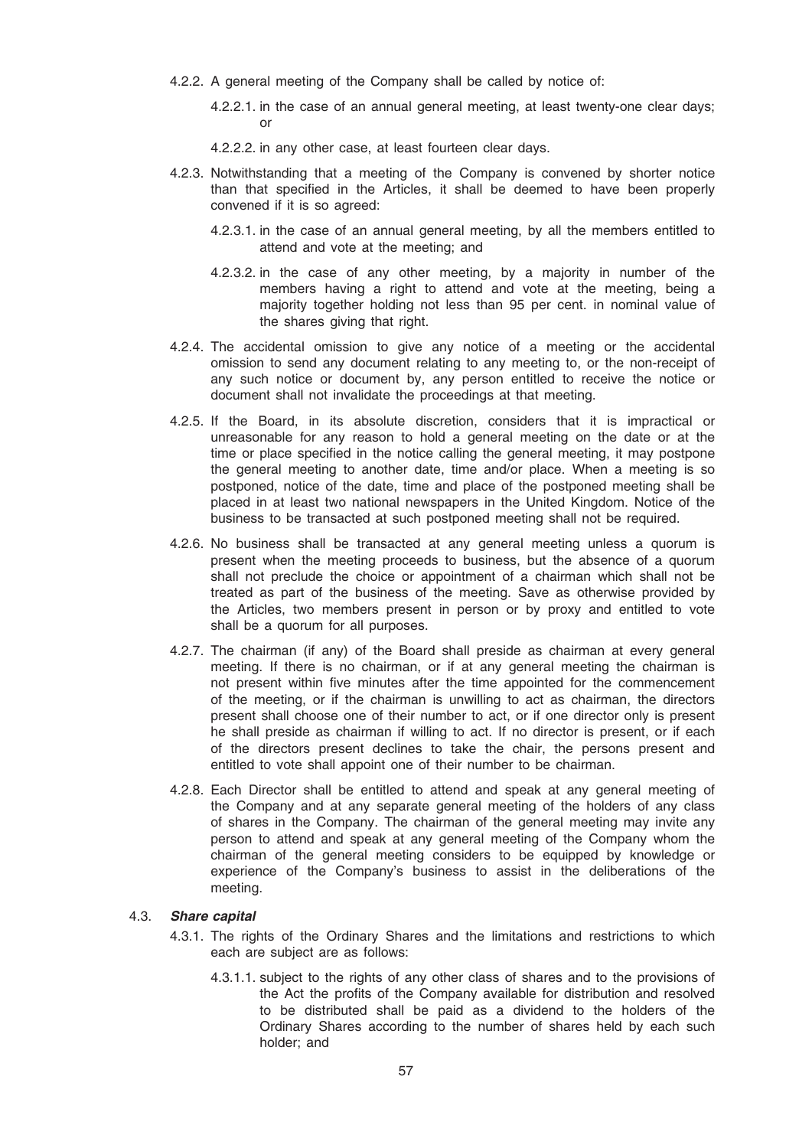- 4.2.2. A general meeting of the Company shall be called by notice of:
	- 4.2.2.1. in the case of an annual general meeting, at least twenty-one clear days; or
	- 4.2.2.2. in any other case, at least fourteen clear days.
- 4.2.3. Notwithstanding that a meeting of the Company is convened by shorter notice than that specified in the Articles, it shall be deemed to have been properly convened if it is so agreed:
	- 4.2.3.1. in the case of an annual general meeting, by all the members entitled to attend and vote at the meeting; and
	- 4.2.3.2. in the case of any other meeting, by a majority in number of the members having a right to attend and vote at the meeting, being a majority together holding not less than 95 per cent. in nominal value of the shares giving that right.
- 4.2.4. The accidental omission to give any notice of a meeting or the accidental omission to send any document relating to any meeting to, or the non-receipt of any such notice or document by, any person entitled to receive the notice or document shall not invalidate the proceedings at that meeting.
- 4.2.5. If the Board, in its absolute discretion, considers that it is impractical or unreasonable for any reason to hold a general meeting on the date or at the time or place specified in the notice calling the general meeting, it may postpone the general meeting to another date, time and/or place. When a meeting is so postponed, notice of the date, time and place of the postponed meeting shall be placed in at least two national newspapers in the United Kingdom. Notice of the business to be transacted at such postponed meeting shall not be required.
- 4.2.6. No business shall be transacted at any general meeting unless a quorum is present when the meeting proceeds to business, but the absence of a quorum shall not preclude the choice or appointment of a chairman which shall not be treated as part of the business of the meeting. Save as otherwise provided by the Articles, two members present in person or by proxy and entitled to vote shall be a quorum for all purposes.
- 4.2.7. The chairman (if any) of the Board shall preside as chairman at every general meeting. If there is no chairman, or if at any general meeting the chairman is not present within five minutes after the time appointed for the commencement of the meeting, or if the chairman is unwilling to act as chairman, the directors present shall choose one of their number to act, or if one director only is present he shall preside as chairman if willing to act. If no director is present, or if each of the directors present declines to take the chair, the persons present and entitled to vote shall appoint one of their number to be chairman.
- 4.2.8. Each Director shall be entitled to attend and speak at any general meeting of the Company and at any separate general meeting of the holders of any class of shares in the Company. The chairman of the general meeting may invite any person to attend and speak at any general meeting of the Company whom the chairman of the general meeting considers to be equipped by knowledge or experience of the Company's business to assist in the deliberations of the meeting.

### 4.3. Share capital

- 4.3.1. The rights of the Ordinary Shares and the limitations and restrictions to which each are subject are as follows:
	- 4.3.1.1. subject to the rights of any other class of shares and to the provisions of the Act the profits of the Company available for distribution and resolved to be distributed shall be paid as a dividend to the holders of the Ordinary Shares according to the number of shares held by each such holder; and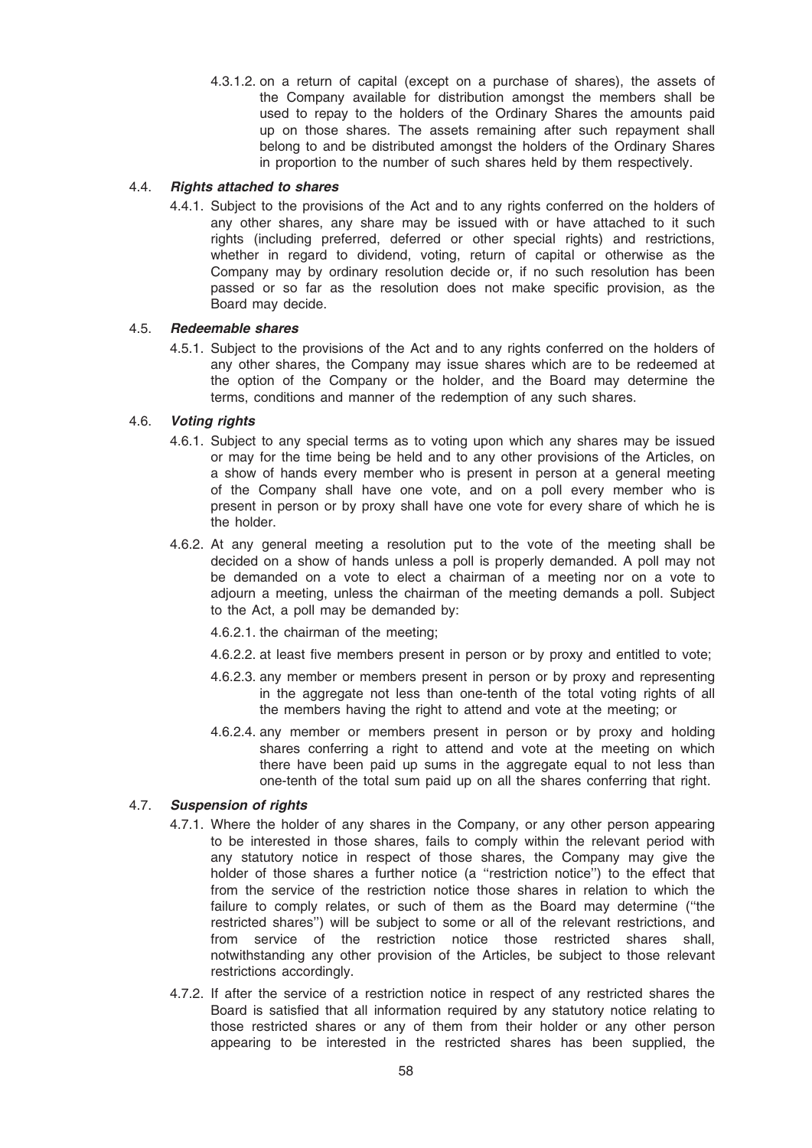4.3.1.2. on a return of capital (except on a purchase of shares), the assets of the Company available for distribution amongst the members shall be used to repay to the holders of the Ordinary Shares the amounts paid up on those shares. The assets remaining after such repayment shall belong to and be distributed amongst the holders of the Ordinary Shares in proportion to the number of such shares held by them respectively.

## 4.4. Rights attached to shares

4.4.1. Subject to the provisions of the Act and to any rights conferred on the holders of any other shares, any share may be issued with or have attached to it such rights (including preferred, deferred or other special rights) and restrictions, whether in regard to dividend, voting, return of capital or otherwise as the Company may by ordinary resolution decide or, if no such resolution has been passed or so far as the resolution does not make specific provision, as the Board may decide.

## 4.5. Redeemable shares

4.5.1. Subject to the provisions of the Act and to any rights conferred on the holders of any other shares, the Company may issue shares which are to be redeemed at the option of the Company or the holder, and the Board may determine the terms, conditions and manner of the redemption of any such shares.

## 4.6. Voting rights

- 4.6.1. Subject to any special terms as to voting upon which any shares may be issued or may for the time being be held and to any other provisions of the Articles, on a show of hands every member who is present in person at a general meeting of the Company shall have one vote, and on a poll every member who is present in person or by proxy shall have one vote for every share of which he is the holder.
- 4.6.2. At any general meeting a resolution put to the vote of the meeting shall be decided on a show of hands unless a poll is properly demanded. A poll may not be demanded on a vote to elect a chairman of a meeting nor on a vote to adjourn a meeting, unless the chairman of the meeting demands a poll. Subject to the Act, a poll may be demanded by:
	- 4.6.2.1. the chairman of the meeting;
	- 4.6.2.2. at least five members present in person or by proxy and entitled to vote;
	- 4.6.2.3. any member or members present in person or by proxy and representing in the aggregate not less than one-tenth of the total voting rights of all the members having the right to attend and vote at the meeting; or
	- 4.6.2.4. any member or members present in person or by proxy and holding shares conferring a right to attend and vote at the meeting on which there have been paid up sums in the aggregate equal to not less than one-tenth of the total sum paid up on all the shares conferring that right.

# 4.7. Suspension of rights

- 4.7.1. Where the holder of any shares in the Company, or any other person appearing to be interested in those shares, fails to comply within the relevant period with any statutory notice in respect of those shares, the Company may give the holder of those shares a further notice (a ''restriction notice'') to the effect that from the service of the restriction notice those shares in relation to which the failure to comply relates, or such of them as the Board may determine (''the restricted shares'') will be subject to some or all of the relevant restrictions, and from service of the restriction notice those restricted shares shall, notwithstanding any other provision of the Articles, be subject to those relevant restrictions accordingly.
- 4.7.2. If after the service of a restriction notice in respect of any restricted shares the Board is satisfied that all information required by any statutory notice relating to those restricted shares or any of them from their holder or any other person appearing to be interested in the restricted shares has been supplied, the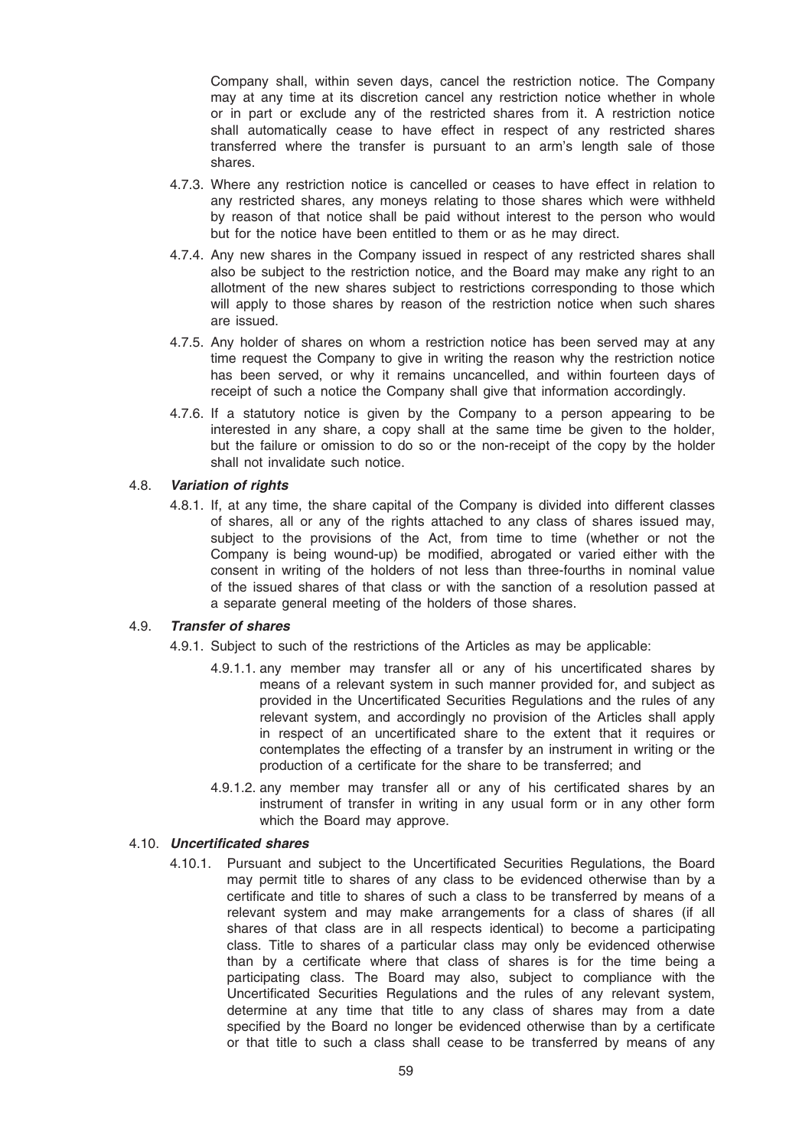Company shall, within seven days, cancel the restriction notice. The Company may at any time at its discretion cancel any restriction notice whether in whole or in part or exclude any of the restricted shares from it. A restriction notice shall automatically cease to have effect in respect of any restricted shares transferred where the transfer is pursuant to an arm's length sale of those shares.

- 4.7.3. Where any restriction notice is cancelled or ceases to have effect in relation to any restricted shares, any moneys relating to those shares which were withheld by reason of that notice shall be paid without interest to the person who would but for the notice have been entitled to them or as he may direct.
- 4.7.4. Any new shares in the Company issued in respect of any restricted shares shall also be subject to the restriction notice, and the Board may make any right to an allotment of the new shares subject to restrictions corresponding to those which will apply to those shares by reason of the restriction notice when such shares are issued.
- 4.7.5. Any holder of shares on whom a restriction notice has been served may at any time request the Company to give in writing the reason why the restriction notice has been served, or why it remains uncancelled, and within fourteen days of receipt of such a notice the Company shall give that information accordingly.
- 4.7.6. If a statutory notice is given by the Company to a person appearing to be interested in any share, a copy shall at the same time be given to the holder, but the failure or omission to do so or the non-receipt of the copy by the holder shall not invalidate such notice.

## 4.8. Variation of rights

4.8.1. If, at any time, the share capital of the Company is divided into different classes of shares, all or any of the rights attached to any class of shares issued may, subject to the provisions of the Act, from time to time (whether or not the Company is being wound-up) be modified, abrogated or varied either with the consent in writing of the holders of not less than three-fourths in nominal value of the issued shares of that class or with the sanction of a resolution passed at a separate general meeting of the holders of those shares.

### 4.9. Transfer of shares

4.9.1. Subject to such of the restrictions of the Articles as may be applicable:

- 4.9.1.1. any member may transfer all or any of his uncertificated shares by means of a relevant system in such manner provided for, and subject as provided in the Uncertificated Securities Regulations and the rules of any relevant system, and accordingly no provision of the Articles shall apply in respect of an uncertificated share to the extent that it requires or contemplates the effecting of a transfer by an instrument in writing or the production of a certificate for the share to be transferred; and
- 4.9.1.2. any member may transfer all or any of his certificated shares by an instrument of transfer in writing in any usual form or in any other form which the Board may approve.

## 4.10. Uncertificated shares

4.10.1. Pursuant and subject to the Uncertificated Securities Regulations, the Board may permit title to shares of any class to be evidenced otherwise than by a certificate and title to shares of such a class to be transferred by means of a relevant system and may make arrangements for a class of shares (if all shares of that class are in all respects identical) to become a participating class. Title to shares of a particular class may only be evidenced otherwise than by a certificate where that class of shares is for the time being a participating class. The Board may also, subject to compliance with the Uncertificated Securities Regulations and the rules of any relevant system, determine at any time that title to any class of shares may from a date specified by the Board no longer be evidenced otherwise than by a certificate or that title to such a class shall cease to be transferred by means of any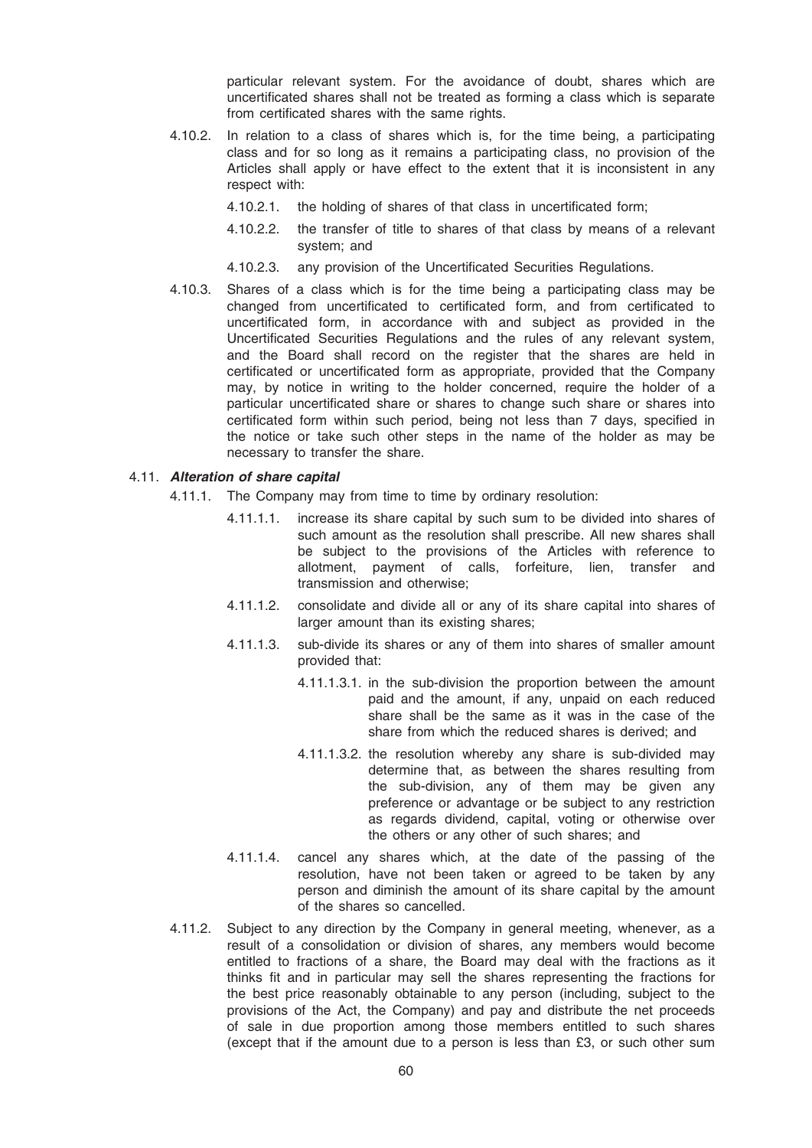particular relevant system. For the avoidance of doubt, shares which are uncertificated shares shall not be treated as forming a class which is separate from certificated shares with the same rights.

- 4.10.2. In relation to a class of shares which is, for the time being, a participating class and for so long as it remains a participating class, no provision of the Articles shall apply or have effect to the extent that it is inconsistent in any respect with:
	- 4.10.2.1. the holding of shares of that class in uncertificated form;
	- 4.10.2.2. the transfer of title to shares of that class by means of a relevant system; and
	- 4.10.2.3. any provision of the Uncertificated Securities Regulations.
- 4.10.3. Shares of a class which is for the time being a participating class may be changed from uncertificated to certificated form, and from certificated to uncertificated form, in accordance with and subject as provided in the Uncertificated Securities Regulations and the rules of any relevant system, and the Board shall record on the register that the shares are held in certificated or uncertificated form as appropriate, provided that the Company may, by notice in writing to the holder concerned, require the holder of a particular uncertificated share or shares to change such share or shares into certificated form within such period, being not less than 7 days, specified in the notice or take such other steps in the name of the holder as may be necessary to transfer the share.

## 4.11. Alteration of share capital

- 4.11.1. The Company may from time to time by ordinary resolution:
	- 4.11.1.1. increase its share capital by such sum to be divided into shares of such amount as the resolution shall prescribe. All new shares shall be subject to the provisions of the Articles with reference to allotment, payment of calls, forfeiture, lien, transfer and transmission and otherwise;
	- 4.11.1.2. consolidate and divide all or any of its share capital into shares of larger amount than its existing shares:
	- 4.11.1.3. sub-divide its shares or any of them into shares of smaller amount provided that:
		- 4.11.1.3.1. in the sub-division the proportion between the amount paid and the amount, if any, unpaid on each reduced share shall be the same as it was in the case of the share from which the reduced shares is derived; and
		- 4.11.1.3.2. the resolution whereby any share is sub-divided may determine that, as between the shares resulting from the sub-division, any of them may be given any preference or advantage or be subject to any restriction as regards dividend, capital, voting or otherwise over the others or any other of such shares; and
	- 4.11.1.4. cancel any shares which, at the date of the passing of the resolution, have not been taken or agreed to be taken by any person and diminish the amount of its share capital by the amount of the shares so cancelled.
- 4.11.2. Subject to any direction by the Company in general meeting, whenever, as a result of a consolidation or division of shares, any members would become entitled to fractions of a share, the Board may deal with the fractions as it thinks fit and in particular may sell the shares representing the fractions for the best price reasonably obtainable to any person (including, subject to the provisions of the Act, the Company) and pay and distribute the net proceeds of sale in due proportion among those members entitled to such shares (except that if the amount due to a person is less than £3, or such other sum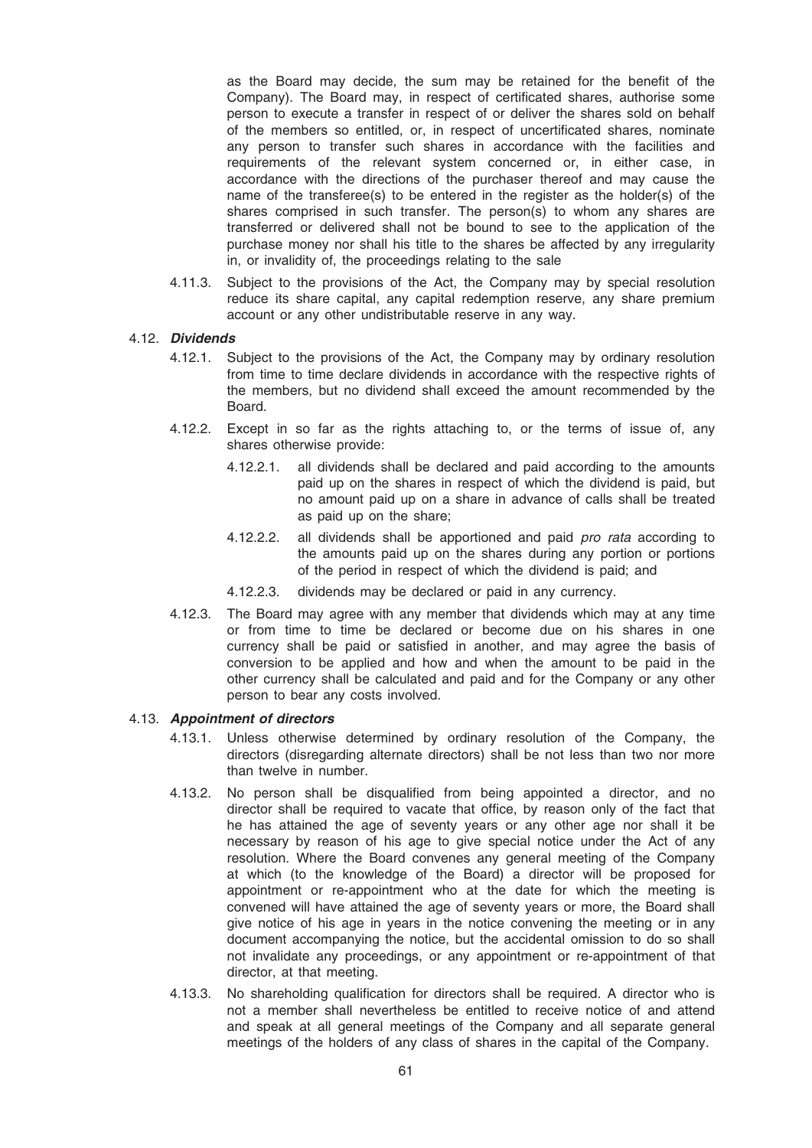as the Board may decide, the sum may be retained for the benefit of the Company). The Board may, in respect of certificated shares, authorise some person to execute a transfer in respect of or deliver the shares sold on behalf of the members so entitled, or, in respect of uncertificated shares, nominate any person to transfer such shares in accordance with the facilities and requirements of the relevant system concerned or, in either case, in accordance with the directions of the purchaser thereof and may cause the name of the transferee(s) to be entered in the register as the holder(s) of the shares comprised in such transfer. The person(s) to whom any shares are transferred or delivered shall not be bound to see to the application of the purchase money nor shall his title to the shares be affected by any irregularity in, or invalidity of, the proceedings relating to the sale

4.11.3. Subject to the provisions of the Act, the Company may by special resolution reduce its share capital, any capital redemption reserve, any share premium account or any other undistributable reserve in any way.

## 4.12. Dividends

- 4.12.1. Subject to the provisions of the Act, the Company may by ordinary resolution from time to time declare dividends in accordance with the respective rights of the members, but no dividend shall exceed the amount recommended by the Board.
- 4.12.2. Except in so far as the rights attaching to, or the terms of issue of, any shares otherwise provide:
	- 4.12.2.1. all dividends shall be declared and paid according to the amounts paid up on the shares in respect of which the dividend is paid, but no amount paid up on a share in advance of calls shall be treated as paid up on the share;
	- 4.12.2.2. all dividends shall be apportioned and paid pro rata according to the amounts paid up on the shares during any portion or portions of the period in respect of which the dividend is paid; and
	- 4.12.2.3. dividends may be declared or paid in any currency.
- 4.12.3. The Board may agree with any member that dividends which may at any time or from time to time be declared or become due on his shares in one currency shall be paid or satisfied in another, and may agree the basis of conversion to be applied and how and when the amount to be paid in the other currency shall be calculated and paid and for the Company or any other person to bear any costs involved.

### 4.13. Appointment of directors

- 4.13.1. Unless otherwise determined by ordinary resolution of the Company, the directors (disregarding alternate directors) shall be not less than two nor more than twelve in number.
- 4.13.2. No person shall be disqualified from being appointed a director, and no director shall be required to vacate that office, by reason only of the fact that he has attained the age of seventy years or any other age nor shall it be necessary by reason of his age to give special notice under the Act of any resolution. Where the Board convenes any general meeting of the Company at which (to the knowledge of the Board) a director will be proposed for appointment or re-appointment who at the date for which the meeting is convened will have attained the age of seventy years or more, the Board shall give notice of his age in years in the notice convening the meeting or in any document accompanying the notice, but the accidental omission to do so shall not invalidate any proceedings, or any appointment or re-appointment of that director, at that meeting.
- 4.13.3. No shareholding qualification for directors shall be required. A director who is not a member shall nevertheless be entitled to receive notice of and attend and speak at all general meetings of the Company and all separate general meetings of the holders of any class of shares in the capital of the Company.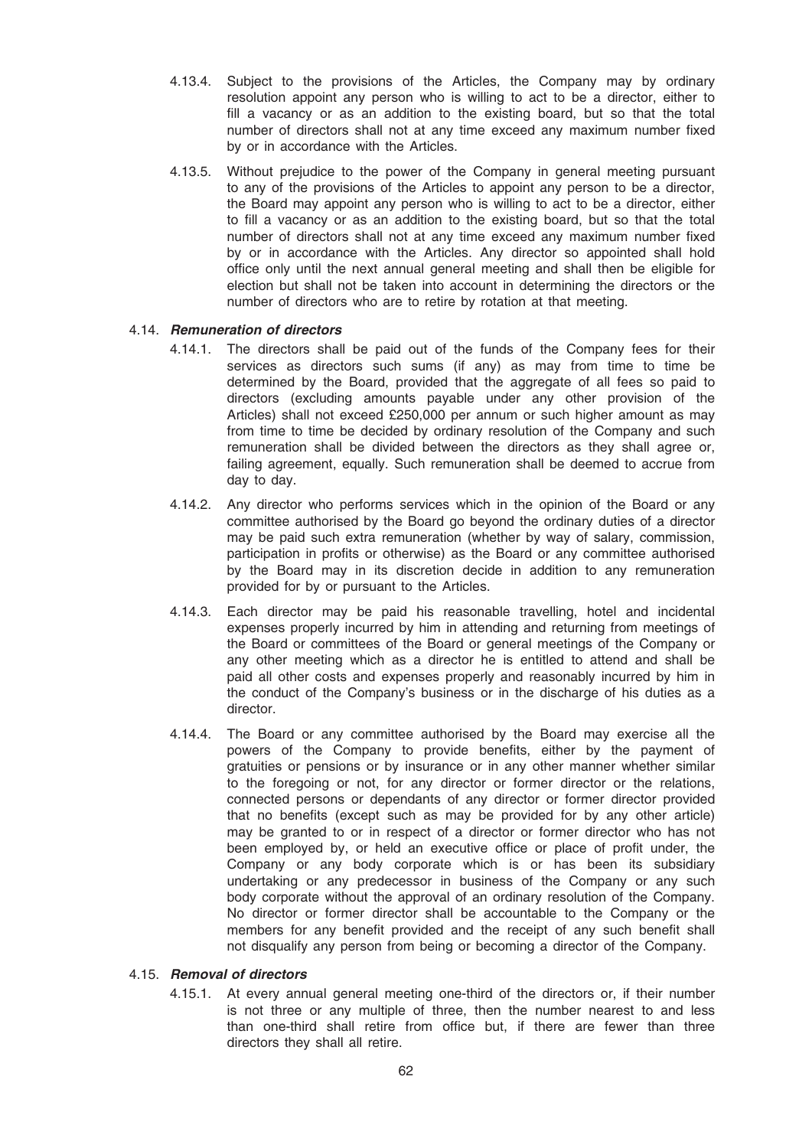- 4.13.4. Subject to the provisions of the Articles, the Company may by ordinary resolution appoint any person who is willing to act to be a director, either to fill a vacancy or as an addition to the existing board, but so that the total number of directors shall not at any time exceed any maximum number fixed by or in accordance with the Articles.
- 4.13.5. Without prejudice to the power of the Company in general meeting pursuant to any of the provisions of the Articles to appoint any person to be a director, the Board may appoint any person who is willing to act to be a director, either to fill a vacancy or as an addition to the existing board, but so that the total number of directors shall not at any time exceed any maximum number fixed by or in accordance with the Articles. Any director so appointed shall hold office only until the next annual general meeting and shall then be eligible for election but shall not be taken into account in determining the directors or the number of directors who are to retire by rotation at that meeting.

## 4.14. Remuneration of directors

- 4.14.1. The directors shall be paid out of the funds of the Company fees for their services as directors such sums (if any) as may from time to time be determined by the Board, provided that the aggregate of all fees so paid to directors (excluding amounts payable under any other provision of the Articles) shall not exceed £250,000 per annum or such higher amount as may from time to time be decided by ordinary resolution of the Company and such remuneration shall be divided between the directors as they shall agree or, failing agreement, equally. Such remuneration shall be deemed to accrue from day to day.
- 4.14.2. Any director who performs services which in the opinion of the Board or any committee authorised by the Board go beyond the ordinary duties of a director may be paid such extra remuneration (whether by way of salary, commission, participation in profits or otherwise) as the Board or any committee authorised by the Board may in its discretion decide in addition to any remuneration provided for by or pursuant to the Articles.
- 4.14.3. Each director may be paid his reasonable travelling, hotel and incidental expenses properly incurred by him in attending and returning from meetings of the Board or committees of the Board or general meetings of the Company or any other meeting which as a director he is entitled to attend and shall be paid all other costs and expenses properly and reasonably incurred by him in the conduct of the Company's business or in the discharge of his duties as a director.
- 4.14.4. The Board or any committee authorised by the Board may exercise all the powers of the Company to provide benefits, either by the payment of gratuities or pensions or by insurance or in any other manner whether similar to the foregoing or not, for any director or former director or the relations, connected persons or dependants of any director or former director provided that no benefits (except such as may be provided for by any other article) may be granted to or in respect of a director or former director who has not been employed by, or held an executive office or place of profit under, the Company or any body corporate which is or has been its subsidiary undertaking or any predecessor in business of the Company or any such body corporate without the approval of an ordinary resolution of the Company. No director or former director shall be accountable to the Company or the members for any benefit provided and the receipt of any such benefit shall not disqualify any person from being or becoming a director of the Company.

### 4.15. Removal of directors

4.15.1. At every annual general meeting one-third of the directors or, if their number is not three or any multiple of three, then the number nearest to and less than one-third shall retire from office but, if there are fewer than three directors they shall all retire.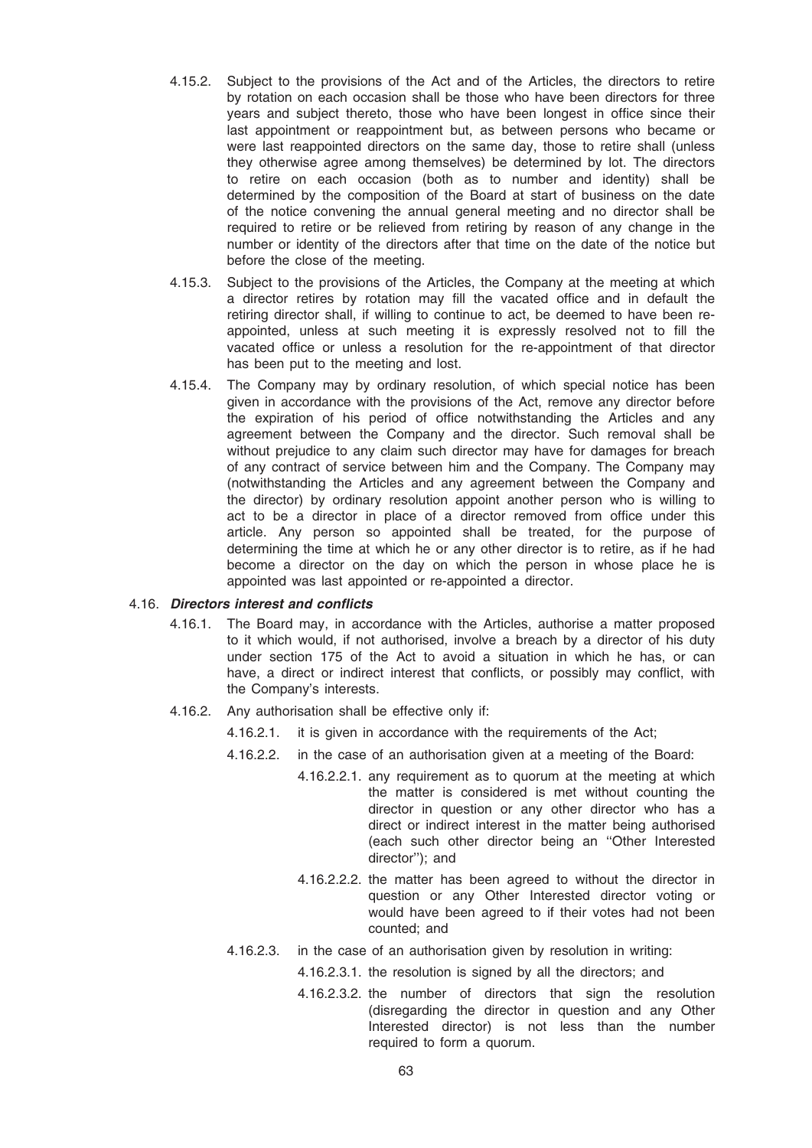- 4.15.2. Subject to the provisions of the Act and of the Articles, the directors to retire by rotation on each occasion shall be those who have been directors for three years and subject thereto, those who have been longest in office since their last appointment or reappointment but, as between persons who became or were last reappointed directors on the same day, those to retire shall (unless they otherwise agree among themselves) be determined by lot. The directors to retire on each occasion (both as to number and identity) shall be determined by the composition of the Board at start of business on the date of the notice convening the annual general meeting and no director shall be required to retire or be relieved from retiring by reason of any change in the number or identity of the directors after that time on the date of the notice but before the close of the meeting.
- 4.15.3. Subject to the provisions of the Articles, the Company at the meeting at which a director retires by rotation may fill the vacated office and in default the retiring director shall, if willing to continue to act, be deemed to have been reappointed, unless at such meeting it is expressly resolved not to fill the vacated office or unless a resolution for the re-appointment of that director has been put to the meeting and lost.
- 4.15.4. The Company may by ordinary resolution, of which special notice has been given in accordance with the provisions of the Act, remove any director before the expiration of his period of office notwithstanding the Articles and any agreement between the Company and the director. Such removal shall be without prejudice to any claim such director may have for damages for breach of any contract of service between him and the Company. The Company may (notwithstanding the Articles and any agreement between the Company and the director) by ordinary resolution appoint another person who is willing to act to be a director in place of a director removed from office under this article. Any person so appointed shall be treated, for the purpose of determining the time at which he or any other director is to retire, as if he had become a director on the day on which the person in whose place he is appointed was last appointed or re-appointed a director.

#### 4.16. Directors interest and conflicts

- 4.16.1. The Board may, in accordance with the Articles, authorise a matter proposed to it which would, if not authorised, involve a breach by a director of his duty under section 175 of the Act to avoid a situation in which he has, or can have, a direct or indirect interest that conflicts, or possibly may conflict, with the Company's interests.
- 4.16.2. Any authorisation shall be effective only if:
	- 4.16.2.1. it is given in accordance with the requirements of the Act;
	- 4.16.2.2. in the case of an authorisation given at a meeting of the Board:
		- 4.16.2.2.1. any requirement as to quorum at the meeting at which the matter is considered is met without counting the director in question or any other director who has a direct or indirect interest in the matter being authorised (each such other director being an ''Other Interested director''); and
		- 4.16.2.2.2. the matter has been agreed to without the director in question or any Other Interested director voting or would have been agreed to if their votes had not been counted; and
	- 4.16.2.3. in the case of an authorisation given by resolution in writing:
		- 4.16.2.3.1. the resolution is signed by all the directors; and
		- 4.16.2.3.2. the number of directors that sign the resolution (disregarding the director in question and any Other Interested director) is not less than the number required to form a quorum.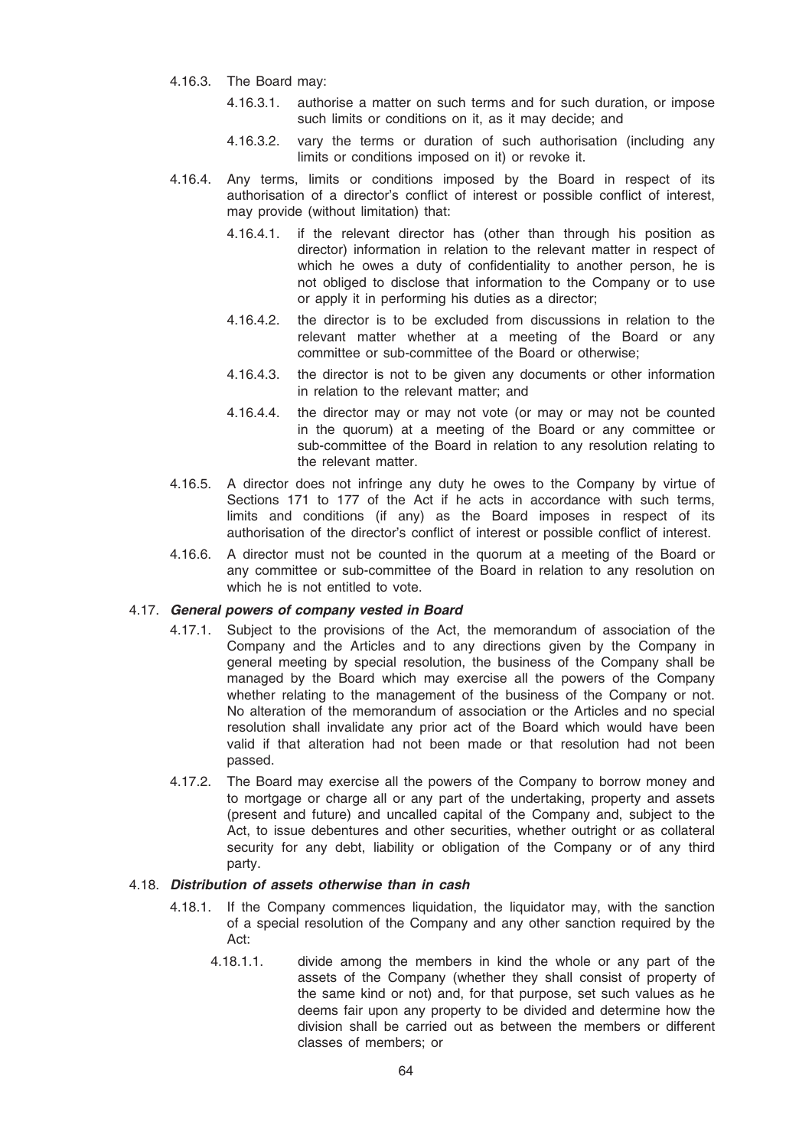- 4.16.3. The Board may:
	- 4.16.3.1. authorise a matter on such terms and for such duration, or impose such limits or conditions on it, as it may decide; and
	- 4.16.3.2. vary the terms or duration of such authorisation (including any limits or conditions imposed on it) or revoke it.
- 4.16.4. Any terms, limits or conditions imposed by the Board in respect of its authorisation of a director's conflict of interest or possible conflict of interest, may provide (without limitation) that:
	- 4.16.4.1. if the relevant director has (other than through his position as director) information in relation to the relevant matter in respect of which he owes a duty of confidentiality to another person, he is not obliged to disclose that information to the Company or to use or apply it in performing his duties as a director;
	- 4.16.4.2. the director is to be excluded from discussions in relation to the relevant matter whether at a meeting of the Board or any committee or sub-committee of the Board or otherwise;
	- 4.16.4.3. the director is not to be given any documents or other information in relation to the relevant matter; and
	- 4.16.4.4. the director may or may not vote (or may or may not be counted in the quorum) at a meeting of the Board or any committee or sub-committee of the Board in relation to any resolution relating to the relevant matter.
- 4.16.5. A director does not infringe any duty he owes to the Company by virtue of Sections 171 to 177 of the Act if he acts in accordance with such terms, limits and conditions (if any) as the Board imposes in respect of its authorisation of the director's conflict of interest or possible conflict of interest.
- 4.16.6. A director must not be counted in the quorum at a meeting of the Board or any committee or sub-committee of the Board in relation to any resolution on which he is not entitled to vote.

## 4.17. General powers of company vested in Board

- 4.17.1. Subject to the provisions of the Act, the memorandum of association of the Company and the Articles and to any directions given by the Company in general meeting by special resolution, the business of the Company shall be managed by the Board which may exercise all the powers of the Company whether relating to the management of the business of the Company or not. No alteration of the memorandum of association or the Articles and no special resolution shall invalidate any prior act of the Board which would have been valid if that alteration had not been made or that resolution had not been passed.
- 4.17.2. The Board may exercise all the powers of the Company to borrow money and to mortgage or charge all or any part of the undertaking, property and assets (present and future) and uncalled capital of the Company and, subject to the Act, to issue debentures and other securities, whether outright or as collateral security for any debt, liability or obligation of the Company or of any third party.

### 4.18. Distribution of assets otherwise than in cash

- 4.18.1. If the Company commences liquidation, the liquidator may, with the sanction of a special resolution of the Company and any other sanction required by the Act:
	- 4.18.1.1. divide among the members in kind the whole or any part of the assets of the Company (whether they shall consist of property of the same kind or not) and, for that purpose, set such values as he deems fair upon any property to be divided and determine how the division shall be carried out as between the members or different classes of members; or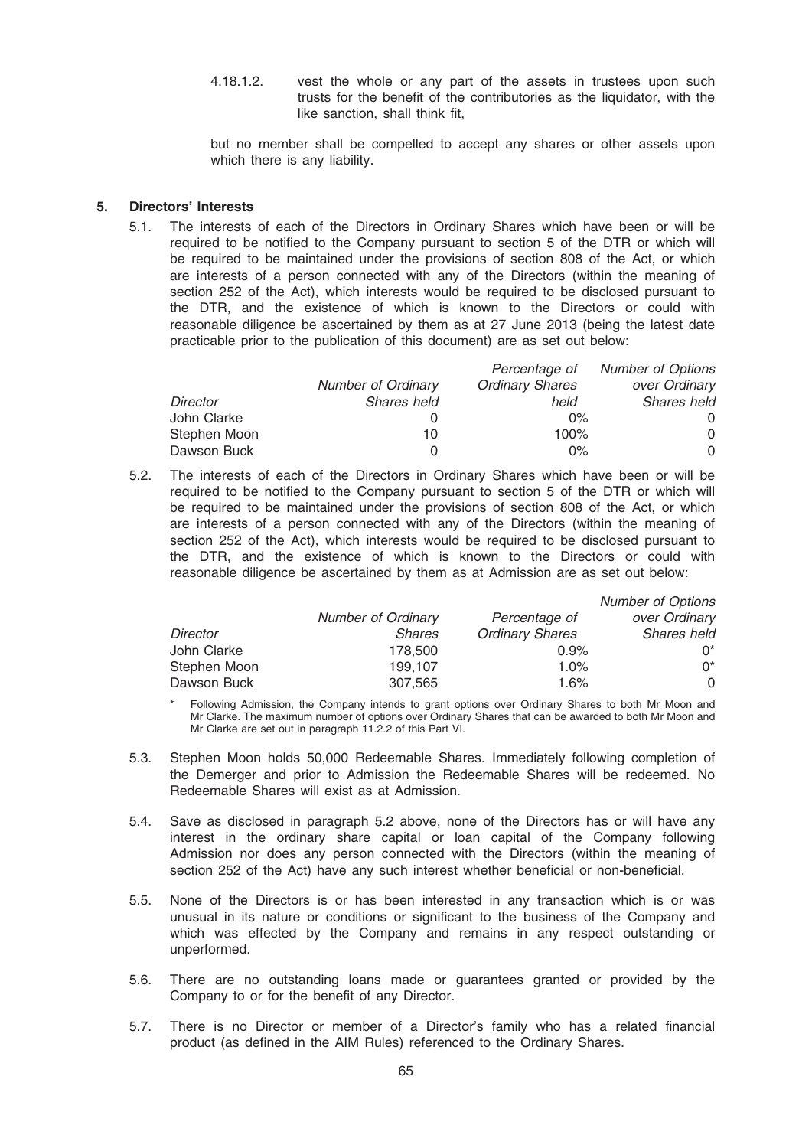4.18.1.2. vest the whole or any part of the assets in trustees upon such trusts for the benefit of the contributories as the liquidator, with the like sanction, shall think fit,

but no member shall be compelled to accept any shares or other assets upon which there is any liability.

### 5. Directors' Interests

5.1. The interests of each of the Directors in Ordinary Shares which have been or will be required to be notified to the Company pursuant to section 5 of the DTR or which will be required to be maintained under the provisions of section 808 of the Act, or which are interests of a person connected with any of the Directors (within the meaning of section 252 of the Act), which interests would be required to be disclosed pursuant to the DTR, and the existence of which is known to the Directors or could with reasonable diligence be ascertained by them as at 27 June 2013 (being the latest date practicable prior to the publication of this document) are as set out below:

|              |                    | Percentage of          | <b>Number of Options</b> |
|--------------|--------------------|------------------------|--------------------------|
|              | Number of Ordinary | <b>Ordinary Shares</b> | over Ordinary            |
| Director     | Shares held        | held                   | Shares held              |
| John Clarke  |                    | $0\%$                  | 0                        |
| Stephen Moon | 10                 | 100%                   | $\Omega$                 |
| Dawson Buck  | 0                  | $0\%$                  | 0                        |

5.2. The interests of each of the Directors in Ordinary Shares which have been or will be required to be notified to the Company pursuant to section 5 of the DTR or which will be required to be maintained under the provisions of section 808 of the Act, or which are interests of a person connected with any of the Directors (within the meaning of section 252 of the Act), which interests would be required to be disclosed pursuant to the DTR, and the existence of which is known to the Directors or could with reasonable diligence be ascertained by them as at Admission are as set out below:

|              |                           |                        | <b>Number of Options</b> |
|--------------|---------------------------|------------------------|--------------------------|
|              | <b>Number of Ordinary</b> | Percentage of          | over Ordinary            |
| Director     | <b>Shares</b>             | <b>Ordinary Shares</b> | <b>Shares held</b>       |
| John Clarke  | 178,500                   | 0.9%                   | ∩*                       |
| Stephen Moon | 199.107                   | 1.0%                   | $^{\wedge}$              |
| Dawson Buck  | 307.565                   | 1.6%                   | 0                        |

Following Admission, the Company intends to grant options over Ordinary Shares to both Mr Moon and Mr Clarke. The maximum number of options over Ordinary Shares that can be awarded to both Mr Moon and Mr Clarke are set out in paragraph 11.2.2 of this Part VI.

- 5.3. Stephen Moon holds 50,000 Redeemable Shares. Immediately following completion of the Demerger and prior to Admission the Redeemable Shares will be redeemed. No Redeemable Shares will exist as at Admission.
- 5.4. Save as disclosed in paragraph 5.2 above, none of the Directors has or will have any interest in the ordinary share capital or loan capital of the Company following Admission nor does any person connected with the Directors (within the meaning of section 252 of the Act) have any such interest whether beneficial or non-beneficial.
- 5.5. None of the Directors is or has been interested in any transaction which is or was unusual in its nature or conditions or significant to the business of the Company and which was effected by the Company and remains in any respect outstanding or unperformed.
- 5.6. There are no outstanding loans made or guarantees granted or provided by the Company to or for the benefit of any Director.
- 5.7. There is no Director or member of a Director's family who has a related financial product (as defined in the AIM Rules) referenced to the Ordinary Shares.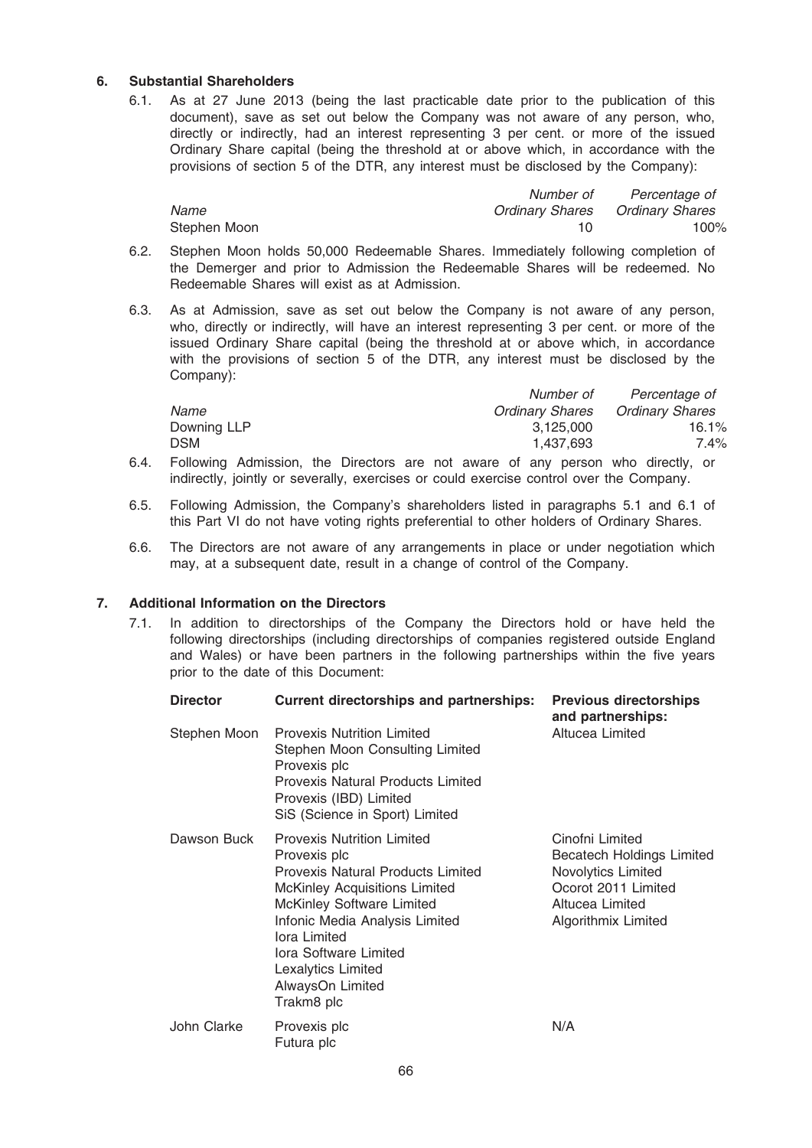## 6. Substantial Shareholders

6.1. As at 27 June 2013 (being the last practicable date prior to the publication of this document), save as set out below the Company was not aware of any person, who, directly or indirectly, had an interest representing 3 per cent. or more of the issued Ordinary Share capital (being the threshold at or above which, in accordance with the provisions of section 5 of the DTR, any interest must be disclosed by the Company):

|              | Number of | Percentage of                          |
|--------------|-----------|----------------------------------------|
| Name         |           | <b>Ordinary Shares Ordinary Shares</b> |
| Stephen Moon |           | 100%                                   |

- 6.2. Stephen Moon holds 50,000 Redeemable Shares. Immediately following completion of the Demerger and prior to Admission the Redeemable Shares will be redeemed. No Redeemable Shares will exist as at Admission.
- 6.3. As at Admission, save as set out below the Company is not aware of any person, who, directly or indirectly, will have an interest representing 3 per cent. or more of the issued Ordinary Share capital (being the threshold at or above which, in accordance with the provisions of section 5 of the DTR, any interest must be disclosed by the Company):

|             | Number of              | Percentage of   |
|-------------|------------------------|-----------------|
| Name        | <b>Ordinary Shares</b> | Ordinary Shares |
| Downing LLP | 3.125.000              | 16.1%           |
| <b>DSM</b>  | 1.437.693              | 7.4%            |
|             |                        |                 |

- 6.4. Following Admission, the Directors are not aware of any person who directly, or indirectly, jointly or severally, exercises or could exercise control over the Company.
- 6.5. Following Admission, the Company's shareholders listed in paragraphs 5.1 and 6.1 of this Part VI do not have voting rights preferential to other holders of Ordinary Shares.
- 6.6. The Directors are not aware of any arrangements in place or under negotiation which may, at a subsequent date, result in a change of control of the Company.

### 7. Additional Information on the Directors

7.1. In addition to directorships of the Company the Directors hold or have held the following directorships (including directorships of companies registered outside England and Wales) or have been partners in the following partnerships within the five years prior to the date of this Document:

| <b>Director</b> | <b>Current directorships and partnerships:</b>                                                                                                                                                                                                                                                 | <b>Previous directorships</b><br>and partnerships:                                                                                         |  |
|-----------------|------------------------------------------------------------------------------------------------------------------------------------------------------------------------------------------------------------------------------------------------------------------------------------------------|--------------------------------------------------------------------------------------------------------------------------------------------|--|
| Stephen Moon    | <b>Provexis Nutrition Limited</b><br>Stephen Moon Consulting Limited<br>Provexis plc<br><b>Provexis Natural Products Limited</b><br>Provexis (IBD) Limited<br>SiS (Science in Sport) Limited                                                                                                   | Altucea Limited                                                                                                                            |  |
| Dawson Buck     | <b>Provexis Nutrition Limited</b><br>Provexis plc<br>Provexis Natural Products Limited<br><b>McKinley Acquisitions Limited</b><br>McKinley Software Limited<br>Infonic Media Analysis Limited<br>lora Limited<br>Iora Software Limited<br>Lexalytics Limited<br>AlwaysOn Limited<br>Trakm8 plc | Cinofni Limited<br><b>Becatech Holdings Limited</b><br>Novolytics Limited<br>Ocorot 2011 Limited<br>Altucea Limited<br>Algorithmix Limited |  |
| John Clarke     | Provexis plc<br>Futura plc                                                                                                                                                                                                                                                                     | N/A                                                                                                                                        |  |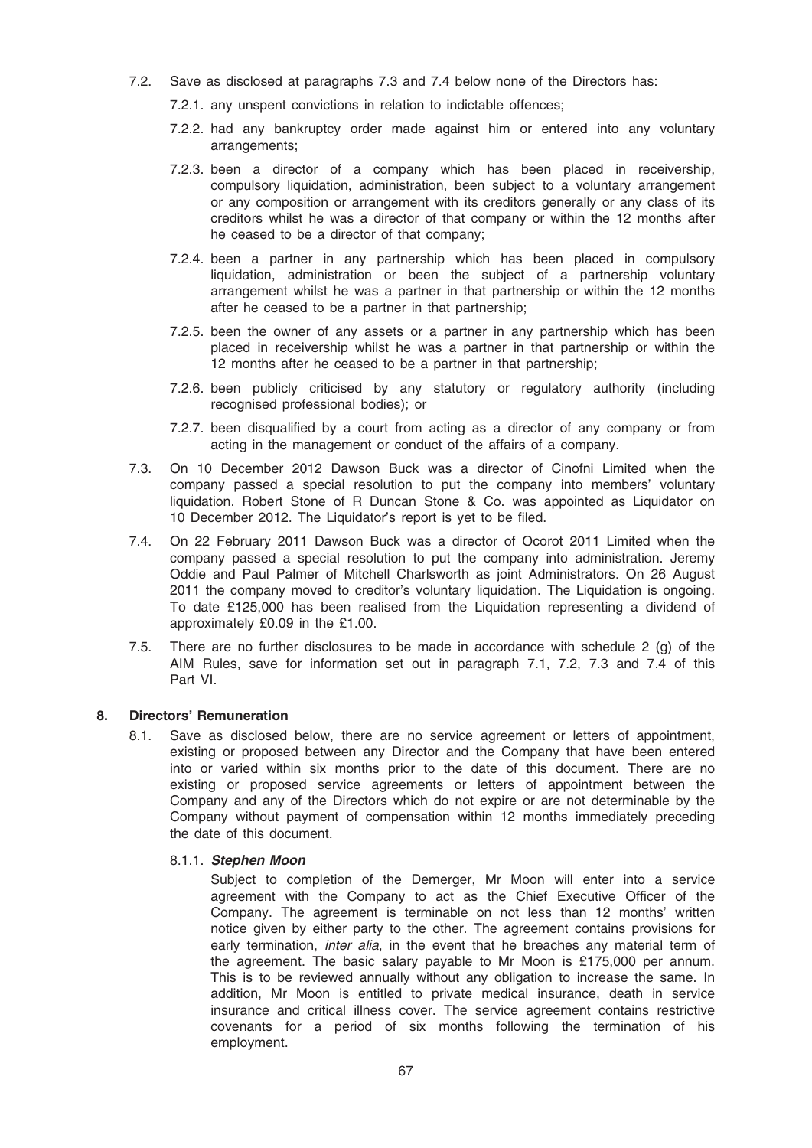- 7.2. Save as disclosed at paragraphs 7.3 and 7.4 below none of the Directors has:
	- 7.2.1. any unspent convictions in relation to indictable offences;
	- 7.2.2. had any bankruptcy order made against him or entered into any voluntary arrangements;
	- 7.2.3. been a director of a company which has been placed in receivership, compulsory liquidation, administration, been subject to a voluntary arrangement or any composition or arrangement with its creditors generally or any class of its creditors whilst he was a director of that company or within the 12 months after he ceased to be a director of that company;
	- 7.2.4. been a partner in any partnership which has been placed in compulsory liquidation, administration or been the subject of a partnership voluntary arrangement whilst he was a partner in that partnership or within the 12 months after he ceased to be a partner in that partnership;
	- 7.2.5. been the owner of any assets or a partner in any partnership which has been placed in receivership whilst he was a partner in that partnership or within the 12 months after he ceased to be a partner in that partnership;
	- 7.2.6. been publicly criticised by any statutory or regulatory authority (including recognised professional bodies); or
	- 7.2.7. been disqualified by a court from acting as a director of any company or from acting in the management or conduct of the affairs of a company.
- 7.3. On 10 December 2012 Dawson Buck was a director of Cinofni Limited when the company passed a special resolution to put the company into members' voluntary liquidation. Robert Stone of R Duncan Stone & Co. was appointed as Liquidator on 10 December 2012. The Liquidator's report is yet to be filed.
- 7.4. On 22 February 2011 Dawson Buck was a director of Ocorot 2011 Limited when the company passed a special resolution to put the company into administration. Jeremy Oddie and Paul Palmer of Mitchell Charlsworth as joint Administrators. On 26 August 2011 the company moved to creditor's voluntary liquidation. The Liquidation is ongoing. To date £125,000 has been realised from the Liquidation representing a dividend of approximately £0.09 in the £1.00.
- 7.5. There are no further disclosures to be made in accordance with schedule 2 (g) of the AIM Rules, save for information set out in paragraph 7.1, 7.2, 7.3 and 7.4 of this Part VI.

## 8. Directors' Remuneration

8.1. Save as disclosed below, there are no service agreement or letters of appointment, existing or proposed between any Director and the Company that have been entered into or varied within six months prior to the date of this document. There are no existing or proposed service agreements or letters of appointment between the Company and any of the Directors which do not expire or are not determinable by the Company without payment of compensation within 12 months immediately preceding the date of this document.

### 8.1.1. Stephen Moon

Subject to completion of the Demerger, Mr Moon will enter into a service agreement with the Company to act as the Chief Executive Officer of the Company. The agreement is terminable on not less than 12 months' written notice given by either party to the other. The agreement contains provisions for early termination, *inter alia*, in the event that he breaches any material term of the agreement. The basic salary payable to Mr Moon is £175,000 per annum. This is to be reviewed annually without any obligation to increase the same. In addition, Mr Moon is entitled to private medical insurance, death in service insurance and critical illness cover. The service agreement contains restrictive covenants for a period of six months following the termination of his employment.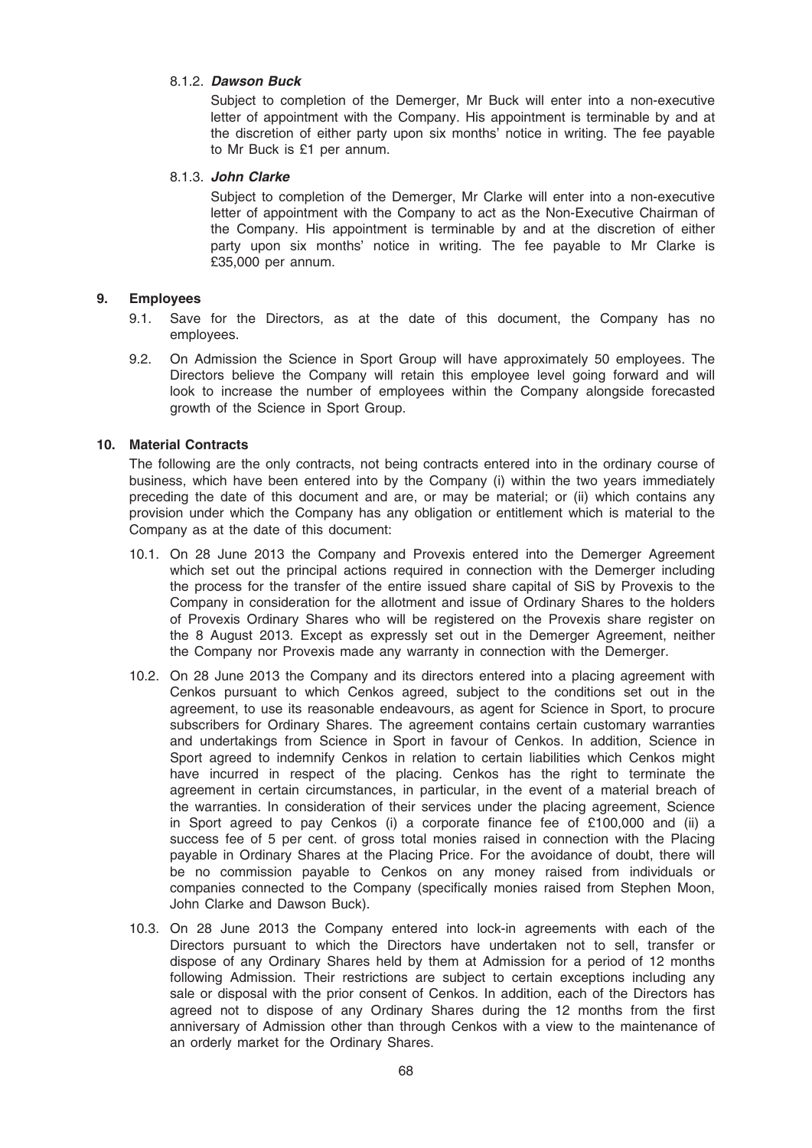## 8.1.2. Dawson Buck

Subject to completion of the Demerger, Mr Buck will enter into a non-executive letter of appointment with the Company. His appointment is terminable by and at the discretion of either party upon six months' notice in writing. The fee payable to Mr Buck is £1 per annum.

## 8.1.3. John Clarke

Subject to completion of the Demerger, Mr Clarke will enter into a non-executive letter of appointment with the Company to act as the Non-Executive Chairman of the Company. His appointment is terminable by and at the discretion of either party upon six months' notice in writing. The fee payable to Mr Clarke is £35,000 per annum.

## 9. Employees

- 9.1. Save for the Directors, as at the date of this document, the Company has no employees.
- 9.2. On Admission the Science in Sport Group will have approximately 50 employees. The Directors believe the Company will retain this employee level going forward and will look to increase the number of employees within the Company alongside forecasted growth of the Science in Sport Group.

## 10. Material Contracts

The following are the only contracts, not being contracts entered into in the ordinary course of business, which have been entered into by the Company (i) within the two years immediately preceding the date of this document and are, or may be material; or (ii) which contains any provision under which the Company has any obligation or entitlement which is material to the Company as at the date of this document:

- 10.1. On 28 June 2013 the Company and Provexis entered into the Demerger Agreement which set out the principal actions required in connection with the Demerger including the process for the transfer of the entire issued share capital of SiS by Provexis to the Company in consideration for the allotment and issue of Ordinary Shares to the holders of Provexis Ordinary Shares who will be registered on the Provexis share register on the 8 August 2013. Except as expressly set out in the Demerger Agreement, neither the Company nor Provexis made any warranty in connection with the Demerger.
- 10.2. On 28 June 2013 the Company and its directors entered into a placing agreement with Cenkos pursuant to which Cenkos agreed, subject to the conditions set out in the agreement, to use its reasonable endeavours, as agent for Science in Sport, to procure subscribers for Ordinary Shares. The agreement contains certain customary warranties and undertakings from Science in Sport in favour of Cenkos. In addition, Science in Sport agreed to indemnify Cenkos in relation to certain liabilities which Cenkos might have incurred in respect of the placing. Cenkos has the right to terminate the agreement in certain circumstances, in particular, in the event of a material breach of the warranties. In consideration of their services under the placing agreement, Science in Sport agreed to pay Cenkos (i) a corporate finance fee of £100,000 and (ii) a success fee of 5 per cent. of gross total monies raised in connection with the Placing payable in Ordinary Shares at the Placing Price. For the avoidance of doubt, there will be no commission payable to Cenkos on any money raised from individuals or companies connected to the Company (specifically monies raised from Stephen Moon, John Clarke and Dawson Buck).
- 10.3. On 28 June 2013 the Company entered into lock-in agreements with each of the Directors pursuant to which the Directors have undertaken not to sell, transfer or dispose of any Ordinary Shares held by them at Admission for a period of 12 months following Admission. Their restrictions are subject to certain exceptions including any sale or disposal with the prior consent of Cenkos. In addition, each of the Directors has agreed not to dispose of any Ordinary Shares during the 12 months from the first anniversary of Admission other than through Cenkos with a view to the maintenance of an orderly market for the Ordinary Shares.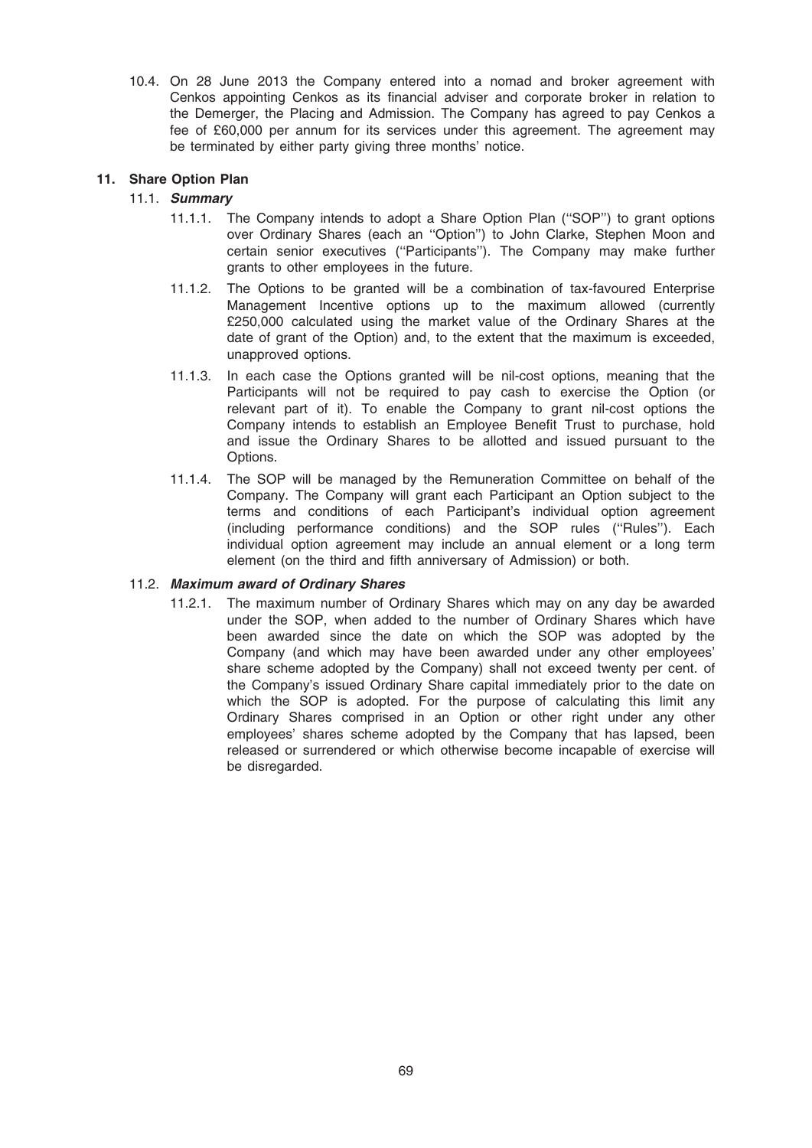10.4. On 28 June 2013 the Company entered into a nomad and broker agreement with Cenkos appointing Cenkos as its financial adviser and corporate broker in relation to the Demerger, the Placing and Admission. The Company has agreed to pay Cenkos a fee of £60,000 per annum for its services under this agreement. The agreement may be terminated by either party giving three months' notice.

## 11. Share Option Plan

## 11.1. Summary

- 11.1.1. The Company intends to adopt a Share Option Plan (''SOP'') to grant options over Ordinary Shares (each an ''Option'') to John Clarke, Stephen Moon and certain senior executives (''Participants''). The Company may make further grants to other employees in the future.
- 11.1.2. The Options to be granted will be a combination of tax-favoured Enterprise Management Incentive options up to the maximum allowed (currently £250,000 calculated using the market value of the Ordinary Shares at the date of grant of the Option) and, to the extent that the maximum is exceeded, unapproved options.
- 11.1.3. In each case the Options granted will be nil-cost options, meaning that the Participants will not be required to pay cash to exercise the Option (or relevant part of it). To enable the Company to grant nil-cost options the Company intends to establish an Employee Benefit Trust to purchase, hold and issue the Ordinary Shares to be allotted and issued pursuant to the Options.
- 11.1.4. The SOP will be managed by the Remuneration Committee on behalf of the Company. The Company will grant each Participant an Option subject to the terms and conditions of each Participant's individual option agreement (including performance conditions) and the SOP rules (''Rules''). Each individual option agreement may include an annual element or a long term element (on the third and fifth anniversary of Admission) or both.

### 11.2. Maximum award of Ordinary Shares

11.2.1. The maximum number of Ordinary Shares which may on any day be awarded under the SOP, when added to the number of Ordinary Shares which have been awarded since the date on which the SOP was adopted by the Company (and which may have been awarded under any other employees' share scheme adopted by the Company) shall not exceed twenty per cent. of the Company's issued Ordinary Share capital immediately prior to the date on which the SOP is adopted. For the purpose of calculating this limit any Ordinary Shares comprised in an Option or other right under any other employees' shares scheme adopted by the Company that has lapsed, been released or surrendered or which otherwise become incapable of exercise will be disregarded.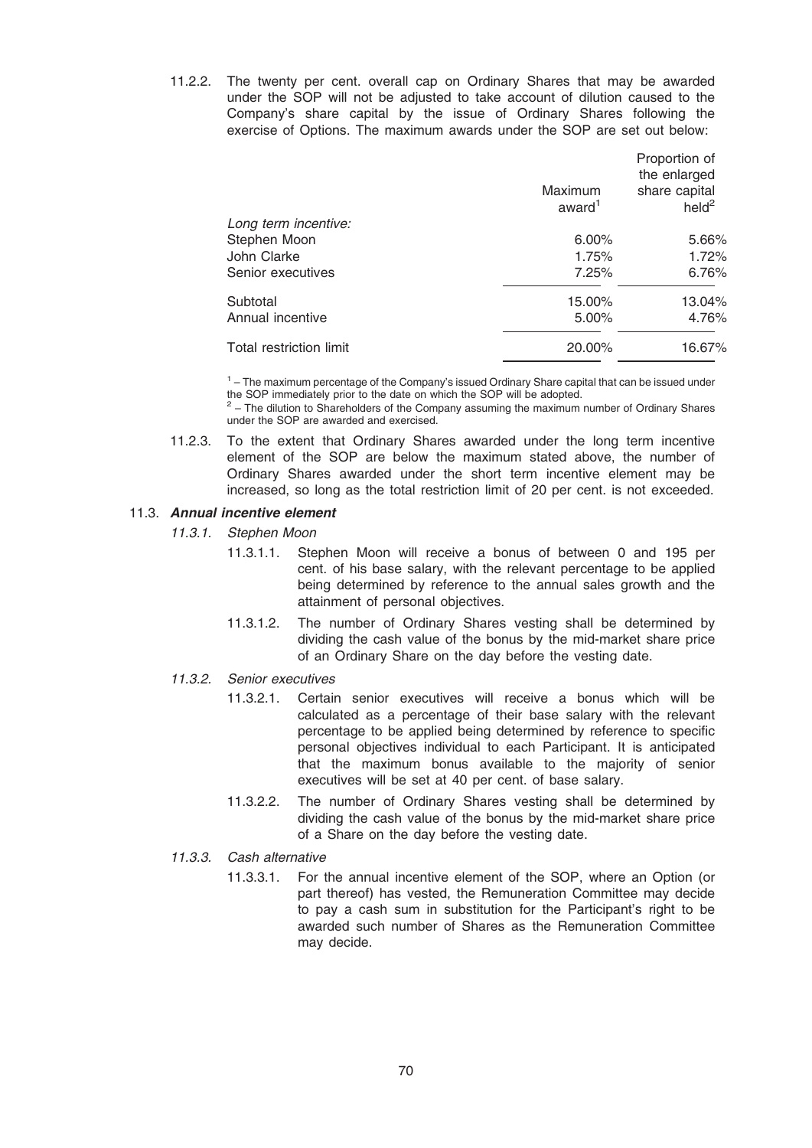11.2.2. The twenty per cent. overall cap on Ordinary Shares that may be awarded under the SOP will not be adjusted to take account of dilution caused to the Company's share capital by the issue of Ordinary Shares following the exercise of Options. The maximum awards under the SOP are set out below:

|                         | Maximum<br>award <sup>1</sup> | Proportion of<br>the enlarged<br>share capital<br>$\text{held}^2$ |
|-------------------------|-------------------------------|-------------------------------------------------------------------|
| Long term incentive:    |                               |                                                                   |
| Stephen Moon            | $6.00\%$                      | 5.66%                                                             |
| John Clarke             | 1.75%                         | 1.72%                                                             |
| Senior executives       | 7.25%                         | 6.76%                                                             |
| Subtotal                | 15.00%                        | 13.04%                                                            |
| Annual incentive        | 5.00%                         | 4.76%                                                             |
| Total restriction limit | 20.00%                        | 16.67%                                                            |

 $<sup>1</sup>$  – The maximum percentage of the Company's issued Ordinary Share capital that can be issued under</sup> the SOP immediately prior to the date on which the SOP will be adopted.

<sup>2</sup> – The dilution to Shareholders of the Company assuming the maximum number of Ordinary Shares under the SOP are awarded and exercised.

11.2.3. To the extent that Ordinary Shares awarded under the long term incentive element of the SOP are below the maximum stated above, the number of Ordinary Shares awarded under the short term incentive element may be increased, so long as the total restriction limit of 20 per cent. is not exceeded.

## 11.3. Annual incentive element

11.3.1. Stephen Moon

- 11.3.1.1. Stephen Moon will receive a bonus of between 0 and 195 per cent. of his base salary, with the relevant percentage to be applied being determined by reference to the annual sales growth and the attainment of personal objectives.
- 11.3.1.2. The number of Ordinary Shares vesting shall be determined by dividing the cash value of the bonus by the mid-market share price of an Ordinary Share on the day before the vesting date.

# 11.3.2. Senior executives

- 11.3.2.1. Certain senior executives will receive a bonus which will be calculated as a percentage of their base salary with the relevant percentage to be applied being determined by reference to specific personal objectives individual to each Participant. It is anticipated that the maximum bonus available to the majority of senior executives will be set at 40 per cent. of base salary.
- 11.3.2.2. The number of Ordinary Shares vesting shall be determined by dividing the cash value of the bonus by the mid-market share price of a Share on the day before the vesting date.

# 11.3.3. Cash alternative

11.3.3.1. For the annual incentive element of the SOP, where an Option (or part thereof) has vested, the Remuneration Committee may decide to pay a cash sum in substitution for the Participant's right to be awarded such number of Shares as the Remuneration Committee may decide.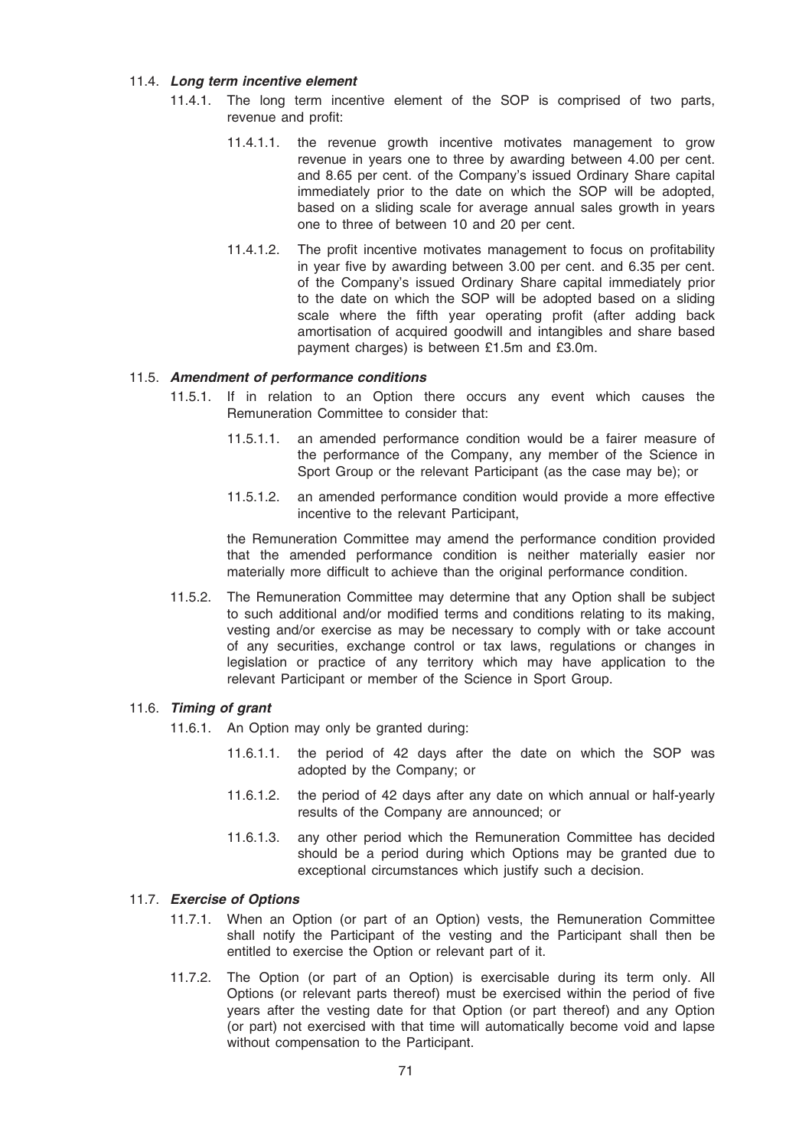## 11.4. Long term incentive element

- 11.4.1. The long term incentive element of the SOP is comprised of two parts, revenue and profit:
	- 11.4.1.1. the revenue growth incentive motivates management to grow revenue in years one to three by awarding between 4.00 per cent. and 8.65 per cent. of the Company's issued Ordinary Share capital immediately prior to the date on which the SOP will be adopted, based on a sliding scale for average annual sales growth in years one to three of between 10 and 20 per cent.
	- 11.4.1.2. The profit incentive motivates management to focus on profitability in year five by awarding between 3.00 per cent. and 6.35 per cent. of the Company's issued Ordinary Share capital immediately prior to the date on which the SOP will be adopted based on a sliding scale where the fifth year operating profit (after adding back amortisation of acquired goodwill and intangibles and share based payment charges) is between £1.5m and £3.0m.

## 11.5. Amendment of performance conditions

- 11.5.1. If in relation to an Option there occurs any event which causes the Remuneration Committee to consider that:
	- 11.5.1.1. an amended performance condition would be a fairer measure of the performance of the Company, any member of the Science in Sport Group or the relevant Participant (as the case may be); or
	- 11.5.1.2. an amended performance condition would provide a more effective incentive to the relevant Participant,

the Remuneration Committee may amend the performance condition provided that the amended performance condition is neither materially easier nor materially more difficult to achieve than the original performance condition.

11.5.2. The Remuneration Committee may determine that any Option shall be subject to such additional and/or modified terms and conditions relating to its making, vesting and/or exercise as may be necessary to comply with or take account of any securities, exchange control or tax laws, regulations or changes in legislation or practice of any territory which may have application to the relevant Participant or member of the Science in Sport Group.

### 11.6. Timing of grant

- 11.6.1. An Option may only be granted during:
	- 11.6.1.1. the period of 42 days after the date on which the SOP was adopted by the Company; or
	- 11.6.1.2. the period of 42 days after any date on which annual or half-yearly results of the Company are announced; or
	- 11.6.1.3. any other period which the Remuneration Committee has decided should be a period during which Options may be granted due to exceptional circumstances which justify such a decision.

## 11.7. Exercise of Options

- 11.7.1. When an Option (or part of an Option) vests, the Remuneration Committee shall notify the Participant of the vesting and the Participant shall then be entitled to exercise the Option or relevant part of it.
- 11.7.2. The Option (or part of an Option) is exercisable during its term only. All Options (or relevant parts thereof) must be exercised within the period of five years after the vesting date for that Option (or part thereof) and any Option (or part) not exercised with that time will automatically become void and lapse without compensation to the Participant.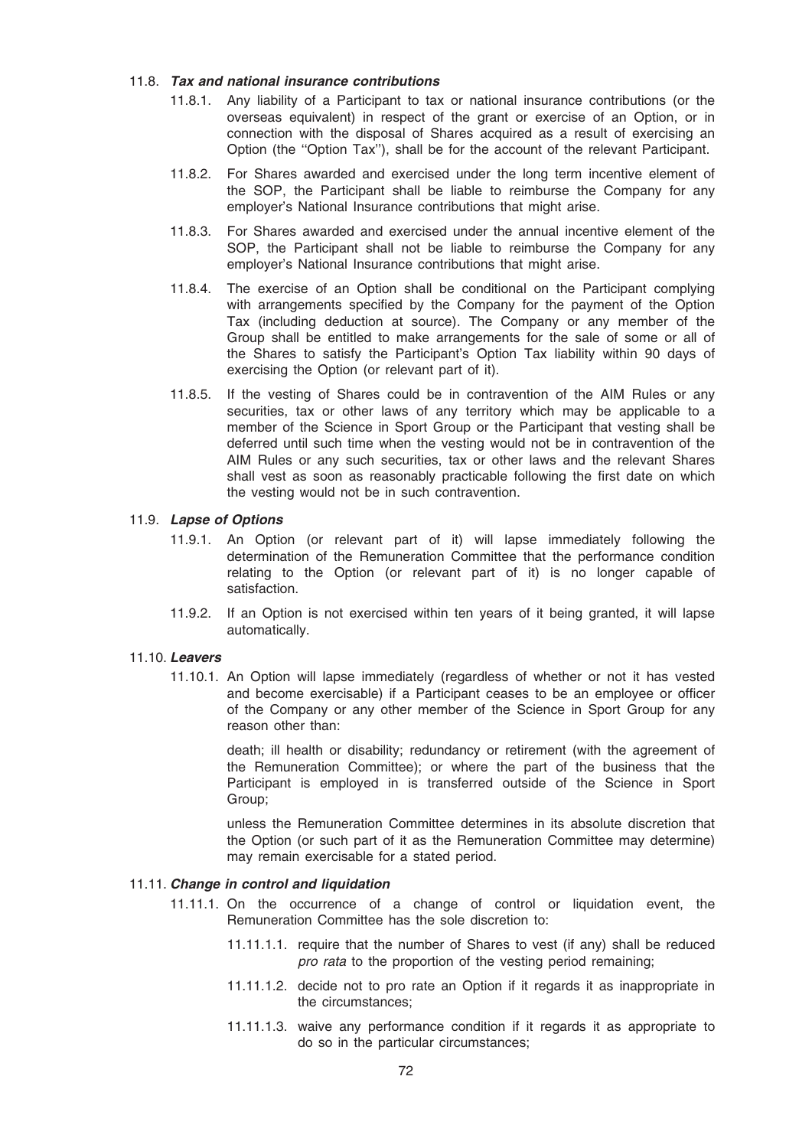## 11.8. Tax and national insurance contributions

- 11.8.1. Any liability of a Participant to tax or national insurance contributions (or the overseas equivalent) in respect of the grant or exercise of an Option, or in connection with the disposal of Shares acquired as a result of exercising an Option (the ''Option Tax''), shall be for the account of the relevant Participant.
- 11.8.2. For Shares awarded and exercised under the long term incentive element of the SOP, the Participant shall be liable to reimburse the Company for any employer's National Insurance contributions that might arise.
- 11.8.3. For Shares awarded and exercised under the annual incentive element of the SOP, the Participant shall not be liable to reimburse the Company for any employer's National Insurance contributions that might arise.
- 11.8.4. The exercise of an Option shall be conditional on the Participant complying with arrangements specified by the Company for the payment of the Option Tax (including deduction at source). The Company or any member of the Group shall be entitled to make arrangements for the sale of some or all of the Shares to satisfy the Participant's Option Tax liability within 90 days of exercising the Option (or relevant part of it).
- 11.8.5. If the vesting of Shares could be in contravention of the AIM Rules or any securities, tax or other laws of any territory which may be applicable to a member of the Science in Sport Group or the Participant that vesting shall be deferred until such time when the vesting would not be in contravention of the AIM Rules or any such securities, tax or other laws and the relevant Shares shall vest as soon as reasonably practicable following the first date on which the vesting would not be in such contravention.

### 11.9. Lapse of Options

- 11.9.1. An Option (or relevant part of it) will lapse immediately following the determination of the Remuneration Committee that the performance condition relating to the Option (or relevant part of it) is no longer capable of satisfaction.
- 11.9.2. If an Option is not exercised within ten years of it being granted, it will lapse automatically.

#### 11.10. Leavers

11.10.1. An Option will lapse immediately (regardless of whether or not it has vested and become exercisable) if a Participant ceases to be an employee or officer of the Company or any other member of the Science in Sport Group for any reason other than:

> death; ill health or disability; redundancy or retirement (with the agreement of the Remuneration Committee); or where the part of the business that the Participant is employed in is transferred outside of the Science in Sport Group;

> unless the Remuneration Committee determines in its absolute discretion that the Option (or such part of it as the Remuneration Committee may determine) may remain exercisable for a stated period.

### 11.11. Change in control and liquidation

- 11.11.1. On the occurrence of a change of control or liquidation event, the Remuneration Committee has the sole discretion to:
	- 11.11.1.1. require that the number of Shares to vest (if any) shall be reduced pro rata to the proportion of the vesting period remaining;
	- 11.11.1.2. decide not to pro rate an Option if it regards it as inappropriate in the circumstances;
	- 11.11.1.3. waive any performance condition if it regards it as appropriate to do so in the particular circumstances;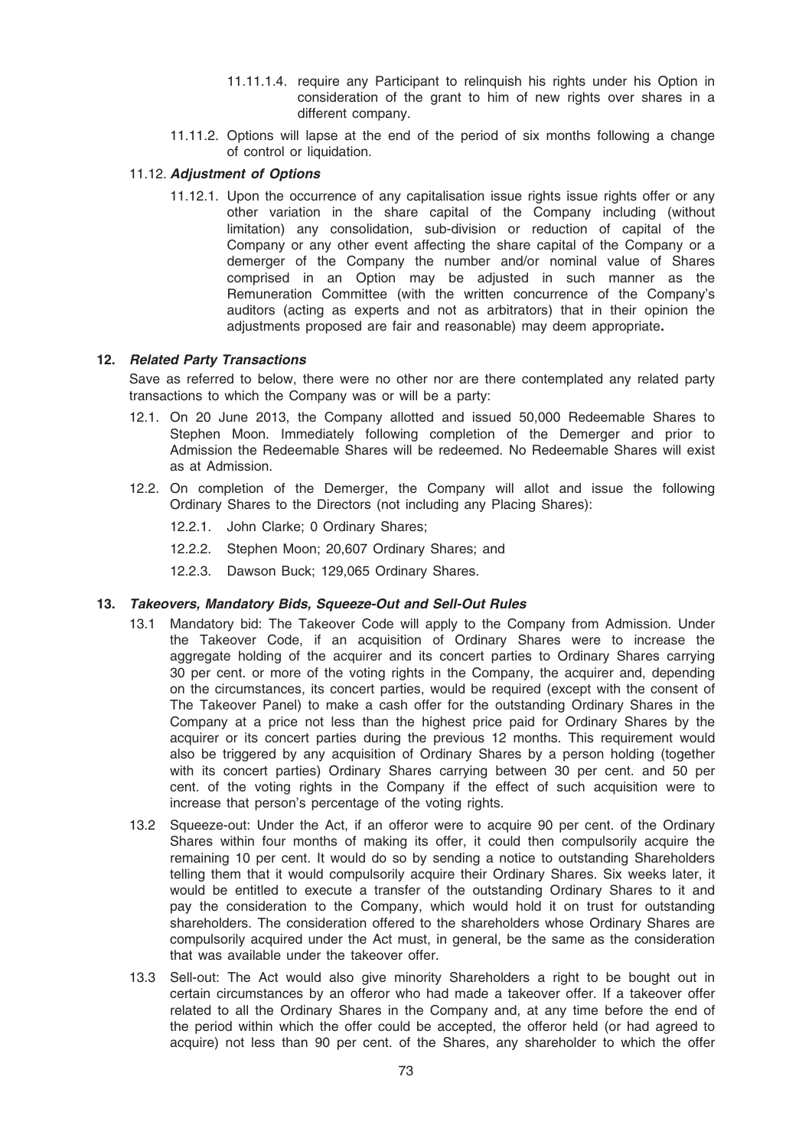- 11.11.1.4. require any Participant to relinquish his rights under his Option in consideration of the grant to him of new rights over shares in a different company.
- 11.11.2. Options will lapse at the end of the period of six months following a change of control or liquidation.

# 11.12. Adjustment of Options

11.12.1. Upon the occurrence of any capitalisation issue rights issue rights offer or any other variation in the share capital of the Company including (without limitation) any consolidation, sub-division or reduction of capital of the Company or any other event affecting the share capital of the Company or a demerger of the Company the number and/or nominal value of Shares comprised in an Option may be adjusted in such manner as the Remuneration Committee (with the written concurrence of the Company's auditors (acting as experts and not as arbitrators) that in their opinion the adjustments proposed are fair and reasonable) may deem appropriate.

## 12. Related Party Transactions

Save as referred to below, there were no other nor are there contemplated any related party transactions to which the Company was or will be a party:

- 12.1. On 20 June 2013, the Company allotted and issued 50,000 Redeemable Shares to Stephen Moon. Immediately following completion of the Demerger and prior to Admission the Redeemable Shares will be redeemed. No Redeemable Shares will exist as at Admission.
- 12.2. On completion of the Demerger, the Company will allot and issue the following Ordinary Shares to the Directors (not including any Placing Shares):
	- 12.2.1. John Clarke; 0 Ordinary Shares;
	- 12.2.2. Stephen Moon; 20,607 Ordinary Shares; and
	- 12.2.3. Dawson Buck; 129,065 Ordinary Shares.

## 13. Takeovers, Mandatory Bids, Squeeze-Out and Sell-Out Rules

- 13.1 Mandatory bid: The Takeover Code will apply to the Company from Admission. Under the Takeover Code, if an acquisition of Ordinary Shares were to increase the aggregate holding of the acquirer and its concert parties to Ordinary Shares carrying 30 per cent. or more of the voting rights in the Company, the acquirer and, depending on the circumstances, its concert parties, would be required (except with the consent of The Takeover Panel) to make a cash offer for the outstanding Ordinary Shares in the Company at a price not less than the highest price paid for Ordinary Shares by the acquirer or its concert parties during the previous 12 months. This requirement would also be triggered by any acquisition of Ordinary Shares by a person holding (together with its concert parties) Ordinary Shares carrying between 30 per cent. and 50 per cent. of the voting rights in the Company if the effect of such acquisition were to increase that person's percentage of the voting rights.
- 13.2 Squeeze-out: Under the Act, if an offeror were to acquire 90 per cent. of the Ordinary Shares within four months of making its offer, it could then compulsorily acquire the remaining 10 per cent. It would do so by sending a notice to outstanding Shareholders telling them that it would compulsorily acquire their Ordinary Shares. Six weeks later, it would be entitled to execute a transfer of the outstanding Ordinary Shares to it and pay the consideration to the Company, which would hold it on trust for outstanding shareholders. The consideration offered to the shareholders whose Ordinary Shares are compulsorily acquired under the Act must, in general, be the same as the consideration that was available under the takeover offer.
- 13.3 Sell-out: The Act would also give minority Shareholders a right to be bought out in certain circumstances by an offeror who had made a takeover offer. If a takeover offer related to all the Ordinary Shares in the Company and, at any time before the end of the period within which the offer could be accepted, the offeror held (or had agreed to acquire) not less than 90 per cent. of the Shares, any shareholder to which the offer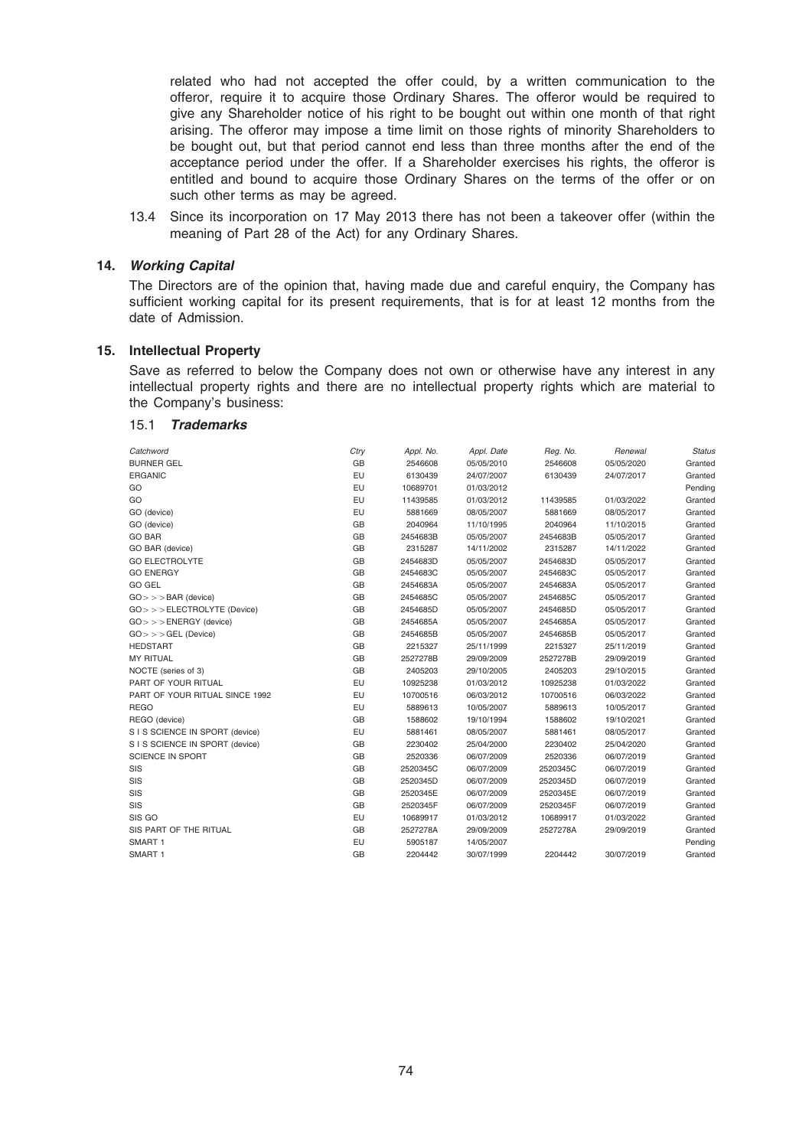related who had not accepted the offer could, by a written communication to the offeror, require it to acquire those Ordinary Shares. The offeror would be required to give any Shareholder notice of his right to be bought out within one month of that right arising. The offeror may impose a time limit on those rights of minority Shareholders to be bought out, but that period cannot end less than three months after the end of the acceptance period under the offer. If a Shareholder exercises his rights, the offeror is entitled and bound to acquire those Ordinary Shares on the terms of the offer or on such other terms as may be agreed.

13.4 Since its incorporation on 17 May 2013 there has not been a takeover offer (within the meaning of Part 28 of the Act) for any Ordinary Shares.

## 14. Working Capital

The Directors are of the opinion that, having made due and careful enquiry, the Company has sufficient working capital for its present requirements, that is for at least 12 months from the date of Admission.

## 15. Intellectual Property

Save as referred to below the Company does not own or otherwise have any interest in any intellectual property rights and there are no intellectual property rights which are material to the Company's business:

#### 15.1 Trademarks

| Catchword                         | Ctry | Appl. No. | Appl. Date | Reg. No. | Renewal    | <b>Status</b> |
|-----------------------------------|------|-----------|------------|----------|------------|---------------|
| <b>BURNER GEL</b>                 | GB   | 2546608   | 05/05/2010 | 2546608  | 05/05/2020 | Granted       |
| <b>ERGANIC</b>                    | EU   | 6130439   | 24/07/2007 | 6130439  | 24/07/2017 | Granted       |
| GO                                | EU   | 10689701  | 01/03/2012 |          |            | Pending       |
| GO                                | EU   | 11439585  | 01/03/2012 | 11439585 | 01/03/2022 | Granted       |
| GO (device)                       | EU   | 5881669   | 08/05/2007 | 5881669  | 08/05/2017 | Granted       |
| GO (device)                       | GB   | 2040964   | 11/10/1995 | 2040964  | 11/10/2015 | Granted       |
| <b>GO BAR</b>                     | GB   | 2454683B  | 05/05/2007 | 2454683B | 05/05/2017 | Granted       |
| GO BAR (device)                   | GB   | 2315287   | 14/11/2002 | 2315287  | 14/11/2022 | Granted       |
| <b>GO ELECTROLYTE</b>             | GB   | 2454683D  | 05/05/2007 | 2454683D | 05/05/2017 | Granted       |
| <b>GO ENERGY</b>                  | GB   | 2454683C  | 05/05/2007 | 2454683C | 05/05/2017 | Granted       |
| <b>GO GEL</b>                     | GB   | 2454683A  | 05/05/2007 | 2454683A | 05/05/2017 | Granted       |
| $GO \gt \gt$ BAR (device)         | GB   | 2454685C  | 05/05/2007 | 2454685C | 05/05/2017 | Granted       |
| $GO \gt \gt ELECTROLYTE$ (Device) | GB   | 2454685D  | 05/05/2007 | 2454685D | 05/05/2017 | Granted       |
| $GO \gt \gt \gt ENERGY$ (device)  | GB   | 2454685A  | 05/05/2007 | 2454685A | 05/05/2017 | Granted       |
| $GO \gt \gt \gt GEL$ (Device)     | GB   | 2454685B  | 05/05/2007 | 2454685B | 05/05/2017 | Granted       |
| <b>HEDSTART</b>                   | GB   | 2215327   | 25/11/1999 | 2215327  | 25/11/2019 | Granted       |
| <b>MY RITUAL</b>                  | GB   | 2527278B  | 29/09/2009 | 2527278B | 29/09/2019 | Granted       |
| NOCTE (series of 3)               | GB   | 2405203   | 29/10/2005 | 2405203  | 29/10/2015 | Granted       |
| PART OF YOUR RITUAL               | EU   | 10925238  | 01/03/2012 | 10925238 | 01/03/2022 | Granted       |
| PART OF YOUR RITUAL SINCE 1992    | EU   | 10700516  | 06/03/2012 | 10700516 | 06/03/2022 | Granted       |
| <b>REGO</b>                       | EU   | 5889613   | 10/05/2007 | 5889613  | 10/05/2017 | Granted       |
| REGO (device)                     | GB   | 1588602   | 19/10/1994 | 1588602  | 19/10/2021 | Granted       |
| S I S SCIENCE IN SPORT (device)   | EU   | 5881461   | 08/05/2007 | 5881461  | 08/05/2017 | Granted       |
| S I S SCIENCE IN SPORT (device)   | GB   | 2230402   | 25/04/2000 | 2230402  | 25/04/2020 | Granted       |
| SCIENCE IN SPORT                  | GB   | 2520336   | 06/07/2009 | 2520336  | 06/07/2019 | Granted       |
| SIS                               | GB   | 2520345C  | 06/07/2009 | 2520345C | 06/07/2019 | Granted       |
| SIS                               | GB   | 2520345D  | 06/07/2009 | 2520345D | 06/07/2019 | Granted       |
| SIS                               | GB   | 2520345E  | 06/07/2009 | 2520345E | 06/07/2019 | Granted       |
| SIS                               | GB   | 2520345F  | 06/07/2009 | 2520345F | 06/07/2019 | Granted       |
| SIS GO                            | EU   | 10689917  | 01/03/2012 | 10689917 | 01/03/2022 | Granted       |
| SIS PART OF THE RITUAL            | GB   | 2527278A  | 29/09/2009 | 2527278A | 29/09/2019 | Granted       |
| SMART 1                           | EU   | 5905187   | 14/05/2007 |          |            | Pending       |
| SMART 1                           | GB   | 2204442   | 30/07/1999 | 2204442  | 30/07/2019 | Granted       |
|                                   |      |           |            |          |            |               |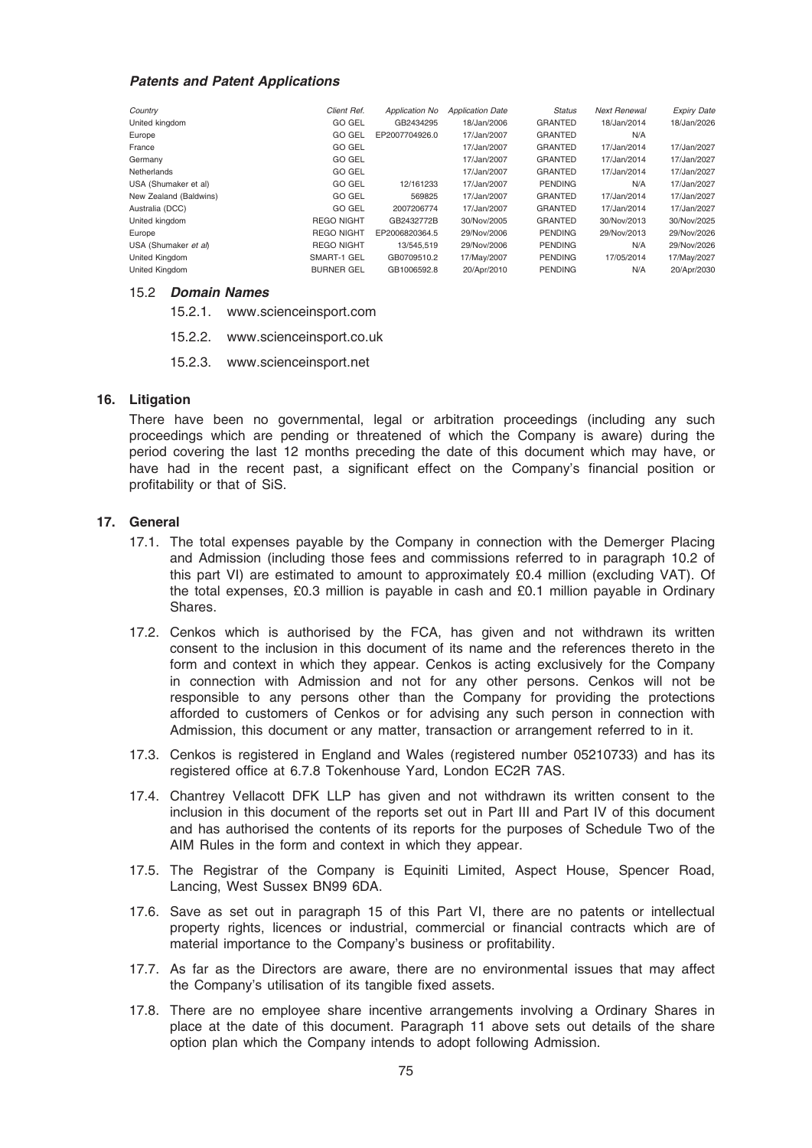#### Patents and Patent Applications

| Country                | Client Ref.       | <b>Application No</b> | <b>Application Date</b> | <b>Status</b>  | <b>Next Renewal</b> | <b>Expiry Date</b> |
|------------------------|-------------------|-----------------------|-------------------------|----------------|---------------------|--------------------|
| United kingdom         | <b>GO GEL</b>     | GB2434295             | 18/Jan/2006             | <b>GRANTED</b> | 18/Jan/2014         | 18/Jan/2026        |
| Europe                 | <b>GO GEL</b>     | EP2007704926.0        | 17/Jan/2007             | <b>GRANTED</b> | N/A                 |                    |
| France                 | <b>GO GEL</b>     |                       | 17/Jan/2007             | GRANTED        | 17/Jan/2014         | 17/Jan/2027        |
| Germany                | <b>GO GEL</b>     |                       | 17/Jan/2007             | <b>GRANTED</b> | 17/Jan/2014         | 17/Jan/2027        |
| Netherlands            | <b>GO GEL</b>     |                       | 17/Jan/2007             | GRANTED        | 17/Jan/2014         | 17/Jan/2027        |
| USA (Shumaker et al)   | <b>GO GEL</b>     | 12/161233             | 17/Jan/2007             | <b>PENDING</b> | N/A                 | 17/Jan/2027        |
| New Zealand (Baldwins) | <b>GO GEL</b>     | 569825                | 17/Jan/2007             | GRANTED        | 17/Jan/2014         | 17/Jan/2027        |
| Australia (DCC)        | <b>GO GEL</b>     | 2007206774            | 17/Jan/2007             | GRANTED        | 17/Jan/2014         | 17/Jan/2027        |
| United kingdom         | <b>REGO NIGHT</b> | GB2432772B            | 30/Nov/2005             | GRANTED        | 30/Nov/2013         | 30/Nov/2025        |
| Europe                 | <b>REGO NIGHT</b> | EP2006820364.5        | 29/Nov/2006             | <b>PENDING</b> | 29/Nov/2013         | 29/Nov/2026        |
| USA (Shumaker et al)   | <b>REGO NIGHT</b> | 13/545.519            | 29/Nov/2006             | <b>PENDING</b> | N/A                 | 29/Nov/2026        |
| United Kingdom         | SMART-1 GEL       | GB0709510.2           | 17/May/2007             | <b>PENDING</b> | 17/05/2014          | 17/May/2027        |
| United Kingdom         | <b>BURNER GEL</b> | GB1006592.8           | 20/Apr/2010             | <b>PENDING</b> | N/A                 | 20/Apr/2030        |

## 15.2 Domain Names

- 15.2.1. www.scienceinsport.com
- 15.2.2. www.scienceinsport.co.uk
- 15.2.3. www.scienceinsport.net

## 16. Litigation

There have been no governmental, legal or arbitration proceedings (including any such proceedings which are pending or threatened of which the Company is aware) during the period covering the last 12 months preceding the date of this document which may have, or have had in the recent past, a significant effect on the Company's financial position or profitability or that of SiS.

#### 17. General

- 17.1. The total expenses payable by the Company in connection with the Demerger Placing and Admission (including those fees and commissions referred to in paragraph 10.2 of this part VI) are estimated to amount to approximately £0.4 million (excluding VAT). Of the total expenses, £0.3 million is payable in cash and £0.1 million payable in Ordinary Shares.
- 17.2. Cenkos which is authorised by the FCA, has given and not withdrawn its written consent to the inclusion in this document of its name and the references thereto in the form and context in which they appear. Cenkos is acting exclusively for the Company in connection with Admission and not for any other persons. Cenkos will not be responsible to any persons other than the Company for providing the protections afforded to customers of Cenkos or for advising any such person in connection with Admission, this document or any matter, transaction or arrangement referred to in it.
- 17.3. Cenkos is registered in England and Wales (registered number 05210733) and has its registered office at 6.7.8 Tokenhouse Yard, London EC2R 7AS.
- 17.4. Chantrey Vellacott DFK LLP has given and not withdrawn its written consent to the inclusion in this document of the reports set out in Part III and Part IV of this document and has authorised the contents of its reports for the purposes of Schedule Two of the AIM Rules in the form and context in which they appear.
- 17.5. The Registrar of the Company is Equiniti Limited, Aspect House, Spencer Road, Lancing, West Sussex BN99 6DA.
- 17.6. Save as set out in paragraph 15 of this Part VI, there are no patents or intellectual property rights, licences or industrial, commercial or financial contracts which are of material importance to the Company's business or profitability.
- 17.7. As far as the Directors are aware, there are no environmental issues that may affect the Company's utilisation of its tangible fixed assets.
- 17.8. There are no employee share incentive arrangements involving a Ordinary Shares in place at the date of this document. Paragraph 11 above sets out details of the share option plan which the Company intends to adopt following Admission.